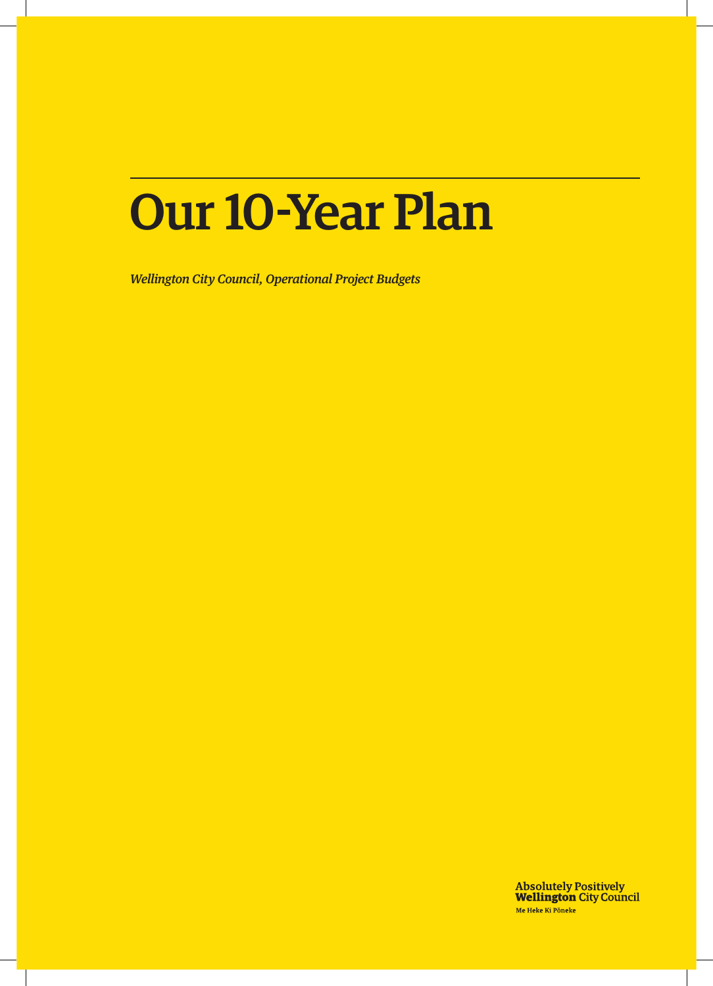# Our 10-Year Plan

*Wellington City Council, Operational Project Budgets*

**Absolutely Positively<br>Wellington City Council** Me Heke Ki Pôneke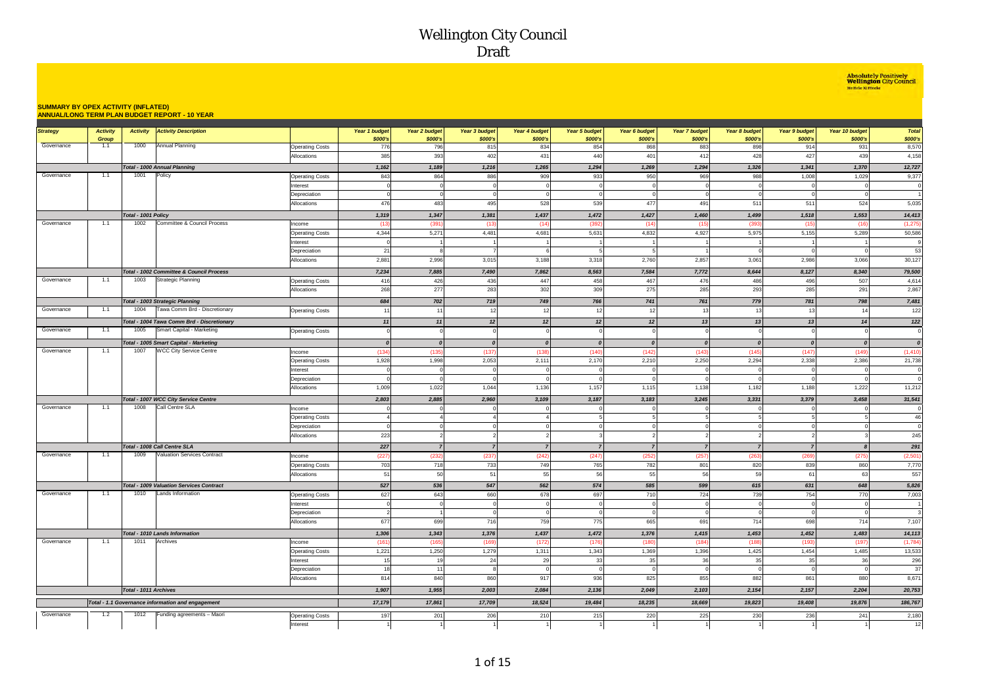**Absolutely Positively<br>Wellington City Council**<br>Me Heke Ki Pôneke

#### **SUMMARY BY OPEX ACTIVITY (INFLATED) ANNUAL/LONG TERM PLAN BUDGET REPORT - 10 YEAR**

|                 |                          |                       |                                                         |                                  |                            |                                 |                          |                          |                          |                          | Year 7 budget            |                          |                                 |                            | <b>Total</b>            |
|-----------------|--------------------------|-----------------------|---------------------------------------------------------|----------------------------------|----------------------------|---------------------------------|--------------------------|--------------------------|--------------------------|--------------------------|--------------------------|--------------------------|---------------------------------|----------------------------|-------------------------|
| <b>Strategy</b> | <b>Activity</b><br>Group | <b>Activity</b>       | <b>Activity Description</b>                             |                                  | Year 1 budget<br>\$000's   | <b>Year 2 budget</b><br>\$000's | Year 3 budget<br>\$000's | Year 4 budget<br>\$000's | Year 5 budget<br>\$000's | Year 6 budget<br>\$000's | \$000's                  | Year 8 budget<br>\$000's | <b>Year 9 budget</b><br>\$000's | Year 10 budget<br>\$000's  | \$000's                 |
| Governance      | 1.1                      | 1000                  | Annual Planning                                         | <b>Operating Costs</b>           | 776                        | 796                             | 815                      | 834                      | 854                      | 868                      | 883                      | 898                      | 914                             | 931                        | 8,570                   |
|                 |                          |                       |                                                         | <b>Allocations</b>               | 385                        | 393                             | 402                      | 431                      | 440                      | 401                      | 412                      | 428                      | 427                             | 439                        | 4,158                   |
|                 |                          |                       | Total - 1000 Annual Planning                            |                                  | 1,162                      | 1,189                           | 1,216                    | 1,265                    | 1,294                    | 1,269                    | 1,294                    | 1,326                    | 1,341                           | 1,370                      | 12,727                  |
| Governance      | 1.1                      | 1001                  | Policy                                                  | <b>Operating Costs</b>           | 843                        | 864                             | 886                      | 909                      | 933                      | 950                      | 969                      | 988                      | 1,008                           | 1,029                      | 9,377                   |
|                 |                          |                       |                                                         | Interest                         |                            | $\mathbf 0$                     |                          |                          |                          | $\Omega$                 |                          |                          |                                 | $\mathbf 0$                | $\overline{0}$          |
|                 |                          |                       |                                                         | Depreciation                     | $\Omega$                   | $\mathbf{0}$                    |                          |                          | $\Omega$                 | $\Omega$                 | $\Omega$                 | $\Omega$                 | $\Omega$                        | $\Omega$                   | $\overline{1}$          |
|                 |                          |                       |                                                         | Allocations                      | 476                        | 483                             | 495                      | 528                      | 539                      | 477                      | 491                      | 511                      | 511                             | 524                        | 5,035                   |
|                 |                          | Total - 1001 Policy   |                                                         |                                  | 1,319                      | 1,347                           | 1,381                    | 1,437                    | 1,472                    | 1,427                    | 1,460                    | 1,499                    | 1,518                           | 1,553                      | 14,413                  |
| Governance      | 1.1                      | 1002                  | Committee & Council Process                             |                                  |                            | (391)                           |                          |                          |                          |                          |                          |                          |                                 |                            |                         |
|                 |                          |                       |                                                         | Income<br><b>Operating Costs</b> | (13)<br>4,344              | 5,271                           | (13)<br>4,481            | (14)<br>4,681            | (392)<br>5,631           | (14)<br>4,832            | (15<br>4,927             | (393)<br>5,975           | (15)<br>5,155                   | (16)<br>5,289              | (1, 275)<br>50,586      |
|                 |                          |                       |                                                         | Interest                         | $\Omega$                   | $\overline{1}$                  |                          |                          |                          |                          |                          |                          |                                 | $\overline{1}$             | 9                       |
|                 |                          |                       |                                                         | Depreciation                     | 21                         | 8                               |                          |                          |                          |                          |                          |                          | $\Omega$                        | $\mathbf 0$                | 53                      |
|                 |                          |                       |                                                         | Allocations                      | 2,881                      | 2,996                           | 3,015                    | 3,188                    | 3,318                    | 2,760                    | 2,857                    | 3,061                    | 2,986                           | 3,066                      | 30,127                  |
|                 |                          |                       |                                                         |                                  |                            |                                 |                          |                          |                          |                          |                          |                          |                                 |                            |                         |
|                 |                          |                       | Total - 1002 Committee & Council Process                |                                  | 7,234                      | 7,885                           | 7,490                    | 7,862                    | 8,563                    | 7,584                    | 7,772                    | 8,644                    | 8,127                           | 8,340                      | 79,500                  |
| Governance      | 1.1                      | 1003                  | Strategic Planning                                      | <b>Operating Costs</b>           | 416                        | 426                             | 436                      | 447                      | 458                      | 467                      | 476                      | 486                      | 496                             | 507                        | 4,614                   |
|                 |                          |                       |                                                         | Allocations                      | 268                        | 277                             | 283                      | 302                      | 309                      | 275                      | 285                      | 293                      | 285                             | 291                        | 2,867                   |
|                 |                          |                       | <b>Total - 1003 Strategic Planning</b>                  |                                  | 684                        | 702                             | 719                      | 749                      | 766                      | 741                      | 761                      | 779                      | 781                             | 798                        | 7,481                   |
| Governance      | 1.1                      | 1004                  | Tawa Comm Brd - Discretionary                           | <b>Operating Costs</b>           | 11                         | 11                              | 12                       | 12                       | 12                       | 12                       | 13                       | 13                       | 13                              | 14                         | 122                     |
|                 |                          |                       | Total - 1004 Tawa Comm Brd - Discretionary              |                                  | 11                         | 11                              | 12                       | 12                       | 12                       | 12                       | 13                       | 13                       | 13                              | 14                         | 122                     |
| Governance      | 1.1                      | 1005                  | Smart Capital - Marketing                               | <b>Operating Costs</b>           |                            | $\mathbf{0}$                    |                          |                          | $\Omega$                 | $^{\circ}$               |                          |                          | $\overline{0}$                  | $\mathbf 0$                | $\mathbf 0$             |
|                 |                          |                       | Total - 1005 Smart Capital - Marketing                  |                                  | $\boldsymbol{0}$           | $\boldsymbol{o}$                | $\boldsymbol{0}$         | $\boldsymbol{0}$         | $\boldsymbol{o}$         | $\boldsymbol{o}$         | $\boldsymbol{0}$         | $\boldsymbol{o}$         | $\boldsymbol{o}$                | $\boldsymbol{o}$           | $\pmb{o}$               |
| Governance      | 1.1                      | 1007                  | <b>WCC City Service Centre</b>                          | Income                           | (134)                      | (135)                           | (137)                    | (138)                    | (140)                    | (142)                    | (143)                    | (145)                    | (147)                           | (149)                      | (1, 410)                |
|                 |                          |                       |                                                         | <b>Operating Costs</b>           | 1,928                      | 1,998                           | 2,053                    | 2,111                    | 2,170                    | 2,210                    | 2,250                    | 2,294                    | 2,338                           | 2,386                      | 21,738                  |
|                 |                          |                       |                                                         | Interest                         |                            | $\mathbf 0$                     |                          | $\mathsf{C}$             | $\Omega$                 | $\overline{0}$           |                          |                          | $\Omega$                        | $\mathsf 0$                | $\mathbf 0$             |
|                 |                          |                       |                                                         | Depreciation                     |                            | $\Omega$                        |                          |                          |                          |                          |                          |                          | $\Omega$                        | $\Omega$                   | $\Omega$                |
|                 |                          |                       |                                                         | Allocations                      | 1,009                      | 1,022                           | 1,044                    | 1,136                    | 1,157                    | 1,115                    | 1,138                    | 1,182                    | 1,188                           | 1,222                      | 11,212                  |
|                 |                          |                       |                                                         |                                  |                            |                                 |                          |                          |                          |                          |                          |                          |                                 |                            |                         |
| Governance      | 1.1                      | 1008                  | Total - 1007 WCC City Service Centre<br>Call Centre SLA |                                  | 2,803                      | 2,885                           | 2,960                    | 3,109                    | 3,187                    | 3,183                    | 3,245                    | 3,331                    | 3,379                           | 3,458                      | 31,541                  |
|                 |                          |                       |                                                         | Income                           | $\Omega$                   | $\circ$                         |                          | $\mathsf{C}$             | $\Omega$<br>5            | $\mathbf 0$<br>5         | $\Omega$<br>5            | $\Omega$<br>5            | $^{\circ}$<br>5                 | $\circ$                    | $\overline{0}$          |
|                 |                          |                       |                                                         | <b>Operating Costs</b>           | $\overline{4}$<br>$\Omega$ | $\overline{4}$<br>$\circ$       |                          |                          | $\Omega$                 | $\Omega$                 |                          |                          | $\overline{0}$                  | $5\overline{5}$<br>$\circ$ | 46<br>$\overline{0}$    |
|                 |                          |                       |                                                         | Depreciation<br>Allocations      | 223                        | $\overline{2}$                  |                          |                          |                          | $\mathcal{P}$            | $\overline{\phantom{a}}$ | $\mathfrak{p}$           | $\overline{2}$                  | $\mathbf{3}$               | 245                     |
|                 |                          |                       |                                                         |                                  |                            |                                 |                          |                          |                          |                          |                          |                          |                                 |                            |                         |
|                 |                          |                       | Total - 1008 Call Centre SLA                            |                                  | 227                        | $\overline{7}$                  | $\overline{z}$           | $\overline{z}$           | $\overline{7}$           | $\overline{7}$           | $\overline{7}$           | $\overline{7}$           | $\overline{7}$                  | $\boldsymbol{s}$           | 291                     |
| Governance      | 1.1                      | 1009                  | Valuation Services Contract                             | Income                           | (227)                      | (232)                           | (237)                    | (242)                    | (247)                    | (252)                    | (257)                    | (263)                    | (269)                           | (275)                      | (2,501)                 |
|                 |                          |                       |                                                         | <b>Operating Costs</b>           | 703                        | 718                             | 733                      | 749                      | 765                      | 782                      | 801                      | 820                      | 839                             | 860                        | 7,770                   |
|                 |                          |                       |                                                         | Allocations                      | 51                         | 50                              | 51                       | 55                       | 56                       | 55                       | 56                       | 59                       | 61                              | 63                         | 557                     |
|                 |                          |                       | <b>Total - 1009 Valuation Services Contract</b>         |                                  | 527                        | 536                             | 547                      | 562                      | 574                      | 585                      | 599                      | 615                      | 631                             | 648                        | 5,826                   |
| Governance      | 1.1                      | 1010                  | Lands Information                                       | <b>Operating Costs</b>           | 627                        | 643                             | 660                      | 678                      | 697                      | 710                      | 724                      | 739                      | 754                             | 770                        | 7.003                   |
|                 |                          |                       |                                                         | Interest                         |                            | $\Omega$                        |                          |                          | $\epsilon$               | $\Omega$                 |                          |                          | $\Omega$                        | $\mathbf{0}$               |                         |
|                 |                          |                       |                                                         | Depreciation                     | $\overline{2}$             | $\overline{1}$                  |                          | $\sqrt{ }$               | $\overline{0}$           | $^{\circ}$               | $\Omega$                 | $\Omega$                 | $\overline{0}$                  | $\circ$                    | $\overline{\mathbf{3}}$ |
|                 |                          |                       |                                                         | Allocations                      | 677                        | 699                             | 716                      | 759                      | 775                      | 665                      | 691                      | 714                      | 698                             | 714                        | 7,107                   |
|                 |                          |                       | <b>Total - 1010 Lands Information</b>                   |                                  | 1,306                      | 1,343                           | 1,376                    | 1,437                    | 1,472                    | 1,376                    | 1,415                    | 1,453                    | 1,452                           | 1,483                      | 14,113                  |
| Governance      | 1.1                      | 1011                  | Archives                                                | Income                           | (161)                      | (165)                           | (169)                    | (172)                    | (176)                    | (180)                    | (184)                    | (188)                    | (193)                           | (197)                      | (1,784)                 |
|                 |                          |                       |                                                         | <b>Operating Costs</b>           | 1,221                      | 1,250                           | 1,279                    | 1,311                    | 1,343                    | 1,369                    | 1,396                    | 1,425                    | 1,454                           | 1,485                      | 13,533                  |
|                 |                          |                       |                                                         | Interest                         | 15                         | 19                              | 24                       | 29                       | 33                       | 35                       | 36                       | 35                       | 35                              | 36                         | 296                     |
|                 |                          |                       |                                                         | Depreciation                     | 18                         | 11                              |                          |                          | $\Omega$                 | $\Omega$                 | $\Omega$                 | $\Omega$                 | $\Omega$                        | $\overline{0}$             | 37                      |
|                 |                          |                       |                                                         | Allocations                      | 814                        | 840                             | 860                      | 917                      | 936                      | 825                      | 855                      | 882                      | 861                             | 880                        | 8,671                   |
|                 |                          | Total - 1011 Archives |                                                         |                                  | 1,907                      | 1,955                           | 2,003                    | 2,084                    | 2,136                    | 2,049                    | 2,103                    | 2,154                    | 2,157                           | 2,204                      | 20,753                  |
|                 |                          |                       | Total - 1.1 Governance information and engagement       |                                  | 17,179                     | 17,861                          | 17,709                   | 18,524                   | 19,484                   | 18,235                   | 18,669                   | 19,823                   | 19,408                          | 19,876                     | 186,767                 |
| Governance      | 1.2                      | 1012                  | Funding agreements - Maori                              | <b>Operating Costs</b>           | 197                        | 201                             | 206                      | 210                      | 215                      | 220                      | 225                      | 230                      | 236                             | 241                        | 2,180                   |
|                 |                          |                       |                                                         | Interest                         |                            | $\overline{1}$                  |                          |                          |                          |                          |                          | $\mathbf{1}$             | $\overline{1}$                  | $\overline{1}$             | 12                      |
|                 |                          |                       |                                                         |                                  |                            |                                 |                          |                          |                          |                          |                          |                          |                                 |                            |                         |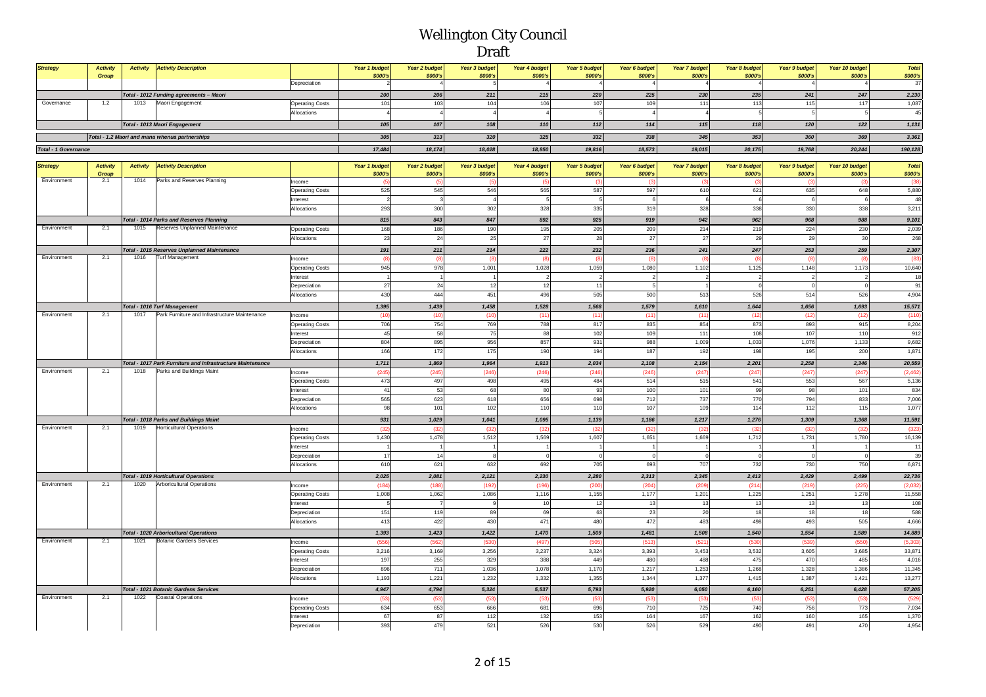| <b>Strategy</b>             | <b>Activity</b><br>Group                       | <b>Activity Activity Description</b>    |                        | Year 1 budget<br>\$000's | <b>Year 2 budget</b><br>\$000's | Year 3 budget<br>\$000's | Year 4 budget<br>\$000's | Year 5 budget<br><b>\$000's</b> | Year 6 budget<br>\$000's | <b>Year 7 budget</b><br>\$000's | Year 8 budget<br>\$000's | Year 9 budget<br>\$000's | Year 10 budget<br>\$000's | Total<br>\$000's |
|-----------------------------|------------------------------------------------|-----------------------------------------|------------------------|--------------------------|---------------------------------|--------------------------|--------------------------|---------------------------------|--------------------------|---------------------------------|--------------------------|--------------------------|---------------------------|------------------|
|                             |                                                |                                         | Depreciation           |                          |                                 |                          |                          |                                 |                          |                                 |                          |                          |                           |                  |
|                             |                                                | Total - 1012 Funding agreements - Maori |                        | 200                      | 206                             | 211                      | 215                      | 220                             | 225                      | 230                             | 235                      | 241                      | 247                       | 2,230            |
| Governance                  |                                                | Maori Engagement                        | <b>Operating Costs</b> | 101                      |                                 |                          |                          |                                 |                          |                                 |                          |                          | 117                       | 1,087            |
|                             |                                                |                                         | Allocations            |                          |                                 |                          |                          |                                 |                          |                                 |                          |                          |                           |                  |
|                             |                                                | Total - 1013 Maori Engagement           |                        | 105                      | 107                             | 108                      | 110                      |                                 | 114                      | 115                             | 118                      | 120                      | 122                       | 1,131            |
|                             | Total - 1.2 Maori and mana whenua partnerships |                                         |                        | 305                      | 313                             | 320                      | 325                      | 332                             | 338                      | 345                             | 353                      | 360                      | 369                       | 3,361            |
| <b>Total - 1 Governance</b> |                                                |                                         |                        | 17,484                   | 18.174                          | 18,028                   | 18,850                   | 19,816                          | 18,573                   | 19,015                          | 20,175                   | 19,768                   | 20,244                    | 190,128          |

| <b>Activity Description</b><br>\$000's<br>\$000's<br>\$000's<br>\$000's<br>\$000's<br>Group<br>\$000's<br>\$000's<br>\$000's<br>\$000's<br>\$000's<br>\$000's<br>2.1<br>1014<br>Parks and Reserves Planning<br>Income<br>(38)<br>$\frac{1}{2}$<br>(5)<br>(5)<br>(5)<br>(3)<br>(3)<br>(3)<br>(3)<br>- 13<br>545<br>597<br>5,880<br>525<br>546<br>565<br>587<br>610<br>621<br>635<br>648<br><b>Operating Costs</b><br>6<br>48<br>Interest<br>$\overline{3}$<br>-5<br>5<br>6<br>6<br>300<br>328<br>335<br>319<br>3,211<br>293<br>302<br>328<br>338<br>330<br>338<br>Allocations<br>815<br>843<br>847<br>892<br>925<br>919<br>942<br>962<br>968<br>988<br>Total - 1014 Parks and Reserves Planning<br>9,101<br>2.1<br>Reserves Unplanned Maintenance<br>186<br>2,039<br>Environment<br>1015<br>168<br>190<br>195<br>205<br>209<br>219<br>224<br>230<br>214<br><b>Operating Costs</b><br>24<br>27<br>25<br>28<br>27<br>268<br>23<br>27<br>29<br>30<br>Allocations<br>29<br>222<br>232<br>236<br><b>Total - 1015 Reserves Unplanned Maintenance</b><br>191<br>211<br>214<br>241<br>247<br>253<br>259<br>2,307<br><b>Turf Management</b><br>2.1<br>1016<br>Environment<br>Income<br>(8)<br>$^{(8)}$<br>(8)<br>(8)<br>(8)<br>$\overline{R}$<br>(83)<br>945<br>978<br>10,640<br>1,001<br>1,028<br>1,059<br>1,080<br>1,102<br>1,125<br>1,148<br>1,173<br><b>Operating Costs</b><br>18<br>Interest<br>$\overline{2}$<br>$\overline{2}$<br>$\overline{\phantom{a}}$<br>24<br>12<br>91<br>27<br>12<br>11<br>Depreciation<br>$\mathbf{0}$<br>$\overline{1}$<br>430<br>444<br>496<br>505<br>500<br>513<br>526<br>514<br>526<br>4,904<br>Allocations<br>451<br><b>Total - 1016 Turf Management</b><br>1,395<br>1,439<br>1,458<br>1,528<br>1,568<br>1,579<br>1,610<br>1,644<br>1,656<br>1,693<br>15,571<br>1017<br>Park Furniture and Infrastructure Maintenance<br>Environment<br>2.1<br>(10<br>(10)<br>(10)<br>(11)<br>(11)<br>(11)<br>(11)<br>(12)<br>(12)<br>(12)<br>(110)<br>Income<br>754<br>706<br>769<br>788<br>835<br>854<br>915<br>8,204<br>817<br>873<br>893<br><b>Operating Costs</b><br>58<br>75<br>88<br>102<br>109<br>108<br>912<br>45<br>110<br>111<br>107<br>Interest<br>895<br>988<br>804<br>956<br>857<br>931<br>1,009<br>1,033<br>1,076<br>1,133<br>9,682<br>Depreciation<br>190<br>166<br>172<br>175<br>194<br>187<br>192<br>198<br>195<br>1,871<br>Allocations<br>200<br>1,711<br>1,869<br>1,964<br>1,913<br>2,034<br>2,108<br>2,154<br>2,201<br>2,258<br>2,346<br>20,559<br>Total - 1017 Park Furniture and Infrastructure Maintenance<br>Environment<br>2.1<br>1018<br>Parks and Buildings Maint<br>Income<br>(245<br>(245)<br>(246)<br>(246)<br>(246)<br>(246)<br>(247)<br>(247)<br>(247)<br>(247)<br>(2, 462)<br>473<br>497<br>498<br>495<br>514<br>515<br>541<br>553<br>567<br>5,136<br>484<br><b>Operating Costs</b><br>53<br>68<br>80<br>93<br>100<br>99<br>101<br>834<br>Interest<br>41<br>101<br>98<br>565<br>623<br>656<br>712<br>737<br>770<br>7,006<br>618<br>698<br>794<br>833<br>Depreciation<br>101<br>102<br>110<br>110<br>107<br>114<br>115<br>1,077<br>Allocations<br>98<br>109<br>112<br><b>Total - 1018 Parks and Buildings Maint</b><br>931<br>1,029<br>1,041<br>1,095<br>1,139<br>1,186<br>1,217<br>1,276<br>1,309<br>1,368<br>11,591<br>Environment<br>2.1<br>1019<br><b>Horticultural Operations</b><br>(32)<br>(32)<br>(32)<br>(32)<br>(32)<br>(323)<br>Income<br>(32)<br>(32)<br>(32)<br>(32)<br>(32)<br>1,430<br>1,478<br>1,512<br>1,569<br>1,607<br>1,651<br>1,669<br>1,712<br>1,731<br>1,780<br>16,139<br><b>Operating Costs</b><br>Interest<br>11<br>39<br>17<br>14<br>$\Omega$<br>$\Omega$<br>$\Omega$<br>$\Omega$<br>Depreciation<br>610<br>621<br>692<br>705<br>707<br>730<br>750<br>6,871<br>632<br>693<br>732<br>Allocations<br><b>Total - 1019 Horticultural Operations</b><br>2,025<br>2,081<br>2,121<br>2,230<br>2,280<br>2,313<br>2,345<br>2,413<br>2,429<br>2,499<br>22,736<br>Environment<br>2.1<br>1020<br><b>Arboricultural Operations</b><br>(184)<br>(204)<br>(209)<br>(214)<br>(219)<br>(2,032)<br>(188)<br>(192)<br>(196)<br>(200)<br>(225<br>Income<br>1,251<br>11,558<br><b>Operating Costs</b><br>1,008<br>1,062<br>1,086<br>1,116<br>1,155<br>1,177<br>1,201<br>1,225<br>1,278<br>10<br>108<br>nterest<br>12<br>13<br>13<br>13<br>13<br>13<br>119<br>69<br>63<br>23<br>20<br>18<br>588<br>151<br>89<br>18<br>18<br>Depreciation<br>422<br>430<br>471<br>472<br>4,666<br>413<br>480<br>483<br>498<br>493<br>505<br>Allocations<br>1,393<br>1,423<br>1,481<br>1,508<br>1,540<br>1,589<br><b>Total - 1020 Arboricultural Operations</b><br>1,422<br>1,470<br>1,509<br>1,554<br>14,889<br>1021<br><b>Botanic Gardens Services</b><br>Environment<br>2.1<br>(556)<br>(562)<br>(530)<br>(521)<br>(539)<br>(5, 303)<br>Income<br>(497)<br>(505)<br>(513)<br>(530)<br>(550)<br>3,216<br>3,169<br>3,256<br>3,237<br>3,324<br>3,393<br>3,453<br>3,532<br>3,605<br>33,871<br><b>Operating Costs</b><br>3,685<br>255<br>197<br>329<br>388<br>449<br>480<br>488<br>475<br>470<br>485<br>4,016<br>nterest<br>896<br>711<br>1,078<br>11,345<br>1,036<br>1,170<br>1,217<br>1,253<br>1,268<br>1,328<br>1.386<br>Depreciation<br>1,344<br>13,277<br>1,193<br>1,221<br>1,232<br>1,332<br>1,355<br>1,377<br>1,415<br>1,387<br>1,421<br>Allocations<br>5,537<br>5,920<br>Total - 1021 Botanic Gardens Services<br>4,947<br>4,794<br>5,324<br>5,793<br>6,050<br>6,160<br>6,251<br>6,428<br>57,205<br>Environment<br>1022<br><b>Coastal Operations</b><br>2.1<br>(53)<br>(529)<br>Income<br>(53)<br>(53)<br>(53)<br>(53)<br>(53)<br>(53)<br>(53)<br>(53)<br>(53)<br>653<br>681<br>710<br>7,034<br>634<br>666<br>696<br>725<br>740<br>756<br>773<br><b>Operating Costs</b><br>87<br>132<br>67<br>112<br>153<br>164<br>167<br>162<br>160<br>165<br>Interest<br>526<br>526<br>4,954<br>393<br>479<br>521<br>530<br>490<br>470<br>529<br>491<br>Depreciation | <b>Strategy</b> | <b>Activity</b> | <b>Activity</b> |  | Year 1 budget | Year 2 budget | Year 3 budget | Year 4 budget | Year 5 budget | Year 6 budget | <b>Year 7 budget</b> | Year 8 budget | <b>Year 9 budget</b> | Year 10 budget | <b>Total</b> |
|-------------------------------------------------------------------------------------------------------------------------------------------------------------------------------------------------------------------------------------------------------------------------------------------------------------------------------------------------------------------------------------------------------------------------------------------------------------------------------------------------------------------------------------------------------------------------------------------------------------------------------------------------------------------------------------------------------------------------------------------------------------------------------------------------------------------------------------------------------------------------------------------------------------------------------------------------------------------------------------------------------------------------------------------------------------------------------------------------------------------------------------------------------------------------------------------------------------------------------------------------------------------------------------------------------------------------------------------------------------------------------------------------------------------------------------------------------------------------------------------------------------------------------------------------------------------------------------------------------------------------------------------------------------------------------------------------------------------------------------------------------------------------------------------------------------------------------------------------------------------------------------------------------------------------------------------------------------------------------------------------------------------------------------------------------------------------------------------------------------------------------------------------------------------------------------------------------------------------------------------------------------------------------------------------------------------------------------------------------------------------------------------------------------------------------------------------------------------------------------------------------------------------------------------------------------------------------------------------------------------------------------------------------------------------------------------------------------------------------------------------------------------------------------------------------------------------------------------------------------------------------------------------------------------------------------------------------------------------------------------------------------------------------------------------------------------------------------------------------------------------------------------------------------------------------------------------------------------------------------------------------------------------------------------------------------------------------------------------------------------------------------------------------------------------------------------------------------------------------------------------------------------------------------------------------------------------------------------------------------------------------------------------------------------------------------------------------------------------------------------------------------------------------------------------------------------------------------------------------------------------------------------------------------------------------------------------------------------------------------------------------------------------------------------------------------------------------------------------------------------------------------------------------------------------------------------------------------------------------------------------------------------------------------------------------------------------------------------------------------------------------------------------------------------------------------------------------------------------------------------------------------------------------------------------------------------------------------------------------------------------------------------------------------------------------------------------------------------------------------------------------------------------------------------------------------------------------------------------------------------------------------------------------------------------------------------------------------------------------------------------------------------------------------------------------------------------------------------------------------------------------------------------------------------------------------------------------------------------------------------------------------------------------------------------------------------------------------------------------------------------------------------------------------------------------------------------------------------------------------------------------------------------------------------------------------------------------------------------------------------------------------------------------------------------------------------------------------------------------------------------------------------------------------------------------------------------------------------------------------------------------------------|-----------------|-----------------|-----------------|--|---------------|---------------|---------------|---------------|---------------|---------------|----------------------|---------------|----------------------|----------------|--------------|
|                                                                                                                                                                                                                                                                                                                                                                                                                                                                                                                                                                                                                                                                                                                                                                                                                                                                                                                                                                                                                                                                                                                                                                                                                                                                                                                                                                                                                                                                                                                                                                                                                                                                                                                                                                                                                                                                                                                                                                                                                                                                                                                                                                                                                                                                                                                                                                                                                                                                                                                                                                                                                                                                                                                                                                                                                                                                                                                                                                                                                                                                                                                                                                                                                                                                                                                                                                                                                                                                                                                                                                                                                                                                                                                                                                                                                                                                                                                                                                                                                                                                                                                                                                                                                                                                                                                                                                                                                                                                                                                                                                                                                                                                                                                                                                                                                                                                                                                                                                                                                                                                                                                                                                                                                                                                                                                                                                                                                                                                                                                                                                                                                                                                                                                                                                                                                                                                                           |                 |                 |                 |  |               |               |               |               |               |               |                      |               |                      |                |              |
|                                                                                                                                                                                                                                                                                                                                                                                                                                                                                                                                                                                                                                                                                                                                                                                                                                                                                                                                                                                                                                                                                                                                                                                                                                                                                                                                                                                                                                                                                                                                                                                                                                                                                                                                                                                                                                                                                                                                                                                                                                                                                                                                                                                                                                                                                                                                                                                                                                                                                                                                                                                                                                                                                                                                                                                                                                                                                                                                                                                                                                                                                                                                                                                                                                                                                                                                                                                                                                                                                                                                                                                                                                                                                                                                                                                                                                                                                                                                                                                                                                                                                                                                                                                                                                                                                                                                                                                                                                                                                                                                                                                                                                                                                                                                                                                                                                                                                                                                                                                                                                                                                                                                                                                                                                                                                                                                                                                                                                                                                                                                                                                                                                                                                                                                                                                                                                                                                           | Environment     |                 |                 |  |               |               |               |               |               |               |                      |               |                      |                |              |
|                                                                                                                                                                                                                                                                                                                                                                                                                                                                                                                                                                                                                                                                                                                                                                                                                                                                                                                                                                                                                                                                                                                                                                                                                                                                                                                                                                                                                                                                                                                                                                                                                                                                                                                                                                                                                                                                                                                                                                                                                                                                                                                                                                                                                                                                                                                                                                                                                                                                                                                                                                                                                                                                                                                                                                                                                                                                                                                                                                                                                                                                                                                                                                                                                                                                                                                                                                                                                                                                                                                                                                                                                                                                                                                                                                                                                                                                                                                                                                                                                                                                                                                                                                                                                                                                                                                                                                                                                                                                                                                                                                                                                                                                                                                                                                                                                                                                                                                                                                                                                                                                                                                                                                                                                                                                                                                                                                                                                                                                                                                                                                                                                                                                                                                                                                                                                                                                                           |                 |                 |                 |  |               |               |               |               |               |               |                      |               |                      |                |              |
|                                                                                                                                                                                                                                                                                                                                                                                                                                                                                                                                                                                                                                                                                                                                                                                                                                                                                                                                                                                                                                                                                                                                                                                                                                                                                                                                                                                                                                                                                                                                                                                                                                                                                                                                                                                                                                                                                                                                                                                                                                                                                                                                                                                                                                                                                                                                                                                                                                                                                                                                                                                                                                                                                                                                                                                                                                                                                                                                                                                                                                                                                                                                                                                                                                                                                                                                                                                                                                                                                                                                                                                                                                                                                                                                                                                                                                                                                                                                                                                                                                                                                                                                                                                                                                                                                                                                                                                                                                                                                                                                                                                                                                                                                                                                                                                                                                                                                                                                                                                                                                                                                                                                                                                                                                                                                                                                                                                                                                                                                                                                                                                                                                                                                                                                                                                                                                                                                           |                 |                 |                 |  |               |               |               |               |               |               |                      |               |                      |                |              |
|                                                                                                                                                                                                                                                                                                                                                                                                                                                                                                                                                                                                                                                                                                                                                                                                                                                                                                                                                                                                                                                                                                                                                                                                                                                                                                                                                                                                                                                                                                                                                                                                                                                                                                                                                                                                                                                                                                                                                                                                                                                                                                                                                                                                                                                                                                                                                                                                                                                                                                                                                                                                                                                                                                                                                                                                                                                                                                                                                                                                                                                                                                                                                                                                                                                                                                                                                                                                                                                                                                                                                                                                                                                                                                                                                                                                                                                                                                                                                                                                                                                                                                                                                                                                                                                                                                                                                                                                                                                                                                                                                                                                                                                                                                                                                                                                                                                                                                                                                                                                                                                                                                                                                                                                                                                                                                                                                                                                                                                                                                                                                                                                                                                                                                                                                                                                                                                                                           |                 |                 |                 |  |               |               |               |               |               |               |                      |               |                      |                |              |
|                                                                                                                                                                                                                                                                                                                                                                                                                                                                                                                                                                                                                                                                                                                                                                                                                                                                                                                                                                                                                                                                                                                                                                                                                                                                                                                                                                                                                                                                                                                                                                                                                                                                                                                                                                                                                                                                                                                                                                                                                                                                                                                                                                                                                                                                                                                                                                                                                                                                                                                                                                                                                                                                                                                                                                                                                                                                                                                                                                                                                                                                                                                                                                                                                                                                                                                                                                                                                                                                                                                                                                                                                                                                                                                                                                                                                                                                                                                                                                                                                                                                                                                                                                                                                                                                                                                                                                                                                                                                                                                                                                                                                                                                                                                                                                                                                                                                                                                                                                                                                                                                                                                                                                                                                                                                                                                                                                                                                                                                                                                                                                                                                                                                                                                                                                                                                                                                                           |                 |                 |                 |  |               |               |               |               |               |               |                      |               |                      |                |              |
|                                                                                                                                                                                                                                                                                                                                                                                                                                                                                                                                                                                                                                                                                                                                                                                                                                                                                                                                                                                                                                                                                                                                                                                                                                                                                                                                                                                                                                                                                                                                                                                                                                                                                                                                                                                                                                                                                                                                                                                                                                                                                                                                                                                                                                                                                                                                                                                                                                                                                                                                                                                                                                                                                                                                                                                                                                                                                                                                                                                                                                                                                                                                                                                                                                                                                                                                                                                                                                                                                                                                                                                                                                                                                                                                                                                                                                                                                                                                                                                                                                                                                                                                                                                                                                                                                                                                                                                                                                                                                                                                                                                                                                                                                                                                                                                                                                                                                                                                                                                                                                                                                                                                                                                                                                                                                                                                                                                                                                                                                                                                                                                                                                                                                                                                                                                                                                                                                           |                 |                 |                 |  |               |               |               |               |               |               |                      |               |                      |                |              |
|                                                                                                                                                                                                                                                                                                                                                                                                                                                                                                                                                                                                                                                                                                                                                                                                                                                                                                                                                                                                                                                                                                                                                                                                                                                                                                                                                                                                                                                                                                                                                                                                                                                                                                                                                                                                                                                                                                                                                                                                                                                                                                                                                                                                                                                                                                                                                                                                                                                                                                                                                                                                                                                                                                                                                                                                                                                                                                                                                                                                                                                                                                                                                                                                                                                                                                                                                                                                                                                                                                                                                                                                                                                                                                                                                                                                                                                                                                                                                                                                                                                                                                                                                                                                                                                                                                                                                                                                                                                                                                                                                                                                                                                                                                                                                                                                                                                                                                                                                                                                                                                                                                                                                                                                                                                                                                                                                                                                                                                                                                                                                                                                                                                                                                                                                                                                                                                                                           |                 |                 |                 |  |               |               |               |               |               |               |                      |               |                      |                |              |
|                                                                                                                                                                                                                                                                                                                                                                                                                                                                                                                                                                                                                                                                                                                                                                                                                                                                                                                                                                                                                                                                                                                                                                                                                                                                                                                                                                                                                                                                                                                                                                                                                                                                                                                                                                                                                                                                                                                                                                                                                                                                                                                                                                                                                                                                                                                                                                                                                                                                                                                                                                                                                                                                                                                                                                                                                                                                                                                                                                                                                                                                                                                                                                                                                                                                                                                                                                                                                                                                                                                                                                                                                                                                                                                                                                                                                                                                                                                                                                                                                                                                                                                                                                                                                                                                                                                                                                                                                                                                                                                                                                                                                                                                                                                                                                                                                                                                                                                                                                                                                                                                                                                                                                                                                                                                                                                                                                                                                                                                                                                                                                                                                                                                                                                                                                                                                                                                                           |                 |                 |                 |  |               |               |               |               |               |               |                      |               |                      |                |              |
|                                                                                                                                                                                                                                                                                                                                                                                                                                                                                                                                                                                                                                                                                                                                                                                                                                                                                                                                                                                                                                                                                                                                                                                                                                                                                                                                                                                                                                                                                                                                                                                                                                                                                                                                                                                                                                                                                                                                                                                                                                                                                                                                                                                                                                                                                                                                                                                                                                                                                                                                                                                                                                                                                                                                                                                                                                                                                                                                                                                                                                                                                                                                                                                                                                                                                                                                                                                                                                                                                                                                                                                                                                                                                                                                                                                                                                                                                                                                                                                                                                                                                                                                                                                                                                                                                                                                                                                                                                                                                                                                                                                                                                                                                                                                                                                                                                                                                                                                                                                                                                                                                                                                                                                                                                                                                                                                                                                                                                                                                                                                                                                                                                                                                                                                                                                                                                                                                           |                 |                 |                 |  |               |               |               |               |               |               |                      |               |                      |                |              |
|                                                                                                                                                                                                                                                                                                                                                                                                                                                                                                                                                                                                                                                                                                                                                                                                                                                                                                                                                                                                                                                                                                                                                                                                                                                                                                                                                                                                                                                                                                                                                                                                                                                                                                                                                                                                                                                                                                                                                                                                                                                                                                                                                                                                                                                                                                                                                                                                                                                                                                                                                                                                                                                                                                                                                                                                                                                                                                                                                                                                                                                                                                                                                                                                                                                                                                                                                                                                                                                                                                                                                                                                                                                                                                                                                                                                                                                                                                                                                                                                                                                                                                                                                                                                                                                                                                                                                                                                                                                                                                                                                                                                                                                                                                                                                                                                                                                                                                                                                                                                                                                                                                                                                                                                                                                                                                                                                                                                                                                                                                                                                                                                                                                                                                                                                                                                                                                                                           |                 |                 |                 |  |               |               |               |               |               |               |                      |               |                      |                |              |
|                                                                                                                                                                                                                                                                                                                                                                                                                                                                                                                                                                                                                                                                                                                                                                                                                                                                                                                                                                                                                                                                                                                                                                                                                                                                                                                                                                                                                                                                                                                                                                                                                                                                                                                                                                                                                                                                                                                                                                                                                                                                                                                                                                                                                                                                                                                                                                                                                                                                                                                                                                                                                                                                                                                                                                                                                                                                                                                                                                                                                                                                                                                                                                                                                                                                                                                                                                                                                                                                                                                                                                                                                                                                                                                                                                                                                                                                                                                                                                                                                                                                                                                                                                                                                                                                                                                                                                                                                                                                                                                                                                                                                                                                                                                                                                                                                                                                                                                                                                                                                                                                                                                                                                                                                                                                                                                                                                                                                                                                                                                                                                                                                                                                                                                                                                                                                                                                                           |                 |                 |                 |  |               |               |               |               |               |               |                      |               |                      |                |              |
|                                                                                                                                                                                                                                                                                                                                                                                                                                                                                                                                                                                                                                                                                                                                                                                                                                                                                                                                                                                                                                                                                                                                                                                                                                                                                                                                                                                                                                                                                                                                                                                                                                                                                                                                                                                                                                                                                                                                                                                                                                                                                                                                                                                                                                                                                                                                                                                                                                                                                                                                                                                                                                                                                                                                                                                                                                                                                                                                                                                                                                                                                                                                                                                                                                                                                                                                                                                                                                                                                                                                                                                                                                                                                                                                                                                                                                                                                                                                                                                                                                                                                                                                                                                                                                                                                                                                                                                                                                                                                                                                                                                                                                                                                                                                                                                                                                                                                                                                                                                                                                                                                                                                                                                                                                                                                                                                                                                                                                                                                                                                                                                                                                                                                                                                                                                                                                                                                           |                 |                 |                 |  |               |               |               |               |               |               |                      |               |                      |                |              |
|                                                                                                                                                                                                                                                                                                                                                                                                                                                                                                                                                                                                                                                                                                                                                                                                                                                                                                                                                                                                                                                                                                                                                                                                                                                                                                                                                                                                                                                                                                                                                                                                                                                                                                                                                                                                                                                                                                                                                                                                                                                                                                                                                                                                                                                                                                                                                                                                                                                                                                                                                                                                                                                                                                                                                                                                                                                                                                                                                                                                                                                                                                                                                                                                                                                                                                                                                                                                                                                                                                                                                                                                                                                                                                                                                                                                                                                                                                                                                                                                                                                                                                                                                                                                                                                                                                                                                                                                                                                                                                                                                                                                                                                                                                                                                                                                                                                                                                                                                                                                                                                                                                                                                                                                                                                                                                                                                                                                                                                                                                                                                                                                                                                                                                                                                                                                                                                                                           |                 |                 |                 |  |               |               |               |               |               |               |                      |               |                      |                |              |
|                                                                                                                                                                                                                                                                                                                                                                                                                                                                                                                                                                                                                                                                                                                                                                                                                                                                                                                                                                                                                                                                                                                                                                                                                                                                                                                                                                                                                                                                                                                                                                                                                                                                                                                                                                                                                                                                                                                                                                                                                                                                                                                                                                                                                                                                                                                                                                                                                                                                                                                                                                                                                                                                                                                                                                                                                                                                                                                                                                                                                                                                                                                                                                                                                                                                                                                                                                                                                                                                                                                                                                                                                                                                                                                                                                                                                                                                                                                                                                                                                                                                                                                                                                                                                                                                                                                                                                                                                                                                                                                                                                                                                                                                                                                                                                                                                                                                                                                                                                                                                                                                                                                                                                                                                                                                                                                                                                                                                                                                                                                                                                                                                                                                                                                                                                                                                                                                                           |                 |                 |                 |  |               |               |               |               |               |               |                      |               |                      |                |              |
|                                                                                                                                                                                                                                                                                                                                                                                                                                                                                                                                                                                                                                                                                                                                                                                                                                                                                                                                                                                                                                                                                                                                                                                                                                                                                                                                                                                                                                                                                                                                                                                                                                                                                                                                                                                                                                                                                                                                                                                                                                                                                                                                                                                                                                                                                                                                                                                                                                                                                                                                                                                                                                                                                                                                                                                                                                                                                                                                                                                                                                                                                                                                                                                                                                                                                                                                                                                                                                                                                                                                                                                                                                                                                                                                                                                                                                                                                                                                                                                                                                                                                                                                                                                                                                                                                                                                                                                                                                                                                                                                                                                                                                                                                                                                                                                                                                                                                                                                                                                                                                                                                                                                                                                                                                                                                                                                                                                                                                                                                                                                                                                                                                                                                                                                                                                                                                                                                           |                 |                 |                 |  |               |               |               |               |               |               |                      |               |                      |                |              |
|                                                                                                                                                                                                                                                                                                                                                                                                                                                                                                                                                                                                                                                                                                                                                                                                                                                                                                                                                                                                                                                                                                                                                                                                                                                                                                                                                                                                                                                                                                                                                                                                                                                                                                                                                                                                                                                                                                                                                                                                                                                                                                                                                                                                                                                                                                                                                                                                                                                                                                                                                                                                                                                                                                                                                                                                                                                                                                                                                                                                                                                                                                                                                                                                                                                                                                                                                                                                                                                                                                                                                                                                                                                                                                                                                                                                                                                                                                                                                                                                                                                                                                                                                                                                                                                                                                                                                                                                                                                                                                                                                                                                                                                                                                                                                                                                                                                                                                                                                                                                                                                                                                                                                                                                                                                                                                                                                                                                                                                                                                                                                                                                                                                                                                                                                                                                                                                                                           |                 |                 |                 |  |               |               |               |               |               |               |                      |               |                      |                |              |
|                                                                                                                                                                                                                                                                                                                                                                                                                                                                                                                                                                                                                                                                                                                                                                                                                                                                                                                                                                                                                                                                                                                                                                                                                                                                                                                                                                                                                                                                                                                                                                                                                                                                                                                                                                                                                                                                                                                                                                                                                                                                                                                                                                                                                                                                                                                                                                                                                                                                                                                                                                                                                                                                                                                                                                                                                                                                                                                                                                                                                                                                                                                                                                                                                                                                                                                                                                                                                                                                                                                                                                                                                                                                                                                                                                                                                                                                                                                                                                                                                                                                                                                                                                                                                                                                                                                                                                                                                                                                                                                                                                                                                                                                                                                                                                                                                                                                                                                                                                                                                                                                                                                                                                                                                                                                                                                                                                                                                                                                                                                                                                                                                                                                                                                                                                                                                                                                                           |                 |                 |                 |  |               |               |               |               |               |               |                      |               |                      |                |              |
|                                                                                                                                                                                                                                                                                                                                                                                                                                                                                                                                                                                                                                                                                                                                                                                                                                                                                                                                                                                                                                                                                                                                                                                                                                                                                                                                                                                                                                                                                                                                                                                                                                                                                                                                                                                                                                                                                                                                                                                                                                                                                                                                                                                                                                                                                                                                                                                                                                                                                                                                                                                                                                                                                                                                                                                                                                                                                                                                                                                                                                                                                                                                                                                                                                                                                                                                                                                                                                                                                                                                                                                                                                                                                                                                                                                                                                                                                                                                                                                                                                                                                                                                                                                                                                                                                                                                                                                                                                                                                                                                                                                                                                                                                                                                                                                                                                                                                                                                                                                                                                                                                                                                                                                                                                                                                                                                                                                                                                                                                                                                                                                                                                                                                                                                                                                                                                                                                           |                 |                 |                 |  |               |               |               |               |               |               |                      |               |                      |                |              |
|                                                                                                                                                                                                                                                                                                                                                                                                                                                                                                                                                                                                                                                                                                                                                                                                                                                                                                                                                                                                                                                                                                                                                                                                                                                                                                                                                                                                                                                                                                                                                                                                                                                                                                                                                                                                                                                                                                                                                                                                                                                                                                                                                                                                                                                                                                                                                                                                                                                                                                                                                                                                                                                                                                                                                                                                                                                                                                                                                                                                                                                                                                                                                                                                                                                                                                                                                                                                                                                                                                                                                                                                                                                                                                                                                                                                                                                                                                                                                                                                                                                                                                                                                                                                                                                                                                                                                                                                                                                                                                                                                                                                                                                                                                                                                                                                                                                                                                                                                                                                                                                                                                                                                                                                                                                                                                                                                                                                                                                                                                                                                                                                                                                                                                                                                                                                                                                                                           |                 |                 |                 |  |               |               |               |               |               |               |                      |               |                      |                |              |
|                                                                                                                                                                                                                                                                                                                                                                                                                                                                                                                                                                                                                                                                                                                                                                                                                                                                                                                                                                                                                                                                                                                                                                                                                                                                                                                                                                                                                                                                                                                                                                                                                                                                                                                                                                                                                                                                                                                                                                                                                                                                                                                                                                                                                                                                                                                                                                                                                                                                                                                                                                                                                                                                                                                                                                                                                                                                                                                                                                                                                                                                                                                                                                                                                                                                                                                                                                                                                                                                                                                                                                                                                                                                                                                                                                                                                                                                                                                                                                                                                                                                                                                                                                                                                                                                                                                                                                                                                                                                                                                                                                                                                                                                                                                                                                                                                                                                                                                                                                                                                                                                                                                                                                                                                                                                                                                                                                                                                                                                                                                                                                                                                                                                                                                                                                                                                                                                                           |                 |                 |                 |  |               |               |               |               |               |               |                      |               |                      |                |              |
|                                                                                                                                                                                                                                                                                                                                                                                                                                                                                                                                                                                                                                                                                                                                                                                                                                                                                                                                                                                                                                                                                                                                                                                                                                                                                                                                                                                                                                                                                                                                                                                                                                                                                                                                                                                                                                                                                                                                                                                                                                                                                                                                                                                                                                                                                                                                                                                                                                                                                                                                                                                                                                                                                                                                                                                                                                                                                                                                                                                                                                                                                                                                                                                                                                                                                                                                                                                                                                                                                                                                                                                                                                                                                                                                                                                                                                                                                                                                                                                                                                                                                                                                                                                                                                                                                                                                                                                                                                                                                                                                                                                                                                                                                                                                                                                                                                                                                                                                                                                                                                                                                                                                                                                                                                                                                                                                                                                                                                                                                                                                                                                                                                                                                                                                                                                                                                                                                           |                 |                 |                 |  |               |               |               |               |               |               |                      |               |                      |                |              |
|                                                                                                                                                                                                                                                                                                                                                                                                                                                                                                                                                                                                                                                                                                                                                                                                                                                                                                                                                                                                                                                                                                                                                                                                                                                                                                                                                                                                                                                                                                                                                                                                                                                                                                                                                                                                                                                                                                                                                                                                                                                                                                                                                                                                                                                                                                                                                                                                                                                                                                                                                                                                                                                                                                                                                                                                                                                                                                                                                                                                                                                                                                                                                                                                                                                                                                                                                                                                                                                                                                                                                                                                                                                                                                                                                                                                                                                                                                                                                                                                                                                                                                                                                                                                                                                                                                                                                                                                                                                                                                                                                                                                                                                                                                                                                                                                                                                                                                                                                                                                                                                                                                                                                                                                                                                                                                                                                                                                                                                                                                                                                                                                                                                                                                                                                                                                                                                                                           |                 |                 |                 |  |               |               |               |               |               |               |                      |               |                      |                |              |
|                                                                                                                                                                                                                                                                                                                                                                                                                                                                                                                                                                                                                                                                                                                                                                                                                                                                                                                                                                                                                                                                                                                                                                                                                                                                                                                                                                                                                                                                                                                                                                                                                                                                                                                                                                                                                                                                                                                                                                                                                                                                                                                                                                                                                                                                                                                                                                                                                                                                                                                                                                                                                                                                                                                                                                                                                                                                                                                                                                                                                                                                                                                                                                                                                                                                                                                                                                                                                                                                                                                                                                                                                                                                                                                                                                                                                                                                                                                                                                                                                                                                                                                                                                                                                                                                                                                                                                                                                                                                                                                                                                                                                                                                                                                                                                                                                                                                                                                                                                                                                                                                                                                                                                                                                                                                                                                                                                                                                                                                                                                                                                                                                                                                                                                                                                                                                                                                                           |                 |                 |                 |  |               |               |               |               |               |               |                      |               |                      |                |              |
|                                                                                                                                                                                                                                                                                                                                                                                                                                                                                                                                                                                                                                                                                                                                                                                                                                                                                                                                                                                                                                                                                                                                                                                                                                                                                                                                                                                                                                                                                                                                                                                                                                                                                                                                                                                                                                                                                                                                                                                                                                                                                                                                                                                                                                                                                                                                                                                                                                                                                                                                                                                                                                                                                                                                                                                                                                                                                                                                                                                                                                                                                                                                                                                                                                                                                                                                                                                                                                                                                                                                                                                                                                                                                                                                                                                                                                                                                                                                                                                                                                                                                                                                                                                                                                                                                                                                                                                                                                                                                                                                                                                                                                                                                                                                                                                                                                                                                                                                                                                                                                                                                                                                                                                                                                                                                                                                                                                                                                                                                                                                                                                                                                                                                                                                                                                                                                                                                           |                 |                 |                 |  |               |               |               |               |               |               |                      |               |                      |                |              |
|                                                                                                                                                                                                                                                                                                                                                                                                                                                                                                                                                                                                                                                                                                                                                                                                                                                                                                                                                                                                                                                                                                                                                                                                                                                                                                                                                                                                                                                                                                                                                                                                                                                                                                                                                                                                                                                                                                                                                                                                                                                                                                                                                                                                                                                                                                                                                                                                                                                                                                                                                                                                                                                                                                                                                                                                                                                                                                                                                                                                                                                                                                                                                                                                                                                                                                                                                                                                                                                                                                                                                                                                                                                                                                                                                                                                                                                                                                                                                                                                                                                                                                                                                                                                                                                                                                                                                                                                                                                                                                                                                                                                                                                                                                                                                                                                                                                                                                                                                                                                                                                                                                                                                                                                                                                                                                                                                                                                                                                                                                                                                                                                                                                                                                                                                                                                                                                                                           |                 |                 |                 |  |               |               |               |               |               |               |                      |               |                      |                |              |
|                                                                                                                                                                                                                                                                                                                                                                                                                                                                                                                                                                                                                                                                                                                                                                                                                                                                                                                                                                                                                                                                                                                                                                                                                                                                                                                                                                                                                                                                                                                                                                                                                                                                                                                                                                                                                                                                                                                                                                                                                                                                                                                                                                                                                                                                                                                                                                                                                                                                                                                                                                                                                                                                                                                                                                                                                                                                                                                                                                                                                                                                                                                                                                                                                                                                                                                                                                                                                                                                                                                                                                                                                                                                                                                                                                                                                                                                                                                                                                                                                                                                                                                                                                                                                                                                                                                                                                                                                                                                                                                                                                                                                                                                                                                                                                                                                                                                                                                                                                                                                                                                                                                                                                                                                                                                                                                                                                                                                                                                                                                                                                                                                                                                                                                                                                                                                                                                                           |                 |                 |                 |  |               |               |               |               |               |               |                      |               |                      |                |              |
|                                                                                                                                                                                                                                                                                                                                                                                                                                                                                                                                                                                                                                                                                                                                                                                                                                                                                                                                                                                                                                                                                                                                                                                                                                                                                                                                                                                                                                                                                                                                                                                                                                                                                                                                                                                                                                                                                                                                                                                                                                                                                                                                                                                                                                                                                                                                                                                                                                                                                                                                                                                                                                                                                                                                                                                                                                                                                                                                                                                                                                                                                                                                                                                                                                                                                                                                                                                                                                                                                                                                                                                                                                                                                                                                                                                                                                                                                                                                                                                                                                                                                                                                                                                                                                                                                                                                                                                                                                                                                                                                                                                                                                                                                                                                                                                                                                                                                                                                                                                                                                                                                                                                                                                                                                                                                                                                                                                                                                                                                                                                                                                                                                                                                                                                                                                                                                                                                           |                 |                 |                 |  |               |               |               |               |               |               |                      |               |                      |                |              |
|                                                                                                                                                                                                                                                                                                                                                                                                                                                                                                                                                                                                                                                                                                                                                                                                                                                                                                                                                                                                                                                                                                                                                                                                                                                                                                                                                                                                                                                                                                                                                                                                                                                                                                                                                                                                                                                                                                                                                                                                                                                                                                                                                                                                                                                                                                                                                                                                                                                                                                                                                                                                                                                                                                                                                                                                                                                                                                                                                                                                                                                                                                                                                                                                                                                                                                                                                                                                                                                                                                                                                                                                                                                                                                                                                                                                                                                                                                                                                                                                                                                                                                                                                                                                                                                                                                                                                                                                                                                                                                                                                                                                                                                                                                                                                                                                                                                                                                                                                                                                                                                                                                                                                                                                                                                                                                                                                                                                                                                                                                                                                                                                                                                                                                                                                                                                                                                                                           |                 |                 |                 |  |               |               |               |               |               |               |                      |               |                      |                |              |
|                                                                                                                                                                                                                                                                                                                                                                                                                                                                                                                                                                                                                                                                                                                                                                                                                                                                                                                                                                                                                                                                                                                                                                                                                                                                                                                                                                                                                                                                                                                                                                                                                                                                                                                                                                                                                                                                                                                                                                                                                                                                                                                                                                                                                                                                                                                                                                                                                                                                                                                                                                                                                                                                                                                                                                                                                                                                                                                                                                                                                                                                                                                                                                                                                                                                                                                                                                                                                                                                                                                                                                                                                                                                                                                                                                                                                                                                                                                                                                                                                                                                                                                                                                                                                                                                                                                                                                                                                                                                                                                                                                                                                                                                                                                                                                                                                                                                                                                                                                                                                                                                                                                                                                                                                                                                                                                                                                                                                                                                                                                                                                                                                                                                                                                                                                                                                                                                                           |                 |                 |                 |  |               |               |               |               |               |               |                      |               |                      |                |              |
|                                                                                                                                                                                                                                                                                                                                                                                                                                                                                                                                                                                                                                                                                                                                                                                                                                                                                                                                                                                                                                                                                                                                                                                                                                                                                                                                                                                                                                                                                                                                                                                                                                                                                                                                                                                                                                                                                                                                                                                                                                                                                                                                                                                                                                                                                                                                                                                                                                                                                                                                                                                                                                                                                                                                                                                                                                                                                                                                                                                                                                                                                                                                                                                                                                                                                                                                                                                                                                                                                                                                                                                                                                                                                                                                                                                                                                                                                                                                                                                                                                                                                                                                                                                                                                                                                                                                                                                                                                                                                                                                                                                                                                                                                                                                                                                                                                                                                                                                                                                                                                                                                                                                                                                                                                                                                                                                                                                                                                                                                                                                                                                                                                                                                                                                                                                                                                                                                           |                 |                 |                 |  |               |               |               |               |               |               |                      |               |                      |                |              |
|                                                                                                                                                                                                                                                                                                                                                                                                                                                                                                                                                                                                                                                                                                                                                                                                                                                                                                                                                                                                                                                                                                                                                                                                                                                                                                                                                                                                                                                                                                                                                                                                                                                                                                                                                                                                                                                                                                                                                                                                                                                                                                                                                                                                                                                                                                                                                                                                                                                                                                                                                                                                                                                                                                                                                                                                                                                                                                                                                                                                                                                                                                                                                                                                                                                                                                                                                                                                                                                                                                                                                                                                                                                                                                                                                                                                                                                                                                                                                                                                                                                                                                                                                                                                                                                                                                                                                                                                                                                                                                                                                                                                                                                                                                                                                                                                                                                                                                                                                                                                                                                                                                                                                                                                                                                                                                                                                                                                                                                                                                                                                                                                                                                                                                                                                                                                                                                                                           |                 |                 |                 |  |               |               |               |               |               |               |                      |               |                      |                |              |
|                                                                                                                                                                                                                                                                                                                                                                                                                                                                                                                                                                                                                                                                                                                                                                                                                                                                                                                                                                                                                                                                                                                                                                                                                                                                                                                                                                                                                                                                                                                                                                                                                                                                                                                                                                                                                                                                                                                                                                                                                                                                                                                                                                                                                                                                                                                                                                                                                                                                                                                                                                                                                                                                                                                                                                                                                                                                                                                                                                                                                                                                                                                                                                                                                                                                                                                                                                                                                                                                                                                                                                                                                                                                                                                                                                                                                                                                                                                                                                                                                                                                                                                                                                                                                                                                                                                                                                                                                                                                                                                                                                                                                                                                                                                                                                                                                                                                                                                                                                                                                                                                                                                                                                                                                                                                                                                                                                                                                                                                                                                                                                                                                                                                                                                                                                                                                                                                                           |                 |                 |                 |  |               |               |               |               |               |               |                      |               |                      |                |              |
|                                                                                                                                                                                                                                                                                                                                                                                                                                                                                                                                                                                                                                                                                                                                                                                                                                                                                                                                                                                                                                                                                                                                                                                                                                                                                                                                                                                                                                                                                                                                                                                                                                                                                                                                                                                                                                                                                                                                                                                                                                                                                                                                                                                                                                                                                                                                                                                                                                                                                                                                                                                                                                                                                                                                                                                                                                                                                                                                                                                                                                                                                                                                                                                                                                                                                                                                                                                                                                                                                                                                                                                                                                                                                                                                                                                                                                                                                                                                                                                                                                                                                                                                                                                                                                                                                                                                                                                                                                                                                                                                                                                                                                                                                                                                                                                                                                                                                                                                                                                                                                                                                                                                                                                                                                                                                                                                                                                                                                                                                                                                                                                                                                                                                                                                                                                                                                                                                           |                 |                 |                 |  |               |               |               |               |               |               |                      |               |                      |                |              |
|                                                                                                                                                                                                                                                                                                                                                                                                                                                                                                                                                                                                                                                                                                                                                                                                                                                                                                                                                                                                                                                                                                                                                                                                                                                                                                                                                                                                                                                                                                                                                                                                                                                                                                                                                                                                                                                                                                                                                                                                                                                                                                                                                                                                                                                                                                                                                                                                                                                                                                                                                                                                                                                                                                                                                                                                                                                                                                                                                                                                                                                                                                                                                                                                                                                                                                                                                                                                                                                                                                                                                                                                                                                                                                                                                                                                                                                                                                                                                                                                                                                                                                                                                                                                                                                                                                                                                                                                                                                                                                                                                                                                                                                                                                                                                                                                                                                                                                                                                                                                                                                                                                                                                                                                                                                                                                                                                                                                                                                                                                                                                                                                                                                                                                                                                                                                                                                                                           |                 |                 |                 |  |               |               |               |               |               |               |                      |               |                      |                |              |
|                                                                                                                                                                                                                                                                                                                                                                                                                                                                                                                                                                                                                                                                                                                                                                                                                                                                                                                                                                                                                                                                                                                                                                                                                                                                                                                                                                                                                                                                                                                                                                                                                                                                                                                                                                                                                                                                                                                                                                                                                                                                                                                                                                                                                                                                                                                                                                                                                                                                                                                                                                                                                                                                                                                                                                                                                                                                                                                                                                                                                                                                                                                                                                                                                                                                                                                                                                                                                                                                                                                                                                                                                                                                                                                                                                                                                                                                                                                                                                                                                                                                                                                                                                                                                                                                                                                                                                                                                                                                                                                                                                                                                                                                                                                                                                                                                                                                                                                                                                                                                                                                                                                                                                                                                                                                                                                                                                                                                                                                                                                                                                                                                                                                                                                                                                                                                                                                                           |                 |                 |                 |  |               |               |               |               |               |               |                      |               |                      |                |              |
|                                                                                                                                                                                                                                                                                                                                                                                                                                                                                                                                                                                                                                                                                                                                                                                                                                                                                                                                                                                                                                                                                                                                                                                                                                                                                                                                                                                                                                                                                                                                                                                                                                                                                                                                                                                                                                                                                                                                                                                                                                                                                                                                                                                                                                                                                                                                                                                                                                                                                                                                                                                                                                                                                                                                                                                                                                                                                                                                                                                                                                                                                                                                                                                                                                                                                                                                                                                                                                                                                                                                                                                                                                                                                                                                                                                                                                                                                                                                                                                                                                                                                                                                                                                                                                                                                                                                                                                                                                                                                                                                                                                                                                                                                                                                                                                                                                                                                                                                                                                                                                                                                                                                                                                                                                                                                                                                                                                                                                                                                                                                                                                                                                                                                                                                                                                                                                                                                           |                 |                 |                 |  |               |               |               |               |               |               |                      |               |                      |                |              |
|                                                                                                                                                                                                                                                                                                                                                                                                                                                                                                                                                                                                                                                                                                                                                                                                                                                                                                                                                                                                                                                                                                                                                                                                                                                                                                                                                                                                                                                                                                                                                                                                                                                                                                                                                                                                                                                                                                                                                                                                                                                                                                                                                                                                                                                                                                                                                                                                                                                                                                                                                                                                                                                                                                                                                                                                                                                                                                                                                                                                                                                                                                                                                                                                                                                                                                                                                                                                                                                                                                                                                                                                                                                                                                                                                                                                                                                                                                                                                                                                                                                                                                                                                                                                                                                                                                                                                                                                                                                                                                                                                                                                                                                                                                                                                                                                                                                                                                                                                                                                                                                                                                                                                                                                                                                                                                                                                                                                                                                                                                                                                                                                                                                                                                                                                                                                                                                                                           |                 |                 |                 |  |               |               |               |               |               |               |                      |               |                      |                |              |
|                                                                                                                                                                                                                                                                                                                                                                                                                                                                                                                                                                                                                                                                                                                                                                                                                                                                                                                                                                                                                                                                                                                                                                                                                                                                                                                                                                                                                                                                                                                                                                                                                                                                                                                                                                                                                                                                                                                                                                                                                                                                                                                                                                                                                                                                                                                                                                                                                                                                                                                                                                                                                                                                                                                                                                                                                                                                                                                                                                                                                                                                                                                                                                                                                                                                                                                                                                                                                                                                                                                                                                                                                                                                                                                                                                                                                                                                                                                                                                                                                                                                                                                                                                                                                                                                                                                                                                                                                                                                                                                                                                                                                                                                                                                                                                                                                                                                                                                                                                                                                                                                                                                                                                                                                                                                                                                                                                                                                                                                                                                                                                                                                                                                                                                                                                                                                                                                                           |                 |                 |                 |  |               |               |               |               |               |               |                      |               |                      |                |              |
|                                                                                                                                                                                                                                                                                                                                                                                                                                                                                                                                                                                                                                                                                                                                                                                                                                                                                                                                                                                                                                                                                                                                                                                                                                                                                                                                                                                                                                                                                                                                                                                                                                                                                                                                                                                                                                                                                                                                                                                                                                                                                                                                                                                                                                                                                                                                                                                                                                                                                                                                                                                                                                                                                                                                                                                                                                                                                                                                                                                                                                                                                                                                                                                                                                                                                                                                                                                                                                                                                                                                                                                                                                                                                                                                                                                                                                                                                                                                                                                                                                                                                                                                                                                                                                                                                                                                                                                                                                                                                                                                                                                                                                                                                                                                                                                                                                                                                                                                                                                                                                                                                                                                                                                                                                                                                                                                                                                                                                                                                                                                                                                                                                                                                                                                                                                                                                                                                           |                 |                 |                 |  |               |               |               |               |               |               |                      |               |                      |                |              |
|                                                                                                                                                                                                                                                                                                                                                                                                                                                                                                                                                                                                                                                                                                                                                                                                                                                                                                                                                                                                                                                                                                                                                                                                                                                                                                                                                                                                                                                                                                                                                                                                                                                                                                                                                                                                                                                                                                                                                                                                                                                                                                                                                                                                                                                                                                                                                                                                                                                                                                                                                                                                                                                                                                                                                                                                                                                                                                                                                                                                                                                                                                                                                                                                                                                                                                                                                                                                                                                                                                                                                                                                                                                                                                                                                                                                                                                                                                                                                                                                                                                                                                                                                                                                                                                                                                                                                                                                                                                                                                                                                                                                                                                                                                                                                                                                                                                                                                                                                                                                                                                                                                                                                                                                                                                                                                                                                                                                                                                                                                                                                                                                                                                                                                                                                                                                                                                                                           |                 |                 |                 |  |               |               |               |               |               |               |                      |               |                      |                |              |
|                                                                                                                                                                                                                                                                                                                                                                                                                                                                                                                                                                                                                                                                                                                                                                                                                                                                                                                                                                                                                                                                                                                                                                                                                                                                                                                                                                                                                                                                                                                                                                                                                                                                                                                                                                                                                                                                                                                                                                                                                                                                                                                                                                                                                                                                                                                                                                                                                                                                                                                                                                                                                                                                                                                                                                                                                                                                                                                                                                                                                                                                                                                                                                                                                                                                                                                                                                                                                                                                                                                                                                                                                                                                                                                                                                                                                                                                                                                                                                                                                                                                                                                                                                                                                                                                                                                                                                                                                                                                                                                                                                                                                                                                                                                                                                                                                                                                                                                                                                                                                                                                                                                                                                                                                                                                                                                                                                                                                                                                                                                                                                                                                                                                                                                                                                                                                                                                                           |                 |                 |                 |  |               |               |               |               |               |               |                      |               |                      |                |              |
|                                                                                                                                                                                                                                                                                                                                                                                                                                                                                                                                                                                                                                                                                                                                                                                                                                                                                                                                                                                                                                                                                                                                                                                                                                                                                                                                                                                                                                                                                                                                                                                                                                                                                                                                                                                                                                                                                                                                                                                                                                                                                                                                                                                                                                                                                                                                                                                                                                                                                                                                                                                                                                                                                                                                                                                                                                                                                                                                                                                                                                                                                                                                                                                                                                                                                                                                                                                                                                                                                                                                                                                                                                                                                                                                                                                                                                                                                                                                                                                                                                                                                                                                                                                                                                                                                                                                                                                                                                                                                                                                                                                                                                                                                                                                                                                                                                                                                                                                                                                                                                                                                                                                                                                                                                                                                                                                                                                                                                                                                                                                                                                                                                                                                                                                                                                                                                                                                           |                 |                 |                 |  |               |               |               |               |               |               |                      |               |                      |                |              |
|                                                                                                                                                                                                                                                                                                                                                                                                                                                                                                                                                                                                                                                                                                                                                                                                                                                                                                                                                                                                                                                                                                                                                                                                                                                                                                                                                                                                                                                                                                                                                                                                                                                                                                                                                                                                                                                                                                                                                                                                                                                                                                                                                                                                                                                                                                                                                                                                                                                                                                                                                                                                                                                                                                                                                                                                                                                                                                                                                                                                                                                                                                                                                                                                                                                                                                                                                                                                                                                                                                                                                                                                                                                                                                                                                                                                                                                                                                                                                                                                                                                                                                                                                                                                                                                                                                                                                                                                                                                                                                                                                                                                                                                                                                                                                                                                                                                                                                                                                                                                                                                                                                                                                                                                                                                                                                                                                                                                                                                                                                                                                                                                                                                                                                                                                                                                                                                                                           |                 |                 |                 |  |               |               |               |               |               |               |                      |               |                      |                |              |
|                                                                                                                                                                                                                                                                                                                                                                                                                                                                                                                                                                                                                                                                                                                                                                                                                                                                                                                                                                                                                                                                                                                                                                                                                                                                                                                                                                                                                                                                                                                                                                                                                                                                                                                                                                                                                                                                                                                                                                                                                                                                                                                                                                                                                                                                                                                                                                                                                                                                                                                                                                                                                                                                                                                                                                                                                                                                                                                                                                                                                                                                                                                                                                                                                                                                                                                                                                                                                                                                                                                                                                                                                                                                                                                                                                                                                                                                                                                                                                                                                                                                                                                                                                                                                                                                                                                                                                                                                                                                                                                                                                                                                                                                                                                                                                                                                                                                                                                                                                                                                                                                                                                                                                                                                                                                                                                                                                                                                                                                                                                                                                                                                                                                                                                                                                                                                                                                                           |                 |                 |                 |  |               |               |               |               |               |               |                      |               |                      |                |              |
|                                                                                                                                                                                                                                                                                                                                                                                                                                                                                                                                                                                                                                                                                                                                                                                                                                                                                                                                                                                                                                                                                                                                                                                                                                                                                                                                                                                                                                                                                                                                                                                                                                                                                                                                                                                                                                                                                                                                                                                                                                                                                                                                                                                                                                                                                                                                                                                                                                                                                                                                                                                                                                                                                                                                                                                                                                                                                                                                                                                                                                                                                                                                                                                                                                                                                                                                                                                                                                                                                                                                                                                                                                                                                                                                                                                                                                                                                                                                                                                                                                                                                                                                                                                                                                                                                                                                                                                                                                                                                                                                                                                                                                                                                                                                                                                                                                                                                                                                                                                                                                                                                                                                                                                                                                                                                                                                                                                                                                                                                                                                                                                                                                                                                                                                                                                                                                                                                           |                 |                 |                 |  |               |               |               |               |               |               |                      |               |                      |                |              |
|                                                                                                                                                                                                                                                                                                                                                                                                                                                                                                                                                                                                                                                                                                                                                                                                                                                                                                                                                                                                                                                                                                                                                                                                                                                                                                                                                                                                                                                                                                                                                                                                                                                                                                                                                                                                                                                                                                                                                                                                                                                                                                                                                                                                                                                                                                                                                                                                                                                                                                                                                                                                                                                                                                                                                                                                                                                                                                                                                                                                                                                                                                                                                                                                                                                                                                                                                                                                                                                                                                                                                                                                                                                                                                                                                                                                                                                                                                                                                                                                                                                                                                                                                                                                                                                                                                                                                                                                                                                                                                                                                                                                                                                                                                                                                                                                                                                                                                                                                                                                                                                                                                                                                                                                                                                                                                                                                                                                                                                                                                                                                                                                                                                                                                                                                                                                                                                                                           |                 |                 |                 |  |               |               |               |               |               |               |                      |               |                      |                |              |
|                                                                                                                                                                                                                                                                                                                                                                                                                                                                                                                                                                                                                                                                                                                                                                                                                                                                                                                                                                                                                                                                                                                                                                                                                                                                                                                                                                                                                                                                                                                                                                                                                                                                                                                                                                                                                                                                                                                                                                                                                                                                                                                                                                                                                                                                                                                                                                                                                                                                                                                                                                                                                                                                                                                                                                                                                                                                                                                                                                                                                                                                                                                                                                                                                                                                                                                                                                                                                                                                                                                                                                                                                                                                                                                                                                                                                                                                                                                                                                                                                                                                                                                                                                                                                                                                                                                                                                                                                                                                                                                                                                                                                                                                                                                                                                                                                                                                                                                                                                                                                                                                                                                                                                                                                                                                                                                                                                                                                                                                                                                                                                                                                                                                                                                                                                                                                                                                                           |                 |                 |                 |  |               |               |               |               |               |               |                      |               |                      |                |              |
|                                                                                                                                                                                                                                                                                                                                                                                                                                                                                                                                                                                                                                                                                                                                                                                                                                                                                                                                                                                                                                                                                                                                                                                                                                                                                                                                                                                                                                                                                                                                                                                                                                                                                                                                                                                                                                                                                                                                                                                                                                                                                                                                                                                                                                                                                                                                                                                                                                                                                                                                                                                                                                                                                                                                                                                                                                                                                                                                                                                                                                                                                                                                                                                                                                                                                                                                                                                                                                                                                                                                                                                                                                                                                                                                                                                                                                                                                                                                                                                                                                                                                                                                                                                                                                                                                                                                                                                                                                                                                                                                                                                                                                                                                                                                                                                                                                                                                                                                                                                                                                                                                                                                                                                                                                                                                                                                                                                                                                                                                                                                                                                                                                                                                                                                                                                                                                                                                           |                 |                 |                 |  |               |               |               |               |               |               |                      |               |                      |                | 1,370        |
|                                                                                                                                                                                                                                                                                                                                                                                                                                                                                                                                                                                                                                                                                                                                                                                                                                                                                                                                                                                                                                                                                                                                                                                                                                                                                                                                                                                                                                                                                                                                                                                                                                                                                                                                                                                                                                                                                                                                                                                                                                                                                                                                                                                                                                                                                                                                                                                                                                                                                                                                                                                                                                                                                                                                                                                                                                                                                                                                                                                                                                                                                                                                                                                                                                                                                                                                                                                                                                                                                                                                                                                                                                                                                                                                                                                                                                                                                                                                                                                                                                                                                                                                                                                                                                                                                                                                                                                                                                                                                                                                                                                                                                                                                                                                                                                                                                                                                                                                                                                                                                                                                                                                                                                                                                                                                                                                                                                                                                                                                                                                                                                                                                                                                                                                                                                                                                                                                           |                 |                 |                 |  |               |               |               |               |               |               |                      |               |                      |                |              |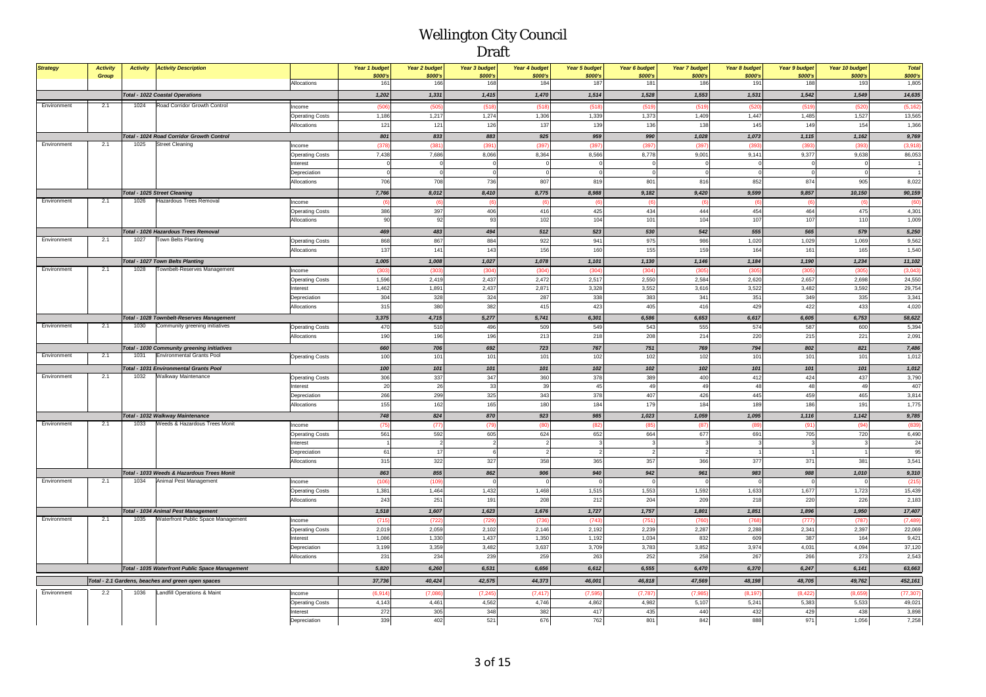| <b>Strategy</b> | <b>Activity</b><br>Group | <b>Activity</b> | <b>Activity Description</b>                                                     |                                       | Year 1 budget<br>\$000's | Year 2 budget<br>\$000's | Year 3 budget<br>\$000's | Year 4 budget<br>\$000's | <b>Year 5 budget</b><br>\$000's | Year 6 budget<br>\$000's | Year 7 budget<br>\$000's | Year 8 budget<br>\$000's | Year 9 budget<br>\$000's | Year 10 budget<br>\$000's | <b>Total</b><br>\$000's |
|-----------------|--------------------------|-----------------|---------------------------------------------------------------------------------|---------------------------------------|--------------------------|--------------------------|--------------------------|--------------------------|---------------------------------|--------------------------|--------------------------|--------------------------|--------------------------|---------------------------|-------------------------|
|                 |                          |                 |                                                                                 | Allocations                           | 161                      | 166                      | 168                      | 184                      | 187                             | 181                      | 186                      | 191                      | 188                      | 193                       | 1,805                   |
|                 |                          |                 | <b>Total - 1022 Coastal Operations</b>                                          |                                       | 1,202                    | 1,331                    | 1,415                    | 1,470                    | 1,514                           | 1,528                    | 1,553                    | 1,531                    | 1,542                    | 1,549                     | 14,635                  |
| Environment     | 2.1                      | 1024            | Road Corridor Growth Control                                                    | Income                                | (506)                    | (505)                    | (518)                    | (518)                    | (518)                           | (519)                    | (519)                    | (520)                    | (519)                    | (520)                     | (5, 162)                |
|                 |                          |                 |                                                                                 | <b>Operating Costs</b>                | 1,186                    | 1,217                    | 1,274                    | 1,306                    | 1,339                           | 1,373                    | 1,409                    | 1,447                    | 1,485                    | 1,527                     | 13,565                  |
|                 |                          |                 |                                                                                 | Allocations                           | 121                      | 121                      | 126                      | 137                      | 139                             | 136                      | 138                      | 145                      | 149                      | 154                       | 1,366                   |
|                 |                          |                 | Total - 1024 Road Corridor Growth Control                                       |                                       | 801                      | 833                      | 883                      | 925                      | 959                             | 990                      | 1,028                    | 1,073                    | 1,115                    | 1,162                     | 9,769                   |
| Environment     | 2.1                      | 1025            | <b>Street Cleaning</b>                                                          | Income                                | (378)                    | (381)                    | (391)                    | (397                     | (397)                           | (39)                     | (397)                    | (393)                    | (393)                    | (39)                      | (3,918)                 |
|                 |                          |                 |                                                                                 | <b>Operating Costs</b>                | 7.438                    | 7.686                    | 8.066                    | 8,364                    | 8.566                           | 8,778                    | 9.001                    | 9.141                    | 9,377                    | 9.638                     | 86,053                  |
|                 |                          |                 |                                                                                 | Interest                              | $\overline{0}$           | $\overline{0}$           | $\mathbf{0}$             | $\mathbf 0$              | $\overline{0}$                  | $\overline{0}$           | $\mathbf 0$              | $\circ$                  | $^{\circ}$               |                           |                         |
|                 |                          |                 |                                                                                 | Depreciation                          | $\sqrt{2}$               | $\Omega$                 | $\Omega$                 | $\overline{0}$           | $\overline{0}$                  | $\overline{0}$           | $\mathbf{0}$             | $\Omega$                 | $\Omega$                 |                           |                         |
|                 |                          |                 |                                                                                 | Allocations                           | 706                      | 708                      | 736                      | 807                      | 819                             | 801                      | 816                      | 852                      | 874                      | 905                       | 8,022                   |
|                 |                          |                 | <b>Total - 1025 Street Cleaning</b>                                             |                                       | 7,766                    | 8,012                    | 8,410                    | 8,775                    | 8,988                           | 9,182                    | 9.420                    | 9,599                    | 9,857                    | 10,150                    | 90,159                  |
| Environment     | 2.1                      | 1026            | Hazardous Trees Removal                                                         | Income                                | $\sqrt{6}$               | (6)                      | (6)                      | (6)                      | $\sqrt{6}$                      | $\sqrt{6}$               | (6)                      | (6)                      | (6)                      |                           | (60)                    |
|                 |                          |                 |                                                                                 | <b>Operating Costs</b>                | 386                      | 397                      | 406                      | 416                      | 425                             | 434                      | 444                      | 454                      | 464                      | 475                       | 4,301                   |
|                 |                          |                 |                                                                                 | Allocations                           | 90                       | 92                       | 93                       | 102                      | 104                             | 101                      | 104                      | 107                      | 107                      | 11(                       | 1,009                   |
|                 |                          |                 | Total - 1026 Hazardous Trees Removal                                            |                                       | 469                      | 483                      | 494                      | 512                      | 523                             | 530                      | 542                      | 555                      | 565                      | 579                       | 5,250                   |
| Environment     | 2.1                      | 1027            | <b>Town Belts Planting</b>                                                      | <b>Operating Costs</b>                | 868                      | 867                      | 884                      | 922                      | 941                             | 975                      | 986                      | 1,020                    | 1,029                    | 1,069                     | 9,562                   |
|                 |                          |                 |                                                                                 | Allocations                           | 137                      | 141                      | 143                      | 156                      | 160                             | 155                      | 159                      | 164                      | 161                      | 165                       | 1,540                   |
|                 |                          |                 | <b>Total - 1027 Town Belts Planting</b>                                         |                                       | 1,005                    | 1,008                    | 1,027                    | 1,078                    | 1,101                           | 1,130                    | 1,146                    | 1,184                    | 1,190                    | 1,234                     | 11,102                  |
| Environment     | 2.1                      | 1028            | Townbelt-Reserves Management                                                    | Income                                | (303)                    | (303)                    | (304)                    | (304)                    | (304)                           | (304)                    | (305)                    | (305)                    | (305)                    | (305                      | (3,043)                 |
|                 |                          |                 |                                                                                 | <b>Operating Costs</b>                | 1,596                    | 2,419                    | 2,437                    | 2,472                    | 2,517                           | 2,550                    | 2,584                    | 2,620                    | 2,657                    | 2,698                     | 24,550                  |
|                 |                          |                 |                                                                                 | nterest                               | 1,462                    | 1,891                    | 2,437                    | 2,871                    | 3,328                           | 3,552                    | 3,616                    | 3,522                    | 3,482                    | 3,592                     | 29,754                  |
|                 |                          |                 |                                                                                 | Depreciation                          | 304<br>315               | 328<br>380               | 324<br>382               | 287<br>415               | 338<br>423                      | 383<br>405               | 341                      | 351<br>429               | 349<br>422               | 335<br>433                | 3,341<br>4,020          |
|                 |                          |                 |                                                                                 | Allocations                           |                          |                          |                          |                          |                                 |                          | 416                      |                          |                          |                           |                         |
| Environment     | 2.1                      | 1030            | Total - 1028 Townbelt-Reserves Management                                       |                                       | 3,375                    | 4,715                    | 5,277                    | 5,741                    | 6,301                           | 6,586                    | 6,653                    | 6,617                    | 6,605                    | 6,753                     | 58,622                  |
|                 |                          |                 | Community greening initiatives                                                  | <b>Operating Costs</b><br>Allocations | 470<br>190               | 510<br>196               | 496<br>196               | 509<br>213               | 549<br>218                      | 543<br>208               | 555<br>214               | 574<br>220               | 587<br>215               | 600<br>22                 | 5,394<br>2,091          |
|                 |                          |                 |                                                                                 |                                       |                          |                          |                          |                          |                                 |                          |                          |                          |                          |                           |                         |
| Environment     | 2.1                      | 1031            | Total - 1030 Community greening initiatives<br><b>Environmental Grants Pool</b> |                                       | 660                      | 706                      | 692                      | 723                      | 767                             | 751                      | 769                      | 794                      | 802                      | 821                       | 7,486                   |
|                 |                          |                 |                                                                                 | <b>Operating Costs</b>                | 100                      | 101                      | 101                      | 101                      | 102                             | 102                      | 102                      | 101                      | 101                      | 10 <sup>1</sup>           | 1,012                   |
| Environment     | 2.1                      | 1032            | Total - 1031 Environmental Grants Pool                                          |                                       | 100                      | 101                      | 101                      | 101                      | 102                             | 102                      | 102                      | 101                      | 101                      | 101                       | 1,012                   |
|                 |                          |                 | Walkway Maintenance                                                             | <b>Operating Costs</b>                | 306                      | 337                      | 347                      | 360                      | 378                             | 389                      | 400                      | 412                      | 424                      | 437                       | 3,790                   |
|                 |                          |                 |                                                                                 | nterest<br>Depreciation               | 20<br>266                | 26<br>299                | 33<br>325                | 39<br>343                | 45<br>378                       | 49<br>407                | 49<br>426                | 48<br>445                | 48<br>459                | 49<br>465                 | 407<br>3,814            |
|                 |                          |                 |                                                                                 | Allocations                           | 155                      | 162                      | 165                      | 180                      | 184                             | 179                      | 184                      | 189                      | 186                      | 19 <sup>1</sup>           | 1,775                   |
|                 |                          |                 |                                                                                 |                                       |                          |                          |                          |                          |                                 |                          |                          |                          |                          |                           |                         |
| Environment     | 2.1                      | 1033            | Total - 1032 Walkway Maintenance<br>Weeds & Hazardous Trees Monit               |                                       | 748<br>(75)              | 824<br>(77)              | 870<br>(79)              | 923                      | 985<br>(82)                     | 1,023                    | 1,059<br>(87)            | 1,095<br>(8)             | 1,116<br>(91)            | 1,142<br>(94)             | 9,785<br>(839           |
|                 |                          |                 |                                                                                 | Income<br><b>Operating Costs</b>      | 561                      | 592                      | 605                      | 624                      | 652                             | 664                      | 677                      | 691                      | 705                      | 720                       | 6,490                   |
|                 |                          |                 |                                                                                 | nterest                               |                          | $\overline{2}$           | $\overline{\phantom{a}}$ | $\overline{2}$           |                                 | 3                        | 3                        | -3                       | $\mathbf{3}$             |                           | 24                      |
|                 |                          |                 |                                                                                 | Depreciation                          | 61                       | 17                       | 6                        | $\overline{2}$           |                                 | $\overline{2}$           | $\overline{2}$           |                          |                          |                           | 95                      |
|                 |                          |                 |                                                                                 | Allocations                           | 315                      | 322                      | 327                      | 358                      | 365                             | 357                      | 366                      | 377                      | 371                      | 38 <sup>1</sup>           | 3,541                   |
|                 |                          |                 | Total - 1033 Weeds & Hazardous Trees Monit                                      |                                       | 863                      | 855                      | 862                      | 906                      | 940                             | 942                      | 961                      | 983                      | 988                      | 1,010                     | 9,310                   |
| Environment     | 2.1                      | 1034            | Animal Pest Management                                                          | Income                                | (106)                    | (109)                    |                          |                          |                                 |                          |                          | $\mathfrak{c}$           |                          |                           | (215                    |
|                 |                          |                 |                                                                                 | <b>Operating Costs</b>                | 1.381                    | 1.464                    | 1.432                    | 1.468                    | 1.515                           | 1.553                    | 1.592                    | 1.633                    | 1.677                    | 1.723                     | 15,439                  |
|                 |                          |                 |                                                                                 | Allocations                           | 243                      | 251                      | 191                      | 208                      | 212                             | 204                      | 209                      | 218                      | 220                      | 226                       | 2,183                   |
|                 |                          |                 | Total - 1034 Animal Pest Management                                             |                                       | 1,518                    | 1,607                    | 1,623                    | 1,676                    | 1,727                           | 1,757                    | 1,801                    | 1,851                    | 1,896                    | 1,950                     | 17,407                  |
| Environment     | 2.1                      | 1035            | Waterfront Public Space Management                                              | ncome                                 | (715)                    | (722)                    | (729)                    | (736)                    | (743                            | (751                     | (760                     | (768)                    | (777)                    | (787)                     | (7, 489)                |
|                 |                          |                 |                                                                                 | <b>Operating Costs</b>                | 2,019                    | 2.059                    | 2,102                    | 2,146                    | 2.192                           | 2.239                    | 2.287                    | 2,288                    | 2,341                    | 2,397                     | 22,069                  |
|                 |                          |                 |                                                                                 | nterest                               | 1,086                    | 1,330                    | 1,437                    | 1,350                    | 1,192                           | 1,034                    | 832                      | 609                      | 387                      | 164                       | 9,421                   |
|                 |                          |                 |                                                                                 | Depreciation                          | 3,199                    | 3,359                    | 3,482                    | 3,637                    | 3,709                           | 3,783                    | 3,852                    | 3,974                    | 4,031                    | 4,094                     | 37,120                  |
|                 |                          |                 |                                                                                 | Allocations                           | 231                      | 234                      | 239                      | 259                      | 263                             | 252                      | 258                      | 267                      | 266                      | 273                       | 2,543                   |
|                 |                          |                 | Total - 1035 Waterfront Public Space Management                                 |                                       | 5,820                    | 6,260                    | 6,531                    | 6,656                    | 6,612                           | 6,555                    | 6,470                    | 6,370                    | 6,247                    | 6,141                     | 63,663                  |
|                 |                          |                 | Total - 2.1 Gardens, beaches and green open spaces                              |                                       | 37,736                   | 40,424                   | 42,575                   | 44,373                   | 46,001                          | 46,818                   | 47,569                   | 48,198                   | 48,705                   | 49,762                    | 452,161                 |
| Environment     | 2.2                      | 1036            | Landfill Operations & Maint                                                     | ncome                                 | (6, 914)                 | (7,086)                  | (7, 245)                 | (7, 417)                 | (7, 595)                        | (7,787)                  | (7,985)                  | (8, 197)                 | (8, 422)                 | (8,659)                   | (77, 307)               |
|                 |                          |                 |                                                                                 | <b>Operating Costs</b>                | 4,143                    | 4,461                    | 4,562                    | 4,746                    | 4,862                           | 4,982                    | 5,107                    | 5,241                    | 5,383                    | 5,533                     | 49,021                  |
|                 |                          |                 |                                                                                 | terest                                | 272                      | 305                      | 348                      | 382                      | 417                             | 435                      | 440                      | 432                      | 429                      | 438                       | 3,898                   |
|                 |                          |                 |                                                                                 | Depreciation                          | 339                      | 402                      | 521                      | 676                      | 762                             | 801                      | 842                      | 888                      | 971                      | 1,056                     | 7,258                   |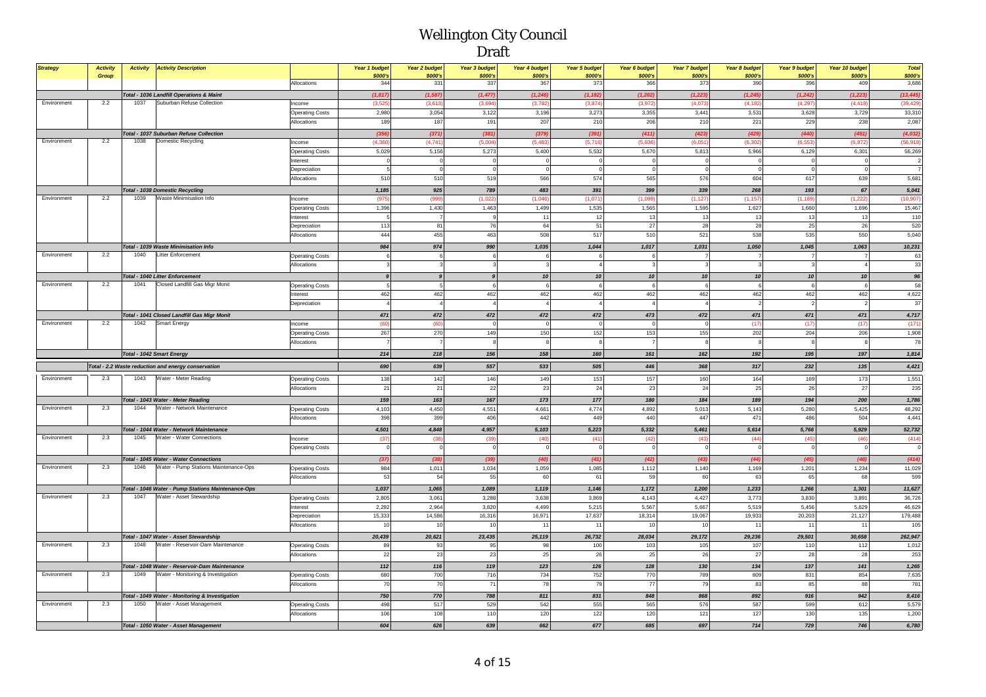| <b>Strategy</b> | <b>Activity</b> |      | <b>Activity Activity Description</b>                                        |                        | Year 1 budget       | Year 2 budget       | Year 3 budget       | Year 4 budget      | <b>Year 5 budget</b>    | Year 6 budget           | <b>Year 7 budget</b> | Year 8 budget        | Year 9 budget        | Year 10 budget       | <b>Total</b>           |
|-----------------|-----------------|------|-----------------------------------------------------------------------------|------------------------|---------------------|---------------------|---------------------|--------------------|-------------------------|-------------------------|----------------------|----------------------|----------------------|----------------------|------------------------|
|                 | Group           |      |                                                                             | Allocations            | \$000's<br>344      | \$000's<br>331      | \$000's<br>337      | \$000's<br>367     | \$000's<br>373          | \$000's<br>366          | \$000's<br>373       | \$000's<br>390       | \$000's<br>396       | \$000's<br>409       | \$000's<br>3,686       |
|                 |                 |      |                                                                             |                        |                     |                     |                     |                    |                         |                         |                      |                      |                      |                      |                        |
| Environment     | 2.2             | 1037 | Total - 1036 Landfill Operations & Maint<br>Suburban Refuse Collection      | Income                 | (1, 817)<br>(3.525) | (1, 587)<br>(3,613) | (1, 477)<br>(3,694) | (1, 246)<br>(3.78) | (1, 182)<br>(3,874)     | (1, 202)<br>(3, 972)    | (1, 223)<br>(4,07)   | (1, 245)<br>(4, 182) | (1, 242)<br>(4, 297) | (1, 223)<br>(4, 418) | (13, 445)<br>(39, 429) |
|                 |                 |      |                                                                             | <b>Operating Costs</b> | 2,980               | 3,054               | 3,122               | 3,196              | 3,273                   | 3,355                   | 3,441                | 3,531                | 3,628                | 3,729                | 33,310                 |
|                 |                 |      |                                                                             | Allocations            | 189                 | 187                 | 191                 | 207                | 210                     | 206                     | 210                  | 221                  | 229                  | 238                  | 2,087                  |
|                 |                 |      |                                                                             |                        |                     |                     |                     |                    |                         |                         |                      |                      |                      |                      |                        |
| Environment     | 2.2             |      | <b>Total - 1037 Suburban Refuse Collection</b><br>1038 Domestic Recycling   | Income                 | (356)<br>(4, 360)   | (371)<br>(4.741)    | (381)<br>(5,004)    | (379)<br>(5.48)    | (391)<br>(5,716)        | (411)<br>(5,836)        | (423)<br>(6.051)     | (429)<br>(6, 302)    | (440)<br>(6.553)     | (451)<br>(6, 87)     | (4,032)<br>(56, 918)   |
|                 |                 |      |                                                                             | <b>Operating Costs</b> | 5,029               | 5,156               | 5,273               | 5,400              | 5,532                   | 5,670                   | 5,813                | 5,966                | 6,129                | 6,301                | 56,269                 |
|                 |                 |      |                                                                             | Interest               | $\Omega$            | $\Omega$            | $\Omega$            | $\Omega$           | $\overline{0}$          | $\overline{0}$          | $\Omega$             | $\circ$              | $\circ$              |                      |                        |
|                 |                 |      |                                                                             | Depreciation           | 5                   | $\Omega$            | $\Omega$            | $\Omega$           | $\Omega$                | $\overline{0}$          | $\Omega$             | $\circ$              | $\Omega$             |                      |                        |
|                 |                 |      |                                                                             | Allocations            | 510                 | 510                 | 519                 | 566                | 574                     | 565                     | 576                  | 604                  | 617                  | 639                  | 5,681                  |
|                 |                 |      | <b>Total - 1038 Domestic Recycling</b>                                      |                        | 1,185               | 925                 | 789                 | 483                | 391                     | 399                     | 339                  | 268                  | 193                  | 67                   | 5,041                  |
| Environment     | 2.2             | 1039 | Waste Minimisation Info                                                     | Income                 | (975                | (999)               | (1,022)             | (1,046)            | (1,071)                 | (1,099)                 | (1, 127)             | (1, 157)             | (1, 189)             | (1, 222)             | (10, 907)              |
|                 |                 |      |                                                                             | <b>Operating Costs</b> | 1,396               | 1,430               | 1,463               | 1,499              | 1,535                   | 1,565                   | 1,595                | 1,627                | 1,660                | 1,696                | 15,467                 |
|                 |                 |      |                                                                             | Interest               |                     |                     |                     | 11                 | 12                      | 13                      | 13                   | 13                   | 13                   | 13                   | 110                    |
|                 |                 |      |                                                                             | Depreciation           | 113                 | 81                  | 76                  | 64                 | 51                      | 27                      | 28                   | 28                   | 25                   | 26                   | 520                    |
|                 |                 |      |                                                                             | Allocations            | 444                 | 455                 | 463                 | 508                | 517                     | 510                     | 521                  | 538                  | 535                  | 550                  | 5,040                  |
|                 |                 |      | Total - 1039 Waste Minimisation Info                                        |                        | 984                 | 974                 | 990                 | 1,035              | 1,044                   | 1,017                   | 1,031                | 1,050                | 1,045                | 1,063                | 10,231                 |
| Environment     | 2.2             | 1040 | Litter Enforcement                                                          | <b>Operating Costs</b> | 6                   | 6                   | 6                   |                    | 6                       | 6                       |                      | $\overline{7}$       | $\overline{7}$       |                      | 63                     |
|                 |                 |      |                                                                             | Allocations            |                     |                     |                     |                    | $\overline{4}$          | $\mathbf{3}$            |                      | $\mathbf{3}$         | $\mathbf{3}$         |                      | 33                     |
|                 |                 |      | <b>Total - 1040 Litter Enforcement</b>                                      |                        | $\mathbf{Q}$        | $\mathbf{Q}$        | $\overline{a}$      | ${\bf 10}$         | 10 <sup>1</sup>         | 10 <sup>1</sup>         | 10                   | 10 <sup>1</sup>      | 10 <sup>1</sup>      | 10                   | 96                     |
| Environment     | 2.2             |      | 1041 Closed Landfill Gas Migr Monit                                         | <b>Operating Costs</b> |                     | $\sqrt{5}$          |                     | 6                  | 6                       | 6                       | 6                    | 6                    | 6                    |                      | 58                     |
|                 |                 |      |                                                                             | Interest               | 462                 | 462                 | 462                 | 462                | 462                     | 462                     | 462                  | 462                  | 462                  | 462                  | 4,622                  |
|                 |                 |      |                                                                             | Depreciation           |                     |                     |                     |                    | $\overline{4}$          |                         |                      | $\overline{2}$       | $\mathcal{P}$        |                      | 37                     |
|                 |                 |      | Total - 1041 Closed Landfill Gas Migr Monit                                 |                        | 471                 | 472                 | 472                 | 472                | 472                     | 473                     | 472                  | 471                  | 471                  | 471                  | 4,717                  |
| Environment     | 2.2             | 1042 | Smart Energy                                                                | Income                 | (60)                | (60)                | C                   |                    | $\overline{\mathbf{0}}$ | $\overline{\mathbf{0}}$ | $\mathbf 0$          | (17)                 | (17)                 | (17)                 | (171)                  |
|                 |                 |      |                                                                             | <b>Operating Costs</b> | 267                 | 270                 | 149                 | 150                | 152                     | 153                     | 155                  | 202                  | 204                  | 206                  | 1,908                  |
|                 |                 |      |                                                                             | Allocations            |                     |                     |                     |                    | 8                       | $\overline{7}$          | -9                   | 8                    | 8                    |                      | 78                     |
|                 |                 |      |                                                                             |                        | 214                 | 218                 | 156                 | 158                | 160                     | 161                     | 162                  | 192                  | 195                  | 197                  |                        |
|                 |                 |      | Total - 1042 Smart Energy                                                   |                        |                     |                     |                     |                    |                         |                         |                      |                      |                      |                      | 1,814                  |
|                 |                 |      | Total - 2.2 Waste reduction and energy conservation                         |                        | 690                 | 639                 | 557                 | 533                | 505                     | 446                     | 368                  | 317                  | 232                  | 135                  | 4,421                  |
| Environment     | 2.3             | 1043 | Water - Meter Reading                                                       | <b>Operating Costs</b> | 138                 | 142                 | 146                 | 149                | 153                     | 157                     | 160                  | 164                  | 169                  | 173                  | 1,551                  |
|                 |                 |      |                                                                             | Allocations            | 21                  | 21                  | 22                  | 23                 | 24                      | 23                      | 24                   | 25                   | 26                   | 27                   | 235                    |
|                 |                 |      | Total - 1043 Water - Meter Reading                                          |                        | 159                 | 163                 | 167                 | 173                | 177                     | 180                     | 184                  | 189                  | 194                  | 200                  | 1,786                  |
| Environment     | 2.3             | 1044 | Water - Network Maintenance                                                 | <b>Operating Costs</b> | 4,103               | 4,450               | 4,551               | 4,661              | 4,774                   | 4,892                   | 5,013                | 5,143                | 5,280                | 5,425                | 48,292                 |
|                 |                 |      |                                                                             | Allocations            | 398                 | 399                 | 406                 | 442                | 449                     | 440                     | 447                  | 471                  | 486                  | 504                  | 4,441                  |
|                 |                 |      | Total - 1044 Water - Network Maintenance                                    |                        | 4,501               | 4,848               | 4,957               | 5,103              | 5,223                   | 5,332                   | 5,461                | 5,614                | 5,766                | 5,929                | 52,732                 |
| Environment     | 2.3             | 1045 | Water - Water Connections                                                   | Income                 | (37)                | (38)                | (39)                | (40)               | (41)                    | (42)                    | (43)                 | (44)                 | (45)                 | (46)                 | (414)                  |
|                 |                 |      |                                                                             | <b>Operating Costs</b> |                     |                     |                     |                    | $\Omega$                |                         |                      | $\theta$             | $\circ$              |                      |                        |
|                 |                 |      | Total - 1045 Water - Water Connections                                      |                        | (37)                | (38)                | (39)                | (40)               | (41)                    | (42)                    | (43)                 | (44)                 | (45)                 | (46)                 | (414)                  |
| Environment     | 2.3             | 1046 | Water - Pump Stations Maintenance-Ops                                       | <b>Operating Costs</b> | 984                 | 1,011               | 1,034               | 1,059              | 1,085                   | 1,112                   | 1,140                | 1,169                | 1,201                | 1,234                | 11,029                 |
|                 |                 |      |                                                                             | Allocations            | 53                  | 54                  | 55                  | 60                 | 61                      | 59                      | 60                   | 63                   | 65                   | 68                   | 599                    |
|                 |                 |      | Total - 1046 Water - Pump Stations Maintenance-Ops                          |                        | 1,037               | 1,065               | 1,089               | 1,119              | 1,146                   | 1,172                   | 1,200                | 1,233                | 1,266                | 1,301                | 11,627                 |
| Environment     | 2.3             | 1047 | Water - Asset Stewardship                                                   | <b>Operating Costs</b> | 2,805               | 3,061               | 3,288               | 3,638              | 3,869                   | 4,143                   | 4,427                | 3,773                | 3,830                | 3,891                | 36,726                 |
|                 |                 |      |                                                                             | nterest                | 2,292               | 2,964               | 3,820               | 4,499              | 5,215                   | 5,567                   | 5,667                | 5,519                | 5,456                | 5,629                | 46,629                 |
|                 |                 |      |                                                                             | Depreciation           | 15,333              | 14,586              | 16,316              | 16,971             | 17,637                  | 18,314                  | 19,067               | 19,933               | 20,203               | 21,127               | 179,488                |
|                 |                 |      |                                                                             | Allocations            | 10                  | 10                  | 10                  | 11                 | 11                      | 10                      | 10                   | 11                   | 11                   | $\rightarrow$        | 105                    |
|                 |                 |      | Total - 1047 Water - Asset Stewardship                                      |                        | 20,439              | 20,621              | 23,435              | 25,119             | 26,732                  | 28,034                  | 29,172               | 29,236               | 29,501               | 30,658               | 262,947                |
| Environment     | 2.3             | 1048 | Water - Reservoir-Dam Maintenance                                           | <b>Operating Costs</b> | 89                  | 93                  | 95                  | 98                 | 100                     | 103                     | 105                  | 107                  | 110                  | 112                  | 1,012                  |
|                 |                 |      |                                                                             | Allocations            | 22                  | 23                  | 23                  | 25                 | 26                      | 25                      | 26                   | 27                   | 28                   | 28                   | 253                    |
|                 |                 |      | Total - 1048 Water - Reservoir-Dam Maintenance                              |                        | 112                 | 116                 | 119                 | 123                | 126                     | 128                     | 130                  | 134                  | 137                  | 141                  | 1,265                  |
| Environment     | 2.3             | 1049 | Water - Monitoring & Investigation                                          | <b>Operating Costs</b> | 680                 | 700                 | 716                 | 734                | 752                     | 770                     | 789                  | 809                  | 831                  | 854                  | 7,635                  |
|                 |                 |      |                                                                             | Allocations            | 70                  | 70                  | 71                  | 78                 | 79                      | 77                      | 79                   | 83                   | 85                   | 88                   | 781                    |
|                 |                 |      |                                                                             |                        |                     |                     |                     |                    |                         |                         |                      |                      |                      |                      |                        |
| Environment     | 2.3             | 1050 | Total - 1049 Water - Monitoring & Investigation<br>Water - Asset Management |                        | 750                 | 770                 | 788                 | 811                | 831                     | 848                     | 868                  | 892                  | 916                  | 942                  | 8,416                  |
|                 |                 |      |                                                                             | <b>Operating Costs</b> | 498<br>106          | 517<br>108          | 529<br>110          | 542<br>120         | 555<br>122              | 565<br>120              | 576<br>121           | 587<br>127           | 599<br>130           | 612<br>135           | 5,579                  |
|                 |                 |      |                                                                             | Allocations            |                     |                     |                     |                    |                         |                         |                      |                      |                      |                      | 1,200                  |
|                 |                 |      | Total - 1050 Water - Asset Management                                       |                        | 604                 | 626                 | 639                 | 662                | 677                     | 685                     | 697                  | 714                  | 729                  | 746                  | 6,780                  |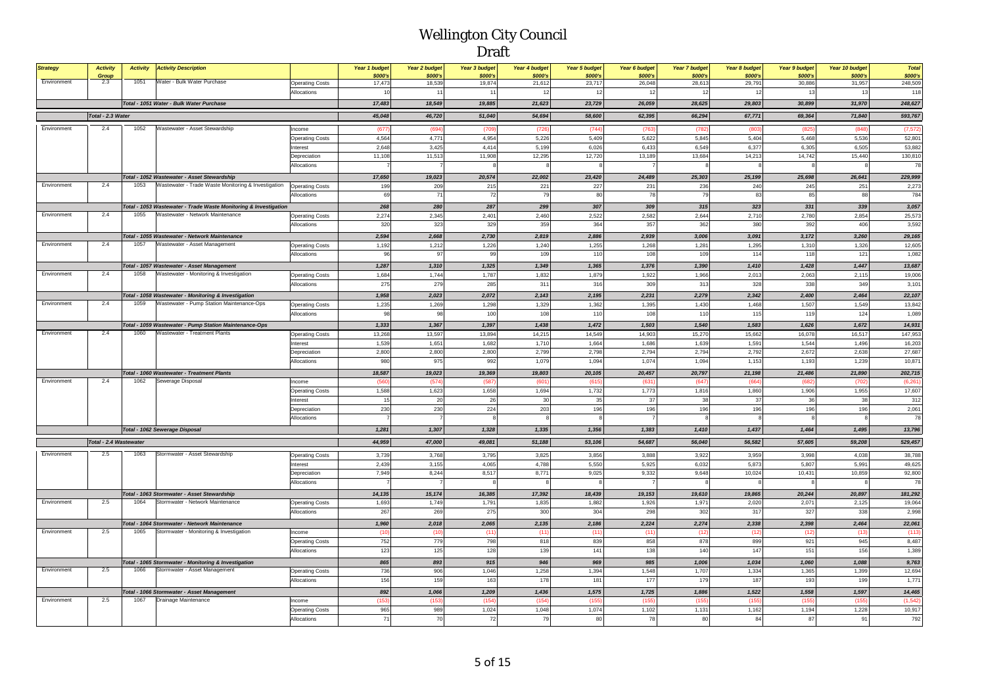| <b>Strategy</b> | <b>Activity</b>        | <b>Activity</b> | <b>Activity Description</b>                                                                        |                             | Year 1 budget     | Year 2 budget     | Year 3 budget       | Year 4 budget       | <b>Year 5 budget</b> | Year 6 budget     | Year 7 budget     | Year 8 budget     | Year 9 budget     | Year 10 budget    | <b>Total</b>       |
|-----------------|------------------------|-----------------|----------------------------------------------------------------------------------------------------|-----------------------------|-------------------|-------------------|---------------------|---------------------|----------------------|-------------------|-------------------|-------------------|-------------------|-------------------|--------------------|
| Environment     | Group<br>2.3           | 1051            | Water - Bulk Water Purchase                                                                        | <b>Operating Costs</b>      | \$000's<br>17,473 | \$000's<br>18,539 | \$000's<br>19,874   | \$000's<br>21,612   | \$000's<br>23,717    | \$000's<br>26,048 | \$000's<br>28,613 | \$000's<br>29,791 | \$000's<br>30,886 | \$000's<br>31,957 | \$000's<br>248,509 |
|                 |                        |                 |                                                                                                    | Allocations                 | 10                | 11                | 11                  | 12                  | 12                   | 12                | 12                | 12                | 13                | 13                | 118                |
|                 |                        |                 | Total - 1051 Water - Bulk Water Purchase                                                           |                             | 17,483            | 18,549            | 19,885              | 21,623              | 23,729               | 26,059            | 28,625            | 29,803            | 30,899            | 31,970            | 248,627            |
|                 | Total - 2.3 Water      |                 |                                                                                                    |                             | 45,048            | 46,720            | 51,040              | 54,694              | 58,600               | 62,395            | 66,294            | 67,771            | 69,364            | 71,840            | 593,767            |
|                 | 2.4                    |                 |                                                                                                    |                             |                   |                   |                     |                     |                      |                   |                   |                   |                   |                   |                    |
| Environment     |                        | 1052            | Wastewater - Asset Stewardship                                                                     | Income                      | (677)             | (694)             | (709)               | (726)               | (744)                | (763)             | (782)             | (803)             | (825)             | (848)             | (7, 572)           |
|                 |                        |                 |                                                                                                    | <b>Operating Costs</b>      | 4,564<br>2.648    | 4,771             | 4,954<br>4.414      | 5,226               | 5,409                | 5,622             | 5,845             | 5,404             | 5,468             | 5,536             | 52,801             |
|                 |                        |                 |                                                                                                    | Interest                    | 11,108            | 3,425<br>11,513   | 11,908              | 5,199<br>12,295     | 6,026<br>12,720      | 6,433<br>13,189   | 6,549<br>13,684   | 6,377<br>14,213   | 6,305<br>14,742   | 6,505<br>15,440   | 53,882             |
|                 |                        |                 |                                                                                                    | Depreciation<br>Allocations |                   |                   | 8                   | 8                   |                      | $\overline{7}$    |                   |                   |                   |                   | 130,810<br>78      |
|                 |                        |                 |                                                                                                    |                             |                   |                   |                     |                     |                      |                   |                   |                   |                   |                   |                    |
| Environment     | 2.4                    | 1053            | Total - 1052 Wastewater - Asset Stewardship<br>Wastewater - Trade Waste Monitoring & Investigation |                             | 17,650            | 19,023            | 20,574              | 22,002              | 23,420               | 24,489            | 25,303            | 25,199            | 25,698            | 26,641            | 229,999            |
|                 |                        |                 |                                                                                                    | <b>Operating Costs</b>      | 199<br>69         | 209<br>71         | 215                 | 221                 | 227<br>80            | 231               | 236<br>79         | 240               | 245               | 251<br>88         | 2,273              |
|                 |                        |                 |                                                                                                    | Allocations                 |                   |                   | 72                  | 79                  |                      | 78                |                   | 83                | 85                |                   | 784                |
|                 |                        |                 | Total - 1053 Wastewater - Trade Waste Monitoring & Investigation                                   |                             | 268               | 280               | 287                 | 299                 | 307                  | 309               | 315               | 323               | 331               | 339               | 3,057              |
| Environment     | 2.4                    | 1055            | Wastewater - Network Maintenance                                                                   | <b>Operating Costs</b>      | 2,274             | 2,345             | 2,401               | 2,460               | 2,522                | 2,582             | 2,644             | 2,710             | 2,780             | 2,854             | 25,573             |
|                 |                        |                 |                                                                                                    | Allocations                 | 320               | 323               | 329                 | 359                 | 364                  | 357               | 362               | 380               | 392               | 406               | 3,592              |
|                 |                        |                 | Total - 1055 Wastewater - Network Maintenance                                                      |                             | 2,594             | 2,668             | 2,730               | 2,819               | 2,886                | 2,939             | 3,006             | 3,091             | 3,172             | 3,260             | 29,165             |
| Environment     | 2.4                    | 1057            | Wastewater - Asset Management                                                                      | <b>Operating Costs</b>      | 1,192             | 1,212             | 1,226               | 1,240               | 1,255                | 1,268             | 1,281             | 1,295             | 1,31              | 1,326             | 12,605             |
|                 |                        |                 |                                                                                                    | Allocations                 | 96                | 97                | 99                  | 109                 | 110                  | 108               | 109               | 114               | 118               | 121               | 1,082              |
|                 |                        |                 | Total - 1057 Wastewater - Asset Management                                                         |                             | 1,287             | 1,310             | 1,325               | 1,349               | 1,365                | 1,376             | 1,390             | 1,410             | 1,428             | 1,447             | 13,687             |
| Environment     | 2.4                    | 1058            | Wastewater - Monitoring & Investigation                                                            | <b>Operating Costs</b>      | 1,684             | 1,744             | 1,787               | 1,832               | 1,879                | 1,922             | 1,966             | 2,013             | 2,063             | 2,115             | 19,006             |
|                 |                        |                 |                                                                                                    | Allocations                 | 275               | 279               | 285                 | 311                 | 316                  | 309               | 313               | 328               | 338               | 349               | 3,101              |
|                 |                        |                 | Total - 1058 Wastewater - Monitoring & Investigation                                               |                             | 1,958             | 2,023             | 2,072               | 2,143               | 2,195                | 2,231             | 2,279             | 2,342             | 2,400             | 2,464             | 22,107             |
| Environment     | 2.4                    | 1059            | Wastewater - Pump Station Maintenance-Ops                                                          | <b>Operating Costs</b>      | 1,235             | 1,269             | 1,298               | 1,329               | 1,362                | 1,395             | 1,430             | 1,468             | 1,507             | 1,549             | 13,842             |
|                 |                        |                 |                                                                                                    | Allocations                 | 98                | 98                | 100                 | 108                 | 110                  | 108               | 110               | 115               | 119               | 124               | 1,089              |
|                 |                        |                 | Total - 1059 Wastewater - Pump Station Maintenance-Ops                                             |                             | 1,333             | 1,367             | 1,397               | 1,438               | 1,472                | 1,503             | 1,540             | 1,583             | 1,626             | 1,672             | 14,931             |
| Environment     | 2.4                    | 1060            | Wastewater - Treatment Plants                                                                      | <b>Operating Costs</b>      | 13,268            | 13,597            | 13,894              | 14,215              | 14,549               | 14,903            | 15,270            | 15,662            | 16,078            | 16,517            | 147,953            |
|                 |                        |                 |                                                                                                    | Interest                    | 1,539             | 1,651             | 1,682               | 1,710               | 1,664                | 1,686             | 1,639             | 1,591             | 1,544             | 1,496             | 16,203             |
|                 |                        |                 |                                                                                                    | Depreciation                | 2,800             | 2,800             | 2,800               | 2,799               | 2,798                | 2,794             | 2,794             | 2,792             | 2,672             | 2,638             | 27,687             |
|                 |                        |                 |                                                                                                    | Allocations                 | 980               | 975               | 992                 | 1,079               | 1,094                | 1,074             | 1,094             | 1,153             | 1,193             | 1,239             | 10,871             |
|                 |                        |                 | Total - 1060 Wastewater - Treatment Plants                                                         |                             | 18,587            | 19,023            | 19,369              | 19,803              | 20,105               | 20,457            | 20,797            | 21,198            | 21,486            | 21,890            | 202,715            |
| Environment     | 2.4                    | 1062            | Sewerage Disposal                                                                                  | Income                      | (560)             | (574)             | (587)               | (601                | (615)                | (631)             | (647)             | (664)             | (68)              | (702)             | (6, 261)           |
|                 |                        |                 |                                                                                                    | <b>Operating Costs</b>      | 1,588             | 1.623             | 1.658               | 1.694               | 1.732                | 1,773             | 1.816             | 1,860             | 1,906             | 1,955             | 17,607             |
|                 |                        |                 |                                                                                                    | Interest                    | 15                | 20                | 26                  | 30                  | 35                   | 37                | 38                | 37                | 36                | 38                | 312                |
|                 |                        |                 |                                                                                                    | Depreciation                | 230               | 230               | 224<br>$\mathbf{g}$ | 203<br>$\mathbf{g}$ | 196                  | 196               | 196               | 196               | 196               | 196               | 2,061              |
|                 |                        |                 |                                                                                                    | Allocations                 |                   |                   |                     |                     |                      | $\overline{7}$    | -8                |                   |                   |                   | 78                 |
|                 |                        |                 | Total - 1062 Sewerage Disposal                                                                     |                             | 1,281             | 1,307             | 1,328               | 1,335               | 1,356                | 1,383             | 1,410             | 1,437             | 1,464             | 1,495             | 13,796             |
|                 | Total - 2.4 Wastewater |                 |                                                                                                    |                             | 44,959            | 47,000            | 49,081              | 51,188              | 53,106               | 54,687            | 56,040            | 56,582            | 57,605            | 59,208            | 529,457            |
| Environment     | 2.5                    | 1063            | Stormwater - Asset Stewardship                                                                     | <b>Operating Costs</b>      | 3,739             | 3,768             | 3,795               | 3,825               | 3,856                | 3,888             | 3,922             | 3,959             | 3,998             | 4,038             | 38,788             |
|                 |                        |                 |                                                                                                    | nterest                     | 2,439             | 3,155             | 4,065               | 4,788               | 5,550                | 5,925             | 6,032             | 5,873             | 5,807             | 5,991             | 49,625             |
|                 |                        |                 |                                                                                                    | Depreciation                | 7,949             | 8,244             | 8,517               | 8,771               | 9,025                | 9,332             | 9,648             | 10,024            | 10,431            | 10,859            | 92,800             |
|                 |                        |                 |                                                                                                    | Allocations                 |                   |                   | $\mathbf{g}$        | $\mathbf{g}$        |                      | $\overline{7}$    |                   |                   |                   |                   | 78                 |
|                 |                        |                 | Total - 1063 Stormwater - Asset Stewardship                                                        |                             | 14,135            | 15,174            | 16,385              | 17,392              | 18,439               | 19,153            | 19,610            | 19,865            | 20,244            | 20,897            | 181,292            |
| Environment     | 2.5                    | 1064            | Stormwater - Network Maintenance                                                                   | <b>Operating Costs</b>      | 1,693             | 1,749             | 1,791               | 1,835               | 1,882                | 1,926             | 1,971             | 2,020             | 2,071             | 2,125             | 19,064             |
|                 |                        |                 |                                                                                                    | Allocations                 | 267               | 269               | 275                 | 300                 | 304                  | 298               | 302               | 317               | 327               | 338               | 2,998              |
|                 |                        |                 | Total - 1064 Stormwater - Network Maintenance                                                      |                             | 1,960             | 2,018             | 2,065               | 2,135               | 2,186                | 2,224             | 2,274             | 2,338             | 2,398             | 2,464             | 22,061             |
| Environment     | 2.5                    | 1065            | Stormwater - Monitoring & Investigation                                                            | Income                      | (10)              | (10)              | (11)                | (11)                | (11)                 | (11)              | (12)              | (12)              | (12)              | (13)              | (113)              |
|                 |                        |                 |                                                                                                    | <b>Operating Costs</b>      | 752               | 779               | 798                 | 818                 | 839                  | 858               | 878               | 899               | 921               | 945               | 8,487              |
|                 |                        |                 |                                                                                                    | Allocations                 | 123               | 125               | 128                 | 139                 | 141                  | 138               | 140               | 147               | 151               | 156               | 1,389              |
|                 |                        |                 | Total - 1065 Stormwater - Monitoring & Investigation                                               |                             | 865               | 893               | 915                 | 946                 | 969                  | 985               | 1,006             | 1,034             | 1,060             | 1,088             | 9,763              |
| Environment     | 2.5                    | 1066            | Stormwater - Asset Management                                                                      | <b>Operating Costs</b>      | 736               | 906               | 1,046               | 1,258               | 1,394                | 1,548             | 1,707             | 1,334             | 1,365             | 1,399             | 12,694             |
|                 |                        |                 |                                                                                                    | Allocations                 | 156               | 159               | 163                 | 178                 | 181                  | 177               | 179               | 187               | 193               | 199               | 1,771              |
|                 |                        |                 | Total - 1066 Stormwater - Asset Management                                                         |                             | 892               | 1,066             | 1,209               | 1,436               | 1,575                | 1,725             | 1,886             | 1,522             | 1,558             | 1,597             | 14,465             |
| Environment     | 2.5                    | 1067            | Drainage Maintenance                                                                               | Income                      | (153)             | (153)             | (154)               | (154)               | (155)                | (155)             | (155)             | (155)             | (155)             | (155)             | (1, 542)           |
|                 |                        |                 |                                                                                                    | <b>Operating Costs</b>      | 965               | 989               | 1,024               | 1,048               | 1,074                | 1,102             | 1,131             | 1,162             | 1,194             | 1,228             | 10,917             |
|                 |                        |                 |                                                                                                    | Allocations                 | 71                | 70                | 72                  | 79                  | 80                   | 78                | 80                | 84                | 87                | 91                | 792                |
|                 |                        |                 |                                                                                                    |                             |                   |                   |                     |                     |                      |                   |                   |                   |                   |                   |                    |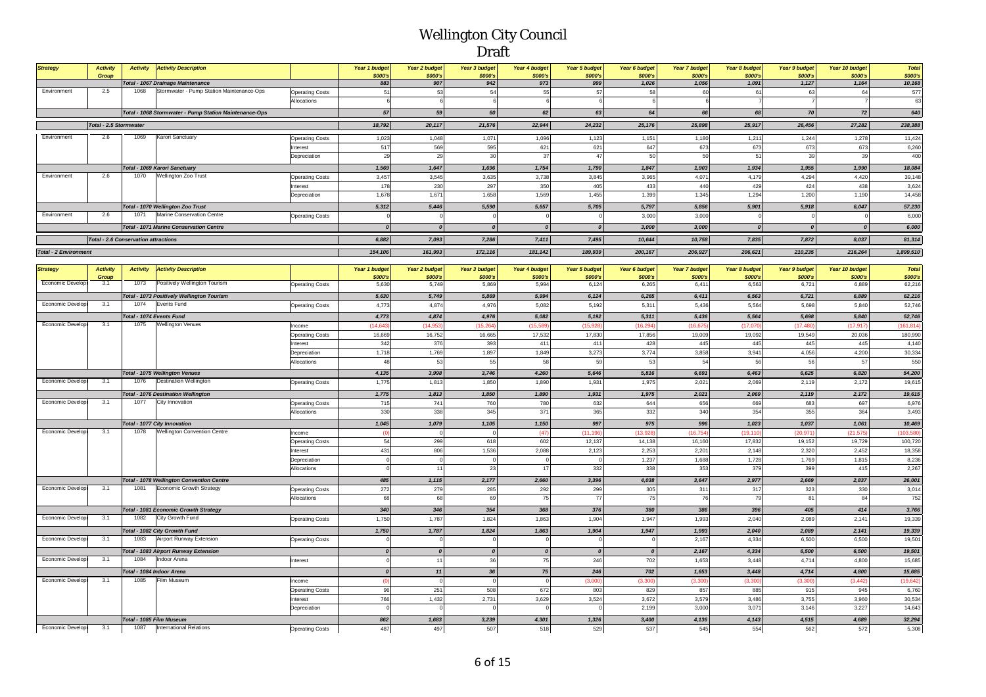| <b>Strategy</b>              | <b>Activity</b><br><b>Group</b> | <b>Activity</b>                             | <b>Activity Description</b>                            |                        | Year 1 budget<br>\$000's | Year 2 budget<br>\$000's | Year 3 budget<br>\$000's | <b>Year 4 budget</b><br>\$000's | Year 5 budget<br>\$000's | Year 6 budget<br>\$000's | <b>Year 7 budget</b><br>\$000's | Year 8 budget<br>\$000's | <b>Year 9 budget</b><br>\$000's | Year 10 budget<br>\$000's | <b>Total</b><br>\$000's |
|------------------------------|---------------------------------|---------------------------------------------|--------------------------------------------------------|------------------------|--------------------------|--------------------------|--------------------------|---------------------------------|--------------------------|--------------------------|---------------------------------|--------------------------|---------------------------------|---------------------------|-------------------------|
|                              |                                 |                                             | Total - 1067 Drainage Maintenance                      |                        | 883                      | 907                      | 942                      | 973                             | 999                      | 1,026                    | 1,056                           | 1,091                    | 1.127                           | 1,164                     | 10,168                  |
| Environment                  | 2.5                             | 1068                                        | Stormwater - Pump Station Maintenance-Ops              | <b>Operating Costs</b> |                          | 53                       | 54                       |                                 |                          | 58                       |                                 |                          |                                 |                           | 577                     |
|                              |                                 |                                             |                                                        | Allocations            |                          |                          |                          |                                 |                          |                          |                                 |                          |                                 |                           | 63                      |
|                              |                                 |                                             | Total - 1068 Stormwater - Pump Station Maintenance-Ops |                        | 57                       | 59                       | 60                       | 62                              | 63                       | 64                       | 66                              | 68                       | 70                              | 72                        | 640                     |
|                              | <b>Total - 2.5 Stormwater</b>   |                                             |                                                        |                        | 18,792                   | 20,117                   | 21,576                   | 22,944                          | 24,232                   | 25,176                   | 25,898                          | 25,917                   | 26,456                          | 27,282                    | 238,388                 |
| Environment                  | 2.6                             | 1069                                        | Karori Sanctuary                                       | <b>Operating Costs</b> | 1,023                    | 1,048                    | 1,071                    | 1,096                           | 1.123                    | 1,151                    | 1,180                           | 1,21'                    | 1.244                           | 1.278                     | 11,424                  |
|                              |                                 |                                             |                                                        | Interest               | 517                      | 569                      | 595                      | 621                             | 621                      | 647                      | 673                             | 673                      | 673                             | 673                       | 6,260                   |
|                              |                                 |                                             |                                                        | Depreciation           | 29                       | 25                       | 30                       | 37                              | 47                       | 50                       | 50                              | $\mathbb{R}^d$           | $\alpha$                        | 39                        | 400                     |
|                              |                                 |                                             | Total - 1069 Karori Sanctuary                          |                        | 1,569                    | 1,647                    | 1,696                    | 1,754                           | 1,790                    | 1,847                    | 1,903                           | 1,934                    | 1,955                           | 1,990                     | 18,084                  |
| Environment                  | 2.6                             | 1070                                        | Wellington Zoo Trust                                   | <b>Operating Costs</b> | 3.457                    | 3.545                    | 3,635                    | 3.738                           | 3.845                    | 3.965                    | 4,071                           | 4.179                    | 4.294                           | 4.420                     | 39,148                  |
|                              |                                 |                                             |                                                        | Interest               | 178                      | 230                      | 297                      | 350                             | 405                      | 433                      | 440                             | 429                      | 424                             | 438                       | 3,624                   |
|                              |                                 |                                             |                                                        | Depreciation           | 1,678                    | 1.671                    | 1.658                    | 1.569                           | 1.455                    | 1.399                    | 1.345                           | 1.294                    | 1.200                           | 1.190                     | 14,458                  |
|                              |                                 |                                             | Total - 1070 Wellington Zoo Trust                      |                        | 5,312                    | 5,446                    | 5,590                    | 5,657                           | 5.705                    | 5,797                    | 5,856                           | 5,901                    | 5.918                           | 6.047                     | 57,230                  |
| Environment                  | 2.6                             | 1071                                        | Marine Conservation Centre                             | <b>Operating Costs</b> |                          |                          |                          |                                 |                          | 3,000                    | 3.000                           |                          |                                 |                           | 6,000                   |
|                              |                                 |                                             | <b>Total - 1071 Marine Conservation Centre</b>         |                        |                          | $\sqrt{ }$               |                          |                                 |                          | 3,000                    | 3,000                           |                          |                                 |                           | 6,000                   |
|                              |                                 | <b>Total - 2.6 Conservation attractions</b> |                                                        |                        | 6,882                    | 7,093                    | 7,286                    | 7,411                           | 7.495                    | 10,644                   | 10,758                          | 7,835                    | 7.872                           | 8,037                     | 81,314                  |
| <b>Total - 2 Environment</b> |                                 |                                             |                                                        |                        | 154,106                  | 161,993                  | 172,116                  | 181,142                         | 189,939                  | 200,167                  | 206,927                         | 206,621                  | 210,235                         | 216,264                   | 1,899,510               |

| <b>Strategy</b>          | <b>Activity</b> | <b>Activity</b>          | <b>Activity Description</b>                      |                        | Year 1 budget | <b>Year 2 budget</b> | <b>Year 3 budget</b> | Year 4 budget    | Year 5 budget | Year 6 budget | <b>Year 7 budget</b> | <b>Year 8 budget</b> | <b>Year 9 budget</b> | Year 10 budget | Total      |
|--------------------------|-----------------|--------------------------|--------------------------------------------------|------------------------|---------------|----------------------|----------------------|------------------|---------------|---------------|----------------------|----------------------|----------------------|----------------|------------|
|                          | Group           |                          |                                                  |                        | \$000's       | \$000's              | \$000's              | \$000's          | \$000's       | \$000's       | \$000's              | \$000's              | \$000's              | \$000's        | \$000's    |
| Economic Develop         | 3.1             | 1073                     | Positively Wellington Tourism                    | <b>Operating Costs</b> | 5,630         | 5,749                | 5,869                | 5,994            | 6,124         | 6,265         | 6,411                | 6,563                | 6,721                | 6,889          | 62,216     |
|                          |                 |                          | Total - 1073 Positively Wellington Tourism       |                        | 5,630         | 5.749                | 5,869                | 5.994            | 6,124         | 6.265         | 6.411                | 6,563                | 6,721                | 6.889          | 62,216     |
| Economic Developr        | 3.1             | 1074                     | Events Fund                                      | <b>Operating Costs</b> | 4,773         | 4,874                | 4,976                | 5,082            | 5.192         | 5.311         | 5.436                | 5.564                | 5.698                | 5.840          | 52,746     |
|                          |                 |                          | Total - 1074 Events Fund                         |                        | 4,773         | 4.874                | 4,976                | 5.082            | 5.192         | 5,311         | 5,436                | 5,564                | 5.698                | 5.840          | 52,746     |
| Economic Developr        | 3.1             | 1075                     | <b>Nellington Venues</b>                         | Income                 | (14, 643)     | (14, 953)            | (15, 264)            | (15, 589)        | (15, 928)     | (16, 294)     | (16, 675)            | (17,070)             | (17, 480)            | (17, 917)      | (161, 814) |
|                          |                 |                          |                                                  | <b>Operating Costs</b> | 16,669        | 16,752               | 16,665               | 17,532           | 17,830        | 17,856        | 19,009               | 19,092               | 19,549               | 20,036         | 180,990    |
|                          |                 |                          |                                                  | nterest                | 342           | 376                  | 393                  | 411              | 411           | 428           | 445                  | 445                  | 445                  | 445            | 4,140      |
|                          |                 |                          |                                                  | Depreciation           | 1,718         | 1,769                | 1,897                | 1,849            | 3,273         | 3,774         | 3,858                | 3,941                | 4,056                | 4,200          | 30,334     |
|                          |                 |                          |                                                  | Allocations            | 48            | 53                   | 55                   | 58               | 59            | 53            | 54                   | 56                   | 56                   | 57             | 550        |
|                          |                 |                          | <b>Total - 1075 Wellington Venues</b>            |                        | 4,135         | 3,998                | 3,746                | 4,260            | 5,646         | 5,816         | 6,691                | 6,463                | 6,625                | 6,820          | 54,200     |
| Economic Developr        | 3.1             | 1076                     | <b>Destination Wellington</b>                    | <b>Operating Costs</b> | 1,775         | 1,813                | 1,850                | 1,890            | 1,931         | 1,975         | 2,021                | 2,069                | 2,119                | 2,172          | 19,615     |
|                          |                 |                          | <b>Total - 1076 Destination Wellington</b>       |                        | 1,775         | 1,813                | 1,850                | 1,890            | 1,931         | 1,975         | 2,021                | 2,069                | 2,119                | 2,172          | 19,615     |
| Economic Develop         | 3.1             | 1077                     | City Innovation                                  | <b>Operating Costs</b> | 715           | 741                  | 760                  | 780              | 632           | 644           | 656                  | 669                  | 683                  | 697            | 6,976      |
|                          |                 |                          |                                                  | Allocations            | 330           | 338                  | 345                  | 371              | 365           | 332           | 340                  | 354                  | 355                  | 364            | 3,493      |
|                          |                 |                          | Total - 1077 City Innovation                     |                        | 1,045         | 1,079                | 1,105                | 1,150            | 997           | 975           | 996                  | 1,023                | 1,037                | 1,061          | 10,469     |
| Economic Develop         | 3.1             | 1078                     | <b>Wellington Convention Centre</b>              | Income                 | - (0          | $\Omega$             | $\Omega$             | (47)             | (11.196)      | (13.928)      | (16, 754)            | (19, 110)            | (20.971)             | (21.575)       | (103, 580) |
|                          |                 |                          |                                                  | <b>Operating Costs</b> | 54            | 299                  | 618                  | 602              | 12.137        | 14,138        | 16,160               | 17,832               | 19,152               | 19,729         | 100,720    |
|                          |                 |                          |                                                  | nterest                | 431           | 806                  | 1,536                | 2,088            | 2,123         | 2,253         | 2,201                | 2,148                | 2,320                | 2,452          | 18,358     |
|                          |                 |                          |                                                  | Depreciation           | $\Omega$      |                      | $\Omega$             |                  |               | 1,237         | 1,688                | 1,728                | 1,769                | 1,815          | 8,236      |
|                          |                 |                          |                                                  | Allocations            |               | 11                   | 23                   | 17               | 332           | 338           | 353                  | 379                  | 399                  | 415            | 2,267      |
|                          |                 |                          | <b>Total - 1078 Wellington Convention Centre</b> |                        | 485           | 1,115                | 2,177                | 2,660            | 3,396         | 4,038         | 3,647                | 2,977                | 2,669                | 2,837          | 26,001     |
| <b>Economic Developr</b> | 3.1             | 1081                     | <b>Economic Growth Strategy</b>                  | <b>Operating Costs</b> | 272           | 279                  | 285                  | 292              | 299           | 305           | 311                  | 317                  | 323                  | 330            | 3,014      |
|                          |                 |                          |                                                  | Allocations            | 68            | 68                   | 69                   | 75               | 77            | 75            | 76                   | 79                   | 81                   | 84             | 752        |
|                          |                 |                          | Total - 1081 Economic Growth Strategy            |                        | 340           | 346                  | 354                  | 368              | 376           | 380           | 386                  | 396                  | 405                  | 414            | 3,766      |
| Economic Developr        | 3.1             | 1082                     | City Growth Fund                                 | <b>Operating Costs</b> | 1,750         | 1,787                | 1,824                | 1,863            | 1,904         | 1,947         | 1,993                | 2,040                | 2,089                | 2,141          | 19,339     |
|                          |                 |                          | Total - 1082 City Growth Fund                    |                        | 1,750         | 1,787                | 1,824                | 1,863            | 1,904         | 1,947         | 1,993                | 2,040                | 2,089                | 2,141          | 19,339     |
| Economic Develop         | 3.1             | 1083                     | Airport Runway Extension                         | <b>Operating Costs</b> |               |                      | $\Omega$             | $\Omega$         |               | $\Omega$      | 2,167                | 4,334                | 6,500                | 6,500          | 19,501     |
|                          |                 |                          | Total - 1083 Airport Runway Extension            |                        |               | $\boldsymbol{0}$     | $\boldsymbol{0}$     | $\boldsymbol{0}$ | $\Omega$      |               | 2,167                | 4,334                | 6,500                | 6,500          | 19,501     |
| Economic Developr        | 3.1             | 1084                     | Indoor Arena                                     | Interest               |               | 11                   | 36                   | 75               | 246           | 702           | 1,653                | 3,448                | 4,714                | 4,800          | 15,685     |
|                          |                 |                          | Total - 1084 Indoor Arena                        |                        |               | 11                   | 36                   | 75               | 246           | 702           | 1,653                | 3,448                | 4,714                | 4,800          | 15,685     |
| Economic Developr        | 3.1             | 1085                     | Film Museum                                      | Income                 | (0)           | $\Omega$             | $\Omega$             | $\Omega$         | (3,000)       | (3,300)       | (3, 300)             | (3,300)              | (3,300)              | (3, 442)       | (19, 642)  |
|                          |                 |                          |                                                  | <b>Operating Costs</b> | 96            | 251                  | 508                  | 672              | 803           | 829           | 857                  | 885                  | 915                  | 945            | 6,760      |
|                          |                 |                          |                                                  | nterest                | 766           | 1,432                | 2,731                | 3,629            | 3.524         | 3,672         | 3,579                | 3,486                | 3.755                | 3,960          | 30,534     |
|                          |                 |                          |                                                  | Depreciation           |               |                      |                      |                  |               | 2,199         | 3,000                | 3,071                | 3,146                | 3,227          | 14,643     |
|                          |                 | Total - 1085 Film Museum |                                                  |                        | 862           | 1,683                | 3,239                | 4.301            | 1,326         | 3,400         | 4,136                | 4,143                | 4,515                | 4.689          | 32,294     |
| <b>Economic Develops</b> | 3.1             | 1087                     | <b>International Relations</b>                   | <b>Operating Costs</b> | 487           | 497                  | 507                  | 518              | 529           | 537           | 545                  | 554                  | 562                  | 572            | 5,308      |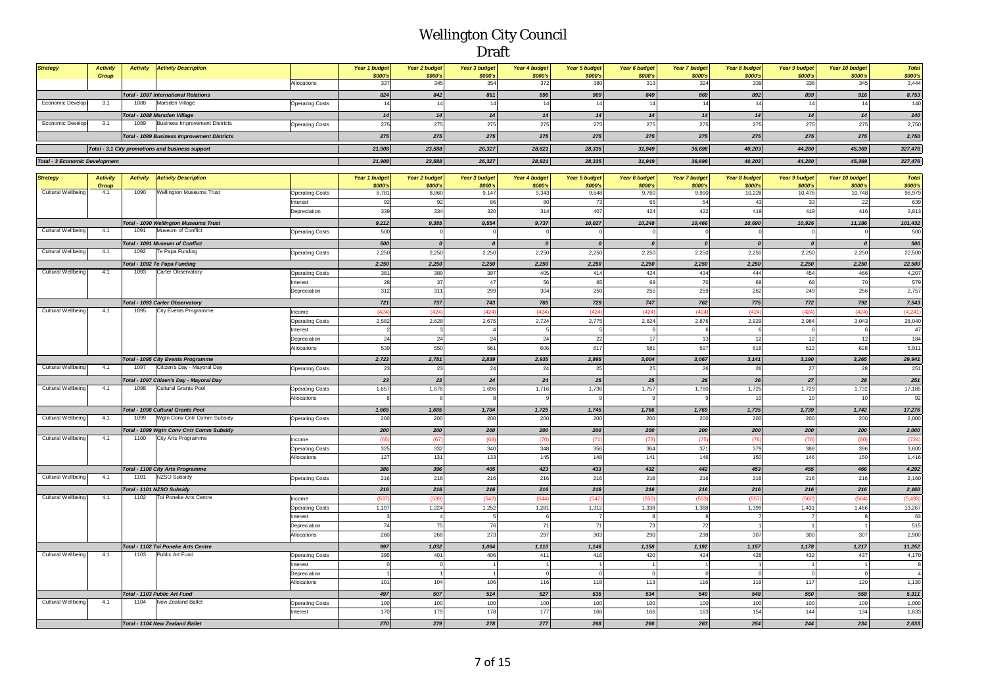| <b>Strategy</b><br><b>Activity</b><br><b>Activity</b><br><b>Activity Description</b><br>Year 1 budget<br><b>Year 2 budget</b><br><b>Year 3 budget</b><br>Year 4 budget<br><b>Year 5 budget</b><br>Year 6 budget<br><b>Year 7 budget</b><br>Year 8 budget<br><b>Year 9 budget</b><br>Year 10 budget<br>Group<br>\$000's<br>\$000's<br>\$000's<br>\$000's<br>\$000's<br>\$000's<br>\$000's<br>\$000's<br>\$000's<br>345<br>372<br>336<br>Allocations<br>337<br>354<br>380<br>313<br>324<br>339<br><b>Total - 1087 International Relations</b><br>824<br>842<br>861<br>890<br>909<br>849<br>869<br>892<br>899<br>Economic Develop<br>Marsden Village<br>3.1<br>1088<br>14<br>14<br>14<br>14<br>14<br>14<br>14<br><b>Operating Costs</b><br>14<br>14<br>14<br>14<br>14<br>Total - 1088 Marsden Village<br>14<br>14<br>14<br>14<br>14<br>14<br>Economic Develop<br>3.1<br><b>Business Improvement Districts</b><br>275<br>1089<br>275<br>275<br>275<br>275<br>275<br>275<br>275<br>275<br><b>Operating Costs</b><br>275<br>275<br>275<br>275<br>275<br>275<br>275<br>275<br>275<br><b>Total - 1089 Business Improvement Districts</b><br>Total - 3.1 City promotions and business support<br>21,908<br>23,588<br>26,327<br>28,821<br>28,335<br>31,949<br>36,698<br>40,203<br>44,280<br><b>Total - 3 Economic Development</b><br>21,908<br>23,588<br>26,327<br>28,821<br>28,335<br>31,949<br>36,698<br>40,203<br>44,280<br><b>Strategy</b><br><b>Activity</b><br><b>Activity</b><br><b>Activity Description</b><br>Year 1 budget<br><b>Year 2 budget</b><br>Year 3 budget<br>Year 4 budget<br><b>Year 5 budget</b><br>Year 6 budget<br><b>Year 7 budget</b><br>Year 8 budget<br><b>Year 9 budget</b><br>Year 10 budget<br>\$000's<br><b>\$000's</b><br>\$000's<br>\$000's<br>\$000's<br>\$000's<br>\$000's<br>\$000's<br>\$000's<br>Group |
|-------------------------------------------------------------------------------------------------------------------------------------------------------------------------------------------------------------------------------------------------------------------------------------------------------------------------------------------------------------------------------------------------------------------------------------------------------------------------------------------------------------------------------------------------------------------------------------------------------------------------------------------------------------------------------------------------------------------------------------------------------------------------------------------------------------------------------------------------------------------------------------------------------------------------------------------------------------------------------------------------------------------------------------------------------------------------------------------------------------------------------------------------------------------------------------------------------------------------------------------------------------------------------------------------------------------------------------------------------------------------------------------------------------------------------------------------------------------------------------------------------------------------------------------------------------------------------------------------------------------------------------------------------------------------------------------------------------------------------------------------------------------------------------------------------------------------------------|
|                                                                                                                                                                                                                                                                                                                                                                                                                                                                                                                                                                                                                                                                                                                                                                                                                                                                                                                                                                                                                                                                                                                                                                                                                                                                                                                                                                                                                                                                                                                                                                                                                                                                                                                                                                                                                                     |
|                                                                                                                                                                                                                                                                                                                                                                                                                                                                                                                                                                                                                                                                                                                                                                                                                                                                                                                                                                                                                                                                                                                                                                                                                                                                                                                                                                                                                                                                                                                                                                                                                                                                                                                                                                                                                                     |
|                                                                                                                                                                                                                                                                                                                                                                                                                                                                                                                                                                                                                                                                                                                                                                                                                                                                                                                                                                                                                                                                                                                                                                                                                                                                                                                                                                                                                                                                                                                                                                                                                                                                                                                                                                                                                                     |
|                                                                                                                                                                                                                                                                                                                                                                                                                                                                                                                                                                                                                                                                                                                                                                                                                                                                                                                                                                                                                                                                                                                                                                                                                                                                                                                                                                                                                                                                                                                                                                                                                                                                                                                                                                                                                                     |
|                                                                                                                                                                                                                                                                                                                                                                                                                                                                                                                                                                                                                                                                                                                                                                                                                                                                                                                                                                                                                                                                                                                                                                                                                                                                                                                                                                                                                                                                                                                                                                                                                                                                                                                                                                                                                                     |
|                                                                                                                                                                                                                                                                                                                                                                                                                                                                                                                                                                                                                                                                                                                                                                                                                                                                                                                                                                                                                                                                                                                                                                                                                                                                                                                                                                                                                                                                                                                                                                                                                                                                                                                                                                                                                                     |
|                                                                                                                                                                                                                                                                                                                                                                                                                                                                                                                                                                                                                                                                                                                                                                                                                                                                                                                                                                                                                                                                                                                                                                                                                                                                                                                                                                                                                                                                                                                                                                                                                                                                                                                                                                                                                                     |
|                                                                                                                                                                                                                                                                                                                                                                                                                                                                                                                                                                                                                                                                                                                                                                                                                                                                                                                                                                                                                                                                                                                                                                                                                                                                                                                                                                                                                                                                                                                                                                                                                                                                                                                                                                                                                                     |
|                                                                                                                                                                                                                                                                                                                                                                                                                                                                                                                                                                                                                                                                                                                                                                                                                                                                                                                                                                                                                                                                                                                                                                                                                                                                                                                                                                                                                                                                                                                                                                                                                                                                                                                                                                                                                                     |
|                                                                                                                                                                                                                                                                                                                                                                                                                                                                                                                                                                                                                                                                                                                                                                                                                                                                                                                                                                                                                                                                                                                                                                                                                                                                                                                                                                                                                                                                                                                                                                                                                                                                                                                                                                                                                                     |
|                                                                                                                                                                                                                                                                                                                                                                                                                                                                                                                                                                                                                                                                                                                                                                                                                                                                                                                                                                                                                                                                                                                                                                                                                                                                                                                                                                                                                                                                                                                                                                                                                                                                                                                                                                                                                                     |
|                                                                                                                                                                                                                                                                                                                                                                                                                                                                                                                                                                                                                                                                                                                                                                                                                                                                                                                                                                                                                                                                                                                                                                                                                                                                                                                                                                                                                                                                                                                                                                                                                                                                                                                                                                                                                                     |
|                                                                                                                                                                                                                                                                                                                                                                                                                                                                                                                                                                                                                                                                                                                                                                                                                                                                                                                                                                                                                                                                                                                                                                                                                                                                                                                                                                                                                                                                                                                                                                                                                                                                                                                                                                                                                                     |
| <b>Cultural Wellbeing</b><br>4.1<br>1090<br>Wellington Museums Trust<br>8,960<br>8,781<br>9,147<br>9,343<br>9,548<br>9,760<br>9,990<br>10,228<br>10,475                                                                                                                                                                                                                                                                                                                                                                                                                                                                                                                                                                                                                                                                                                                                                                                                                                                                                                                                                                                                                                                                                                                                                                                                                                                                                                                                                                                                                                                                                                                                                                                                                                                                             |
| <b>Operating Costs</b><br>92<br>92<br>86<br>80<br>73<br>65<br>54<br>43<br>33<br>nterest                                                                                                                                                                                                                                                                                                                                                                                                                                                                                                                                                                                                                                                                                                                                                                                                                                                                                                                                                                                                                                                                                                                                                                                                                                                                                                                                                                                                                                                                                                                                                                                                                                                                                                                                             |
| 339<br>334<br>320<br>314<br>407<br>424<br>419<br>419<br>Depreciation<br>422                                                                                                                                                                                                                                                                                                                                                                                                                                                                                                                                                                                                                                                                                                                                                                                                                                                                                                                                                                                                                                                                                                                                                                                                                                                                                                                                                                                                                                                                                                                                                                                                                                                                                                                                                         |
|                                                                                                                                                                                                                                                                                                                                                                                                                                                                                                                                                                                                                                                                                                                                                                                                                                                                                                                                                                                                                                                                                                                                                                                                                                                                                                                                                                                                                                                                                                                                                                                                                                                                                                                                                                                                                                     |
| 9,554<br>9,737<br>10,248<br>10,926<br><b>Total - 1090 Wellington Museums Trust</b><br>9,212<br>9,385<br>10,027<br>10,466<br>10,690                                                                                                                                                                                                                                                                                                                                                                                                                                                                                                                                                                                                                                                                                                                                                                                                                                                                                                                                                                                                                                                                                                                                                                                                                                                                                                                                                                                                                                                                                                                                                                                                                                                                                                  |
| Museum of Conflict<br><b>Cultural Wellbeing</b><br>4.1<br>1091<br>500<br><b>Operating Costs</b><br>$\mathbf 0$<br>$\mathbf 0$<br>$\overline{0}$<br>$\mathbf 0$                                                                                                                                                                                                                                                                                                                                                                                                                                                                                                                                                                                                                                                                                                                                                                                                                                                                                                                                                                                                                                                                                                                                                                                                                                                                                                                                                                                                                                                                                                                                                                                                                                                                      |
| 500<br>$\boldsymbol{0}$<br>Total - 1091 Museum of Conflict<br>$\boldsymbol{0}$<br>$\boldsymbol{0}$<br>$\boldsymbol{0}$<br>$\boldsymbol{0}$<br>$\boldsymbol{o}$<br>$\boldsymbol{0}$                                                                                                                                                                                                                                                                                                                                                                                                                                                                                                                                                                                                                                                                                                                                                                                                                                                                                                                                                                                                                                                                                                                                                                                                                                                                                                                                                                                                                                                                                                                                                                                                                                                  |
| Cultural Wellbeing<br>4.1<br>Te Papa Funding<br>1092<br>2,250<br>2,250<br>2,250<br>2,250<br>2,250<br>2,250<br>2,250<br>2,250<br>2,250<br><b>Operating Costs</b>                                                                                                                                                                                                                                                                                                                                                                                                                                                                                                                                                                                                                                                                                                                                                                                                                                                                                                                                                                                                                                                                                                                                                                                                                                                                                                                                                                                                                                                                                                                                                                                                                                                                     |
|                                                                                                                                                                                                                                                                                                                                                                                                                                                                                                                                                                                                                                                                                                                                                                                                                                                                                                                                                                                                                                                                                                                                                                                                                                                                                                                                                                                                                                                                                                                                                                                                                                                                                                                                                                                                                                     |
| 2,250<br>2,250<br>2,250<br>2,250<br>2,250<br>Total - 1092 Te Papa Funding<br>2,250<br>2,250<br>2,250<br>2,250                                                                                                                                                                                                                                                                                                                                                                                                                                                                                                                                                                                                                                                                                                                                                                                                                                                                                                                                                                                                                                                                                                                                                                                                                                                                                                                                                                                                                                                                                                                                                                                                                                                                                                                       |
| Cultural Wellbeing<br>4.1<br>1093<br>Carter Observatory<br>389<br>397<br>434<br>381<br>405<br>414<br>424<br>444<br>454<br><b>Operating Costs</b>                                                                                                                                                                                                                                                                                                                                                                                                                                                                                                                                                                                                                                                                                                                                                                                                                                                                                                                                                                                                                                                                                                                                                                                                                                                                                                                                                                                                                                                                                                                                                                                                                                                                                    |
| 28<br>37<br>47<br>56<br>65<br>69<br>70<br>68<br>69<br>nterest                                                                                                                                                                                                                                                                                                                                                                                                                                                                                                                                                                                                                                                                                                                                                                                                                                                                                                                                                                                                                                                                                                                                                                                                                                                                                                                                                                                                                                                                                                                                                                                                                                                                                                                                                                       |
| 312<br>311<br>299<br>304<br>250<br>255<br>259<br>262<br>249<br>Depreciation                                                                                                                                                                                                                                                                                                                                                                                                                                                                                                                                                                                                                                                                                                                                                                                                                                                                                                                                                                                                                                                                                                                                                                                                                                                                                                                                                                                                                                                                                                                                                                                                                                                                                                                                                         |
| 747<br>Total - 1093 Carter Observatory<br>721<br>737<br>743<br>765<br>729<br>762<br>775<br>772                                                                                                                                                                                                                                                                                                                                                                                                                                                                                                                                                                                                                                                                                                                                                                                                                                                                                                                                                                                                                                                                                                                                                                                                                                                                                                                                                                                                                                                                                                                                                                                                                                                                                                                                      |
| Cultural Wellbeing<br>City Events Programme<br>4.1<br>1095<br>(424)<br>(424)<br>(424)<br>(424)<br>(424)<br>(424)<br>(424)<br>(424)<br>(424)<br>Income                                                                                                                                                                                                                                                                                                                                                                                                                                                                                                                                                                                                                                                                                                                                                                                                                                                                                                                                                                                                                                                                                                                                                                                                                                                                                                                                                                                                                                                                                                                                                                                                                                                                               |
| 2,582<br>2,628<br>2,675<br>2,724<br>2,775<br>2,824<br>2,876<br>2,929<br>2,984<br><b>Operating Costs</b>                                                                                                                                                                                                                                                                                                                                                                                                                                                                                                                                                                                                                                                                                                                                                                                                                                                                                                                                                                                                                                                                                                                                                                                                                                                                                                                                                                                                                                                                                                                                                                                                                                                                                                                             |
| $\overline{4}$<br>6<br>nterest<br>$\overline{2}$<br>$\mathbf{3}$<br>5<br>6<br>6<br>6                                                                                                                                                                                                                                                                                                                                                                                                                                                                                                                                                                                                                                                                                                                                                                                                                                                                                                                                                                                                                                                                                                                                                                                                                                                                                                                                                                                                                                                                                                                                                                                                                                                                                                                                                |
| 24<br>24<br>22<br>17<br>13<br>12<br>24<br>24<br>12<br>Depreciation                                                                                                                                                                                                                                                                                                                                                                                                                                                                                                                                                                                                                                                                                                                                                                                                                                                                                                                                                                                                                                                                                                                                                                                                                                                                                                                                                                                                                                                                                                                                                                                                                                                                                                                                                                  |
| 539<br>550<br>561<br>606<br>617<br>581<br>597<br>618<br>612<br>Allocations                                                                                                                                                                                                                                                                                                                                                                                                                                                                                                                                                                                                                                                                                                                                                                                                                                                                                                                                                                                                                                                                                                                                                                                                                                                                                                                                                                                                                                                                                                                                                                                                                                                                                                                                                          |
| 2,723<br>2,839<br>2,935<br>2,995<br>3,004<br>3,141<br><b>Total - 1095 City Events Programme</b><br>2,781<br>3,067<br>3,190                                                                                                                                                                                                                                                                                                                                                                                                                                                                                                                                                                                                                                                                                                                                                                                                                                                                                                                                                                                                                                                                                                                                                                                                                                                                                                                                                                                                                                                                                                                                                                                                                                                                                                          |
| 1097<br>4.1<br>Citizen's Day - Mayoral Day<br>Cultural Wellbeing<br>23<br>25<br>26<br><b>Operating Costs</b><br>23<br>24<br>24<br>25<br>26<br>27                                                                                                                                                                                                                                                                                                                                                                                                                                                                                                                                                                                                                                                                                                                                                                                                                                                                                                                                                                                                                                                                                                                                                                                                                                                                                                                                                                                                                                                                                                                                                                                                                                                                                    |
|                                                                                                                                                                                                                                                                                                                                                                                                                                                                                                                                                                                                                                                                                                                                                                                                                                                                                                                                                                                                                                                                                                                                                                                                                                                                                                                                                                                                                                                                                                                                                                                                                                                                                                                                                                                                                                     |
| 23<br>23<br>24<br>24<br>25<br>25<br>26<br>26<br>27<br>Total - 1097 Citizen's Day - Mayoral Day<br>Cultural Wellbeing<br>4.1<br><b>Cultural Grants Pool</b><br>1098                                                                                                                                                                                                                                                                                                                                                                                                                                                                                                                                                                                                                                                                                                                                                                                                                                                                                                                                                                                                                                                                                                                                                                                                                                                                                                                                                                                                                                                                                                                                                                                                                                                                  |
| 1,657<br>1,676<br>1,696<br>1,716<br>1,736<br>1,757<br>1,760<br>1,725<br>1,729<br><b>Operating Costs</b><br>10<br>-9                                                                                                                                                                                                                                                                                                                                                                                                                                                                                                                                                                                                                                                                                                                                                                                                                                                                                                                                                                                                                                                                                                                                                                                                                                                                                                                                                                                                                                                                                                                                                                                                                                                                                                                 |
| Allocations<br>10                                                                                                                                                                                                                                                                                                                                                                                                                                                                                                                                                                                                                                                                                                                                                                                                                                                                                                                                                                                                                                                                                                                                                                                                                                                                                                                                                                                                                                                                                                                                                                                                                                                                                                                                                                                                                   |
| 1,665<br>1,745<br>Total - 1098 Cultural Grants Pool<br>1,685<br>1,704<br>1,725<br>1,766<br>1,769<br>1,735<br>1,739                                                                                                                                                                                                                                                                                                                                                                                                                                                                                                                                                                                                                                                                                                                                                                                                                                                                                                                                                                                                                                                                                                                                                                                                                                                                                                                                                                                                                                                                                                                                                                                                                                                                                                                  |
| <b>Cultural Wellbeing</b><br>4.1<br>1099<br>Wgtn Conv Cntr Comm Subsidy<br>200<br>200<br>200<br>200<br>200<br>200<br>200<br>200<br>200<br><b>Operating Costs</b>                                                                                                                                                                                                                                                                                                                                                                                                                                                                                                                                                                                                                                                                                                                                                                                                                                                                                                                                                                                                                                                                                                                                                                                                                                                                                                                                                                                                                                                                                                                                                                                                                                                                    |
| 200<br>200<br>200<br>200<br>200<br>200<br>200<br>200<br>200<br>Total - 1099 Wgtn Conv Cntr Comm Subsidy                                                                                                                                                                                                                                                                                                                                                                                                                                                                                                                                                                                                                                                                                                                                                                                                                                                                                                                                                                                                                                                                                                                                                                                                                                                                                                                                                                                                                                                                                                                                                                                                                                                                                                                             |
| Cultural Wellbeing<br>4.1<br>City Arts Programme<br>1100<br>(67)<br>(68)<br>(75)<br>(78)<br>Income<br>(65<br>(70)<br>(71)<br>(73)<br>(76)                                                                                                                                                                                                                                                                                                                                                                                                                                                                                                                                                                                                                                                                                                                                                                                                                                                                                                                                                                                                                                                                                                                                                                                                                                                                                                                                                                                                                                                                                                                                                                                                                                                                                           |
| 325<br>332<br>340<br>348<br>356<br>364<br>371<br>379<br>388<br><b>Operating Costs</b>                                                                                                                                                                                                                                                                                                                                                                                                                                                                                                                                                                                                                                                                                                                                                                                                                                                                                                                                                                                                                                                                                                                                                                                                                                                                                                                                                                                                                                                                                                                                                                                                                                                                                                                                               |
| 127<br>131<br>133<br>145<br>148<br>141<br>146<br>146<br>150<br>Allocations                                                                                                                                                                                                                                                                                                                                                                                                                                                                                                                                                                                                                                                                                                                                                                                                                                                                                                                                                                                                                                                                                                                                                                                                                                                                                                                                                                                                                                                                                                                                                                                                                                                                                                                                                          |
| Total - 1100 City Arts Programme<br>386<br>396<br>405<br>423<br>433<br>432<br>442<br>453<br>455                                                                                                                                                                                                                                                                                                                                                                                                                                                                                                                                                                                                                                                                                                                                                                                                                                                                                                                                                                                                                                                                                                                                                                                                                                                                                                                                                                                                                                                                                                                                                                                                                                                                                                                                     |
| <b>Cultural Wellbeing</b><br>4.1<br>1101<br>NZSO Subsidy<br>216<br>216<br>216<br>216<br>216<br>216<br>216<br>216<br>216<br><b>Operating Costs</b>                                                                                                                                                                                                                                                                                                                                                                                                                                                                                                                                                                                                                                                                                                                                                                                                                                                                                                                                                                                                                                                                                                                                                                                                                                                                                                                                                                                                                                                                                                                                                                                                                                                                                   |
| 216<br>216<br>Total - 1101 NZSO Subsidy<br>216<br>216<br>216<br>216<br>216<br>216<br>216                                                                                                                                                                                                                                                                                                                                                                                                                                                                                                                                                                                                                                                                                                                                                                                                                                                                                                                                                                                                                                                                                                                                                                                                                                                                                                                                                                                                                                                                                                                                                                                                                                                                                                                                            |
| <b>Cultural Wellbeing</b><br>4.1<br>1102<br>Toi Poneke Arts Centre<br>(537)<br>(539)<br>(542)<br>(544)<br>(547)<br>(550)<br>(553)<br>(557)<br>(560)<br>Income                                                                                                                                                                                                                                                                                                                                                                                                                                                                                                                                                                                                                                                                                                                                                                                                                                                                                                                                                                                                                                                                                                                                                                                                                                                                                                                                                                                                                                                                                                                                                                                                                                                                       |
| 1,197<br>1,224<br>1,252<br>1,281<br>1,312<br>1,338<br>1,368<br>1,399<br>1,431<br><b>Operating Costs</b>                                                                                                                                                                                                                                                                                                                                                                                                                                                                                                                                                                                                                                                                                                                                                                                                                                                                                                                                                                                                                                                                                                                                                                                                                                                                                                                                                                                                                                                                                                                                                                                                                                                                                                                             |
| Interest<br>$\overline{4}$<br>-5<br>8<br>-3<br>6<br>8<br>$\overline{7}$                                                                                                                                                                                                                                                                                                                                                                                                                                                                                                                                                                                                                                                                                                                                                                                                                                                                                                                                                                                                                                                                                                                                                                                                                                                                                                                                                                                                                                                                                                                                                                                                                                                                                                                                                             |
| 75<br>$71$<br>71<br>73<br>$\bf 72$<br>74<br>76<br>Depreciation                                                                                                                                                                                                                                                                                                                                                                                                                                                                                                                                                                                                                                                                                                                                                                                                                                                                                                                                                                                                                                                                                                                                                                                                                                                                                                                                                                                                                                                                                                                                                                                                                                                                                                                                                                      |
| 260<br>268<br>273<br>297<br>303<br>290<br>298<br>307<br>Allocations<br>300                                                                                                                                                                                                                                                                                                                                                                                                                                                                                                                                                                                                                                                                                                                                                                                                                                                                                                                                                                                                                                                                                                                                                                                                                                                                                                                                                                                                                                                                                                                                                                                                                                                                                                                                                          |
| Total - 1102 Toi Poneke Arts Centre<br>997<br>1,032<br>1,110<br>1,146<br>1,158<br>1,192<br>1,157<br>1,064<br>1,178                                                                                                                                                                                                                                                                                                                                                                                                                                                                                                                                                                                                                                                                                                                                                                                                                                                                                                                                                                                                                                                                                                                                                                                                                                                                                                                                                                                                                                                                                                                                                                                                                                                                                                                  |
| Public Art Fund<br>395<br>Cultural Wellbeing<br>4.1<br>1103<br>401<br>406<br>411<br>416<br>420<br>424<br>428<br>432<br><b>Operating Costs</b>                                                                                                                                                                                                                                                                                                                                                                                                                                                                                                                                                                                                                                                                                                                                                                                                                                                                                                                                                                                                                                                                                                                                                                                                                                                                                                                                                                                                                                                                                                                                                                                                                                                                                       |
| $\mathbf 0$<br>$\Omega$<br>hterest                                                                                                                                                                                                                                                                                                                                                                                                                                                                                                                                                                                                                                                                                                                                                                                                                                                                                                                                                                                                                                                                                                                                                                                                                                                                                                                                                                                                                                                                                                                                                                                                                                                                                                                                                                                                  |
| $\circ$<br>$\circ$<br>Depreciation<br>$\mathbf 0$<br>$\Omega$<br>$^{\circ}$                                                                                                                                                                                                                                                                                                                                                                                                                                                                                                                                                                                                                                                                                                                                                                                                                                                                                                                                                                                                                                                                                                                                                                                                                                                                                                                                                                                                                                                                                                                                                                                                                                                                                                                                                         |
| 104<br>106<br>118<br>113<br>Allocations<br>101<br>116<br>116<br>119<br>117                                                                                                                                                                                                                                                                                                                                                                                                                                                                                                                                                                                                                                                                                                                                                                                                                                                                                                                                                                                                                                                                                                                                                                                                                                                                                                                                                                                                                                                                                                                                                                                                                                                                                                                                                          |
| 497<br>507<br>535<br>Total - 1103 Public Art Fund<br>514<br>527<br>534<br>540<br>548<br>550                                                                                                                                                                                                                                                                                                                                                                                                                                                                                                                                                                                                                                                                                                                                                                                                                                                                                                                                                                                                                                                                                                                                                                                                                                                                                                                                                                                                                                                                                                                                                                                                                                                                                                                                         |
| New Zealand Ballet<br>Cultural Wellbeing<br>1104<br>4.1<br>100<br>100<br>100<br>100<br>100<br>100<br>100<br>100<br>100<br><b>Operating Costs</b>                                                                                                                                                                                                                                                                                                                                                                                                                                                                                                                                                                                                                                                                                                                                                                                                                                                                                                                                                                                                                                                                                                                                                                                                                                                                                                                                                                                                                                                                                                                                                                                                                                                                                    |
| 179<br>178<br>168<br>170<br>177<br>166<br>154<br>144<br>Interest<br>163                                                                                                                                                                                                                                                                                                                                                                                                                                                                                                                                                                                                                                                                                                                                                                                                                                                                                                                                                                                                                                                                                                                                                                                                                                                                                                                                                                                                                                                                                                                                                                                                                                                                                                                                                             |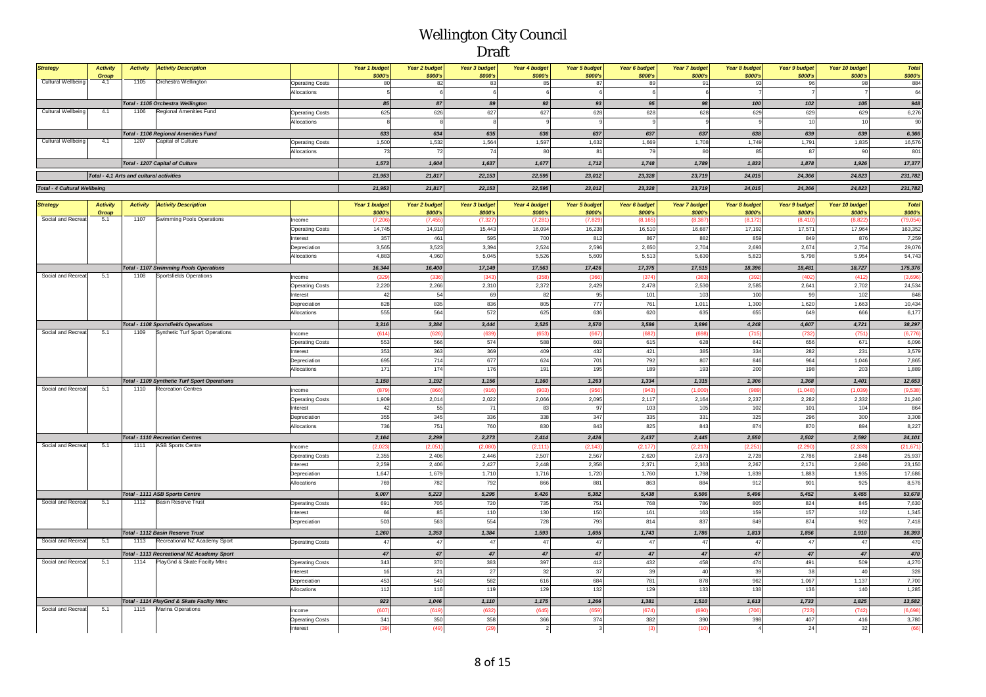| <b>Strategy</b>                     | <b>Activity</b> | <b>Activity</b>                          | <b>Activity Description</b>                                                |                                   | Year 1 budget | Year 2 budget     | Year 3 budget    | Year 4 budget    | <b>Year 5 budget</b> | Year 6 budget | <b>Year 7 budget</b> | Year 8 budget  | Year 9 budget        | Year 10 budget    | <b>Total</b>     |
|-------------------------------------|-----------------|------------------------------------------|----------------------------------------------------------------------------|-----------------------------------|---------------|-------------------|------------------|------------------|----------------------|---------------|----------------------|----------------|----------------------|-------------------|------------------|
|                                     | Group           |                                          |                                                                            |                                   | \$000's       | \$000's           | \$000's          | \$000's          | \$000's              | \$000's       | \$000's              | \$000's        | \$000's              | \$000's           | \$000's          |
| Cultural Wellbeing                  | 4.1             | 1105                                     | Orchestra Wellington                                                       | <b>Operating Costs</b>            | 80            | 82                | 83               | 85               | 87                   | 89            | 91                   | 93             | 96                   | 98                | 884              |
|                                     |                 |                                          |                                                                            | Allocations                       |               |                   |                  | 6                | 6                    | 6             | 6                    |                |                      |                   | 64               |
|                                     |                 |                                          | Total - 1105 Orchestra Wellington                                          |                                   | 85            | 87                | 89               | 92               | 93                   | 95            | 98                   | 100            | 102                  | 105               | 948              |
| <b>Cultural Wellbeing</b>           | 4.1             | 1106                                     | Regional Amenities Fund                                                    | <b>Operating Costs</b>            | 625           | 626               | 627              | 627              | 628                  | 628           | 628                  | 629            | 629                  | 629               | 6,276            |
|                                     |                 |                                          |                                                                            | Allocations                       |               |                   |                  |                  |                      |               |                      |                | 10                   | 10                | 90               |
|                                     |                 |                                          | <b>Total - 1106 Regional Amenities Fund</b>                                |                                   | 633           | 634               | 635              | 636              | 637                  | 637           | 637                  | 638            | 639                  | 639               | 6,366            |
| <b>Cultural Wellbeing</b>           | 4.1             | 1207                                     | Capital of Culture                                                         | <b>Operating Costs</b>            | 1,500         | 1,532             | 1,564            | 1,597            | 1,632                | 1,669         | 1,708                | 1,749          | 1,791                | 1,835             | 16,576           |
|                                     |                 |                                          |                                                                            | Allocations                       | 73            | 72                | 74               | 80               | 81                   | 79            | 80                   | 85             | 87                   | 90                | 801              |
|                                     |                 |                                          | Total - 1207 Capital of Culture                                            |                                   | 1,573         | 1,604             | 1,637            | 1,677            | 1,712                | 1,748         | 1,789                | 1,833          | 1,878                | 1,926             | 17,377           |
|                                     |                 | Total - 4.1 Arts and cultural activities |                                                                            |                                   | 21,953        | 21,817            | 22,153           | 22,595           | 23,012               | 23.328        | 23,719               | 24,015         | 24,366               | 24.823            | 231,782          |
| <b>Total - 4 Cultural Wellbeing</b> |                 |                                          |                                                                            |                                   | 21,953        | 21,817            | 22,153           | 22,595           | 23,012               | 23,328        | 23,719               | 24,015         | 24,366               | 24,823            | 231,782          |
|                                     |                 |                                          |                                                                            |                                   |               |                   |                  |                  |                      |               |                      |                |                      |                   |                  |
| <b>Strategy</b>                     | <b>Activity</b> | <b>Activity</b>                          | <b>Activity Description</b>                                                |                                   | Year 1 budget | Year 2 budget     | Year 3 budget    | Year 4 budget    | Year 5 budget        | Year 6 budget | Year 7 budget        | Year 8 budget  | <b>Year 9 budget</b> | Year 10 budget    | <b>Total</b>     |
|                                     | Group<br>5.1    | 1107                                     |                                                                            |                                   | \$000's       | \$000's           | \$000's          | \$000's          | \$000's              | \$000's       | \$000's              | \$000's        | \$000's              | \$000's           | \$000's          |
| Social and Recreat                  |                 |                                          | Swimming Pools Operations                                                  | Income                            | (7, 206)      | (7.455)<br>14,910 | (7.32)<br>15,443 | (7, 281)         | (7.82)<br>16,238     | (8.165)       | (8.387)<br>16,687    | (8.172)        | (8.410)<br>17,57'    | (8.822)<br>17,964 | (79,054)         |
|                                     |                 |                                          |                                                                            | <b>Operating Costs</b>            | 14,745<br>357 | 461               | 595              | 16,094<br>700    | 812                  | 16,510<br>867 | 882                  | 17,192<br>859  | 849                  | 876               | 163,352<br>7,259 |
|                                     |                 |                                          |                                                                            | Interest<br>Depreciation          | 3,565         | 3,523             | 3,394            | 2,524            | 2,596                | 2,650         | 2,704                | 2,693          | 2,674                | 2,754             | 29,076           |
|                                     |                 |                                          |                                                                            | Allocations                       | 4,883         | 4,960             | 5,045            | 5,526            | 5,609                | 5,513         | 5,630                | 5,823          | 5,798                | 5,954             | 54,743           |
|                                     |                 |                                          |                                                                            |                                   | 16,344        | 16,400            | 17,149           | 17,563           | 17,426               | 17,375        | 17,515               | 18,396         | 18,481               | 18,727            | 175,376          |
| Social and Recreat                  | 5.1             | 1108                                     | <b>Total - 1107 Swimming Pools Operations</b><br>Sportsfields Operation    | ncome                             | (329)         | (33)              | (343)            | (35)             | (36)                 | (374)         | (38)                 | (392)          | (40)                 | (412)             | (3,696)          |
|                                     |                 |                                          |                                                                            | <b>Operating Costs</b>            | 2,220         | 2,266             | 2,310            | 2,372            | 2,429                | 2,478         | 2,530                | 2,585          | 2,641                | 2,702             | 24,534           |
|                                     |                 |                                          |                                                                            | nterest                           | 42            | 54                | 69               | 82               | 95                   | 101           | 103                  | 100            | 99                   | 102               | 848              |
|                                     |                 |                                          |                                                                            | Depreciation                      | 828           | 835               | 836              | 805              | 777                  | 761           | 1,011                | 1,300          | 1,620                | 1,663             | 10,434           |
|                                     |                 |                                          |                                                                            | Allocations                       | 555           | 564               | 572              | 625              | 636                  | 620           | 635                  | 655            | 649                  | 666               | 6,177            |
|                                     |                 |                                          | <b>Total - 1108 Sportsfields Operations</b>                                |                                   | 3,316         | 3,384             | 3,444            | 3,525            | 3,570                | 3,586         | 3,896                | 4,248          | 4,607                | 4,721             | 38,297           |
| Social and Recreat                  | 5.1             | 1109                                     | Synthetic Turf Sport Operations                                            | Income                            | (614)         | (626)             | (639)            | (65)             | (667)                | (682)         | (698)                | (715           | (732)                | (751)             | (6,776)          |
|                                     |                 |                                          |                                                                            | Operating Costs                   | 553           | 566               | 574              | 588              | 603                  | 615           | 628                  | 642            | 656                  | 671               | 6,096            |
|                                     |                 |                                          |                                                                            | nterest                           | 353           | 363               | 369              | 409              | 432                  | 421           | 385                  | 334            | 282                  | 231               | 3.579            |
|                                     |                 |                                          |                                                                            | Depreciation                      | 695           | 714               | 677              | 624              | 701                  | 792           | 807                  | 846            | 964                  | 1,046             | 7,865            |
|                                     |                 |                                          |                                                                            | Allocations                       | 171           | 174               | 176              | 191              | 195                  | 189           | 193                  | 200            | 198                  | 203               | 1,889            |
|                                     |                 |                                          | Total - 1109 Synthetic Turf Sport Operations                               |                                   | 1,158         | 1,192             | 1,156            | 1,160            | 1,263                | 1,334         | 1,315                | 1,306          | 1,368                | 1.401             | 12,653           |
| Social and Recreat                  | 5.1             | 1110                                     | <b>Recreation Centres</b>                                                  | Income                            | (879)         | (86)              | (916)            | (90)             | (956)                | (943          | (1.000)              | (98)           | (1,048)              | (1,039)           | (9,536)          |
|                                     |                 |                                          |                                                                            | <b>Operating Costs</b>            | 1,909         | 2,014             | 2,022            | 2,066            | 2,095                | 2,117         | 2,164                | 2,237          | 2,282                | 2,332             | 21,240           |
|                                     |                 |                                          |                                                                            | nterest                           | 42            | 55                | 71               | 83               | 97                   | 103           | 105                  | 102            | 101                  | 104               | 864              |
|                                     |                 |                                          |                                                                            | Depreciation                      | 355           | 345               | 336              | 338              | 347                  | 335           | 331                  | 325            | 296                  | 300               | 3,308            |
|                                     |                 |                                          |                                                                            | Allocations                       | 736           | 751               | 760              | 830              | 843                  | 825           | 843                  | 874            | 870                  | 894               | 8,227            |
|                                     |                 |                                          | <b>Total - 1110 Recreation Centres</b>                                     |                                   | 2,164         | 2,299             | 2,273            | 2,414            | 2,426                | 2,437         | 2,445                | 2,550          | 2,502                | 2,592             | 24,101           |
| Social and Recreat                  | 5.1             | 1111                                     | <b>ASB Sports Centre</b>                                                   | ncome                             | (2,023)       | (2.05)            | (2,080)          | (2, 111)         | (2, 143)             | (2, 177)      | (2, 213)             | (2, 251)       | (2, 290)             | (2, 333)          | (21, 671)        |
|                                     |                 |                                          |                                                                            | <b>Operating Costs</b>            | 2,355         | 2,406             | 2,446            | 2,507            | 2,567                | 2,620         | 2,673                | 2,728          | 2,786                | 2,848             | 25,937           |
|                                     |                 |                                          |                                                                            | nterest                           | 2,259         | 2,406             | 2,427            | 2,448            | 2,358                | 2,371         | 2,363                | 2,267          | 2,171                | 2,080             | 23,150           |
|                                     |                 |                                          |                                                                            | Depreciation<br>Allocations       | 1,647<br>769  | 1,679<br>782      | 1,710<br>792     | 1,716<br>866     | 1,720<br>881         | 1,760<br>863  | 1,798<br>884         | 1,839<br>912   | 1,883<br>901         | 1,935<br>925      | 17,686<br>8,576  |
|                                     |                 |                                          |                                                                            |                                   |               |                   |                  |                  |                      |               |                      |                |                      |                   |                  |
| Social and Recreat                  | 5.1             | 1112                                     | Total - 1111 ASB Sports Centre<br><b>Basin Reserve Trust</b>               |                                   | 5,007         | 5,223             | 5,295            | 5,426            | 5,382                | 5,438         | 5,506                | 5,496          | 5,452                | 5,455             | 53,678           |
|                                     |                 |                                          |                                                                            | <b>Operating Costs</b><br>nterest | 691<br>66     | 705<br>85         | 720<br>110       | 735<br>130       | 751<br>150           | 768<br>161    | 786<br>163           | 805<br>159     | 824<br>157           | 845<br>162        | 7,630<br>1,345   |
|                                     |                 |                                          |                                                                            | Depreciation                      | 503           | 563               | 554              | 728              | 793                  | 814           | 837                  | 849            | 874                  | 902               | 7,418            |
|                                     |                 |                                          |                                                                            |                                   |               | 1,353             |                  | 1,593            |                      | 1,743         |                      |                | 1,856                |                   |                  |
| Social and Recreat                  | 5.1             | 1113                                     | Total - 1112 Basin Reserve Trust<br>Recreational NZ Academy Sport          | <b>Operating Costs</b>            | 1,260<br>47   | 47                | 1,384<br>47      | $47\,$           | 1,695<br>$47\,$      | 47            | 1,786<br>47          | 1,813<br>47    | 47                   | 1,910<br>47       | 16,393<br>470    |
|                                     |                 |                                          |                                                                            |                                   |               |                   |                  |                  |                      |               |                      |                |                      |                   |                  |
| Social and Recreat                  | 5.1             | 1114                                     | Total - 1113 Recreational NZ Academy Sport<br>PlayGnd & Skate Facilty Mtnc |                                   | 47<br>343     | 47<br>370         | 47<br>383        | 47<br>397        | 47<br>412            | 47<br>432     | 47<br>458            | 47<br>474      | 47<br>491            | 47<br>509         | 470<br>4,270     |
|                                     |                 |                                          |                                                                            | <b>Operating Costs</b><br>nterest | 16            | 21                | 27               | 32               | 37                   | 39            | 40                   | 39             | 38                   | 40                | 328              |
|                                     |                 |                                          |                                                                            | Depreciation                      | 453           | 540               | 582              | 616              | 684                  | 781           | 878                  | 962            | 1,067                | 1,137             | 7,700            |
|                                     |                 |                                          |                                                                            | Allocations                       | $112$         | 116               | 119              | 129              | 132                  | 129           | 133                  | 138            | 136                  | 140               | 1,285            |
|                                     |                 |                                          | Total - 1114 PlayGnd & Skate Facilty Mtnc                                  |                                   | 923           | 1,046             | 1,110            | 1,175            | 1,266                | 1,381         | 1,510                | 1,613          | 1,733                | 1,825             | 13,582           |
| Social and Recreat                  | 5.1             | 1115                                     | Marina Operations                                                          | ncome                             | (607)         | (619              | (632)            | (645)            | (659)                | (674)         | (690)                | (706)          | (723)                | (742)             | (6,698)          |
|                                     |                 |                                          |                                                                            | <b>Operating Costs</b>            | 341           | 350               | 358              | 366              | 374                  | 382           | 390                  | 398            | 407                  | 416               | 3,780            |
|                                     |                 |                                          |                                                                            | nterest                           | (39)          | (49)              | (29)             | $\left  \right $ | $\mathbf{3}$         | (3)           | (10)                 | $\overline{4}$ | 24                   | 32                | (66)             |
|                                     |                 |                                          |                                                                            |                                   |               |                   |                  |                  |                      |               |                      |                |                      |                   |                  |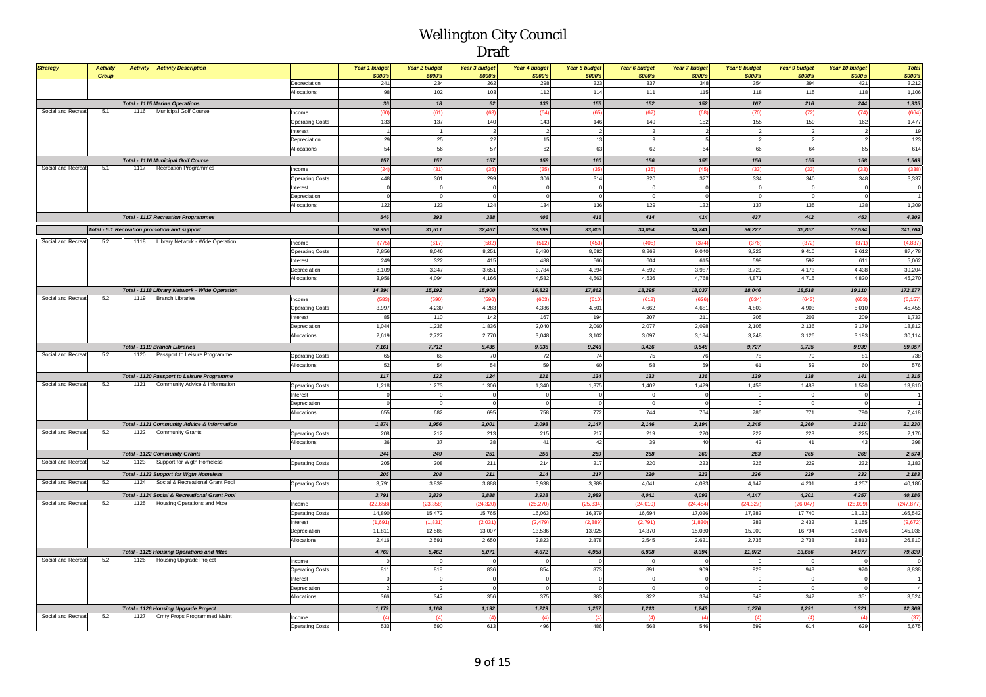| <b>Strategy</b>    | <b>Activity</b><br>Group | <b>Activity</b> | <b>Activity Description</b>                     |                        | Year 1 budget<br>\$000's | Year 2 budget<br>\$000's | Year 3 budget<br>\$000's | Year 4 budget<br>\$000's | Year 5 budget<br>\$000's | Year 6 budget<br>\$000's | Year 7 budget<br>\$000's | Year 8 budget<br>\$000's | Year 9 budget<br>\$000's | Year 10 budget<br>\$000's | <b>Total</b><br>\$000's |
|--------------------|--------------------------|-----------------|-------------------------------------------------|------------------------|--------------------------|--------------------------|--------------------------|--------------------------|--------------------------|--------------------------|--------------------------|--------------------------|--------------------------|---------------------------|-------------------------|
|                    |                          |                 |                                                 | Depreciation           | 241                      | 234                      | 262                      | 298                      | 323                      | 337                      | 348                      | 354                      | 394                      | 421                       | 3,212                   |
|                    |                          |                 |                                                 | Allocations            | 98                       | 102                      | 103                      | 112                      | 114                      | 111                      | 115                      | 118                      | 115                      | 118                       | 1,106                   |
|                    |                          |                 | <b>Total - 1115 Marina Operations</b>           |                        | 36                       | 18                       | 62                       | 133                      | 155                      | 152                      | 152                      | 167                      | 216                      | 244                       | 1,335                   |
| Social and Recreat | 5.1                      | 1116            | <b>Municipal Golf Course</b>                    | Income                 | (60                      | (61)                     | (63)                     | (64)                     | (65                      | (67)                     | (68)                     | (7)                      | (72)                     | (74)                      | (664)                   |
|                    |                          |                 |                                                 | <b>Operating Costs</b> | 133                      | 137                      | 140                      | 143                      | 146                      | 149                      | 152                      | 155                      | 159                      | 162                       | 1,477                   |
|                    |                          |                 |                                                 | Interest               |                          | $\overline{1}$           |                          | $\overline{2}$           | $\overline{2}$           | $\overline{2}$           | $\overline{a}$           | $\overline{\phantom{a}}$ | $\overline{2}$           |                           | 19                      |
|                    |                          |                 |                                                 | Depreciation           | 29                       | 25                       | 22                       | 15                       | 13                       | $\overline{9}$           | 5                        | $\overline{\phantom{a}}$ | $\overline{2}$           |                           | 123                     |
|                    |                          |                 |                                                 | Allocations            | 54                       | 56                       | 57                       | 62                       | 63                       | 62                       | 64                       | 66                       | 64                       | 65                        | 614                     |
|                    |                          |                 | Total - 1116 Municipal Golf Course              |                        | 157                      | 157                      | 157                      | 158                      | 160                      | 156                      | 155                      | 156                      | 155                      | 158                       | 1,569                   |
| Social and Recreat | 5.1                      | 1117            | <b>Recreation Programmes</b>                    | Income                 | (24)                     | (31)                     | (35)                     | (35)                     | (35)                     | (35)                     | (45)                     | (3)                      | (33)                     | (33)                      | (338)                   |
|                    |                          |                 |                                                 | <b>Operating Costs</b> | 448                      | 301                      | 299                      | 306                      | 314                      | 320                      | 327                      | 334                      | 340                      | 348                       | 3,337                   |
|                    |                          |                 |                                                 | Interest               |                          | $\mathbf{O}$             |                          | $\Omega$                 |                          | $\Omega$                 | $\overline{\mathbf{0}}$  |                          | $\circ$                  |                           | $\Omega$                |
|                    |                          |                 |                                                 | Depreciation           |                          | $\Omega$                 |                          |                          | $\Omega$                 | $\overline{0}$           | $\overline{0}$           |                          | $\Omega$                 |                           |                         |
|                    |                          |                 |                                                 | Allocations            | 122                      | 123                      | 124                      | 134                      | 136                      | 129                      | 132                      | 137                      | 135                      | 138                       | 1,309                   |
|                    |                          |                 | <b>Total - 1117 Recreation Programmes</b>       |                        | 546                      | 393                      | 388                      | 406                      | 416                      | 414                      | 414                      | 437                      | 442                      | 453                       | 4,309                   |
|                    |                          |                 | Total - 5.1 Recreation promotion and support    |                        | 30,956                   | 31,511                   | 32,467                   | 33,599                   | 33,806                   | 34,064                   | 34,741                   | 36,227                   | 36,857                   | 37,534                    | 341,764                 |
|                    |                          |                 |                                                 |                        |                          |                          |                          |                          |                          |                          |                          |                          |                          |                           |                         |
| Social and Recreat | 5.2                      | 1118            | Library Network - Wide Operation                | Income                 | (775)                    | (617)                    | (582)                    | (512)                    | (453)                    | (405                     | (374)                    | (376)                    | (372)                    | (371)                     | (4,837)                 |
|                    |                          |                 |                                                 | <b>Operating Costs</b> | 7,856                    | 8,046                    | 8,251                    | 8.480                    | 8.692                    | 8.868                    | 9,040                    | 9,223                    | 9,410                    | 9,612                     | 87.478                  |
|                    |                          |                 |                                                 | Interest               | 249                      | 322                      | 415                      | 488                      | 566                      | 604                      | 615                      | 599                      | 592                      | 61                        | 5,062                   |
|                    |                          |                 |                                                 | Depreciation           | 3,109                    | 3,347                    | 3,651                    | 3,784                    | 4,394                    | 4,592                    | 3,987                    | 3,729                    | 4,173                    | 4,438                     | 39,204                  |
|                    |                          |                 |                                                 | Allocations            | 3,956                    | 4,094                    | 4,166                    | 4,582                    | 4,663                    | 4,636                    | 4,768                    | 4,871                    | 4,715                    | 4,820                     | 45,270                  |
|                    |                          |                 | Total - 1118 Library Network - Wide Operation   |                        | 14,394                   | 15,192                   | 15,900                   | 16,822                   | 17,862                   | 18,295                   | 18,037                   | 18,046                   | 18,518                   | 19,110                    | 172,177                 |
| Social and Recreat | 5.2                      | 1119            | <b>Branch Libraries</b>                         | Income                 | (583)                    | (590                     | (596)                    | (603)                    | (610)                    | (618)                    | (626)                    | (634)                    | (643)                    | (65)                      | (6, 157)                |
|                    |                          |                 |                                                 | <b>Operating Costs</b> | 3,997                    | 4,230                    | 4,283                    | 4,386                    | 4,501                    | 4,662                    | 4,681                    | 4,803                    | 4,903                    | 5,010                     | 45,455                  |
|                    |                          |                 |                                                 | Interest               | 85                       | 110                      | 142                      | 167                      | 194                      | 207                      | 211                      | 205                      | 203                      | 209                       | 1,733                   |
|                    |                          |                 |                                                 | Depreciation           | 1.044                    | 1,236                    | 1,836                    | 2,040                    | 2,060                    | 2,077                    | 2,098                    | 2,105                    | 2,136                    | 2,179                     | 18,812                  |
|                    |                          |                 |                                                 | Allocations            | 2,619                    | 2,727                    | 2,770                    | 3,048                    | 3,102                    | 3,097                    | 3,184                    | 3,248                    | 3,126                    | 3,193                     | 30,114                  |
|                    |                          |                 | Total - 1119 Branch Libraries                   |                        | 7,161                    | 7,712                    | 8,435                    | 9,038                    | 9,246                    | 9,426                    | 9,548                    | 9,727                    | 9,725                    | 9,939                     | 89,957                  |
| Social and Recreat | 5.2                      | 1120            | Passport to Leisure Programme                   | <b>Operating Costs</b> | 65                       | 68                       | 70                       | 72                       | 74                       | 75                       | 76                       | 78                       | 79                       | 81                        | 738                     |
|                    |                          |                 |                                                 | Allocations            | 52                       | 54                       | 54                       | 59                       | 60                       | 58                       | 59                       | 61                       | 59                       | 60                        | 576                     |
|                    |                          |                 | Total - 1120 Passport to Leisure Programme      |                        | 117                      | 122                      | $124$                    | 131                      | 134                      | 133                      | 136                      | 139                      | 138                      | 141                       | 1,315                   |
| Social and Recreat | 5.2                      | 1121            | Community Advice & Information                  | <b>Operating Costs</b> | 1,218                    | 1,273                    | 1,306                    | 1,340                    | 1,375                    | 1,402                    | 1,429                    | 1.458                    | 1.488                    | 1,520                     | 13,810                  |
|                    |                          |                 |                                                 | Interest               | $\Omega$                 | $\circ$                  |                          | $^{\circ}$               | $\overline{0}$           | $\circ$                  | $\circ$                  | $\overline{0}$           | $^{\circ}$               | $\overline{0}$            |                         |
|                    |                          |                 |                                                 | Depreciation           |                          | $\Omega$                 |                          | $\theta$                 | $\overline{0}$           | $\circ$                  | $\mathbf 0$              |                          | $\Omega$                 |                           |                         |
|                    |                          |                 |                                                 | <b>Allocations</b>     | 655                      | 682                      | 695                      | 758                      | 772                      | 744                      | 764                      | 786                      | 771                      | 790                       | 7,418                   |
|                    |                          |                 | Total - 1121 Community Advice & Information     |                        | 1,874                    | 1,956                    | 2,001                    | 2,098                    | 2,147                    | 2,146                    | 2,194                    | 2,245                    | 2,260                    | 2,310                     | 21,230                  |
| Social and Recreat | 5.2                      | 1122            | <b>Community Grants</b>                         | <b>Operating Costs</b> | 208                      | 212                      | 213                      | 215                      | 217                      | 219                      | 220                      | 222                      | 223                      | 225                       | 2,176                   |
|                    |                          |                 |                                                 | Allocations            | 36                       | 37                       | 38                       | 41                       | 42                       | 39                       | 40                       | 42                       | 41                       | 43                        | 398                     |
|                    |                          |                 | <b>Total - 1122 Community Grants</b>            |                        | 244                      | 249                      | 251                      | 256                      | 259                      | 258                      | 260                      | 263                      | 265                      | 268                       | 2,574                   |
| Social and Recreat | 5.2                      | 1123            | Support for Wgtn Homeless                       | <b>Operating Costs</b> | 205                      | 208                      | 211                      | 214                      | 217                      | 220                      | 223                      | 226                      | 229                      | 232                       | 2,183                   |
|                    |                          |                 | <b>Total - 1123 Support for Wgtn Homeless</b>   |                        | 205                      | 208                      | 211                      | 214                      | 217                      | 220                      | 223                      | 226                      | 229                      | 232                       | 2,183                   |
| Social and Recreat | 5.2                      | 1124            | Social & Recreational Grant Pool                | <b>Operating Costs</b> | 3,79'                    | 3,839                    | 3,888                    | 3,938                    | 3,989                    | 4,041                    | 4,093                    | 4,147                    | 4,201                    | 4,257                     | 40,186                  |
|                    |                          |                 | Total - 1124 Social & Recreational Grant Pool   |                        | 3,791                    | 3,839                    | 3,888                    | 3,938                    | 3,989                    | 4,041                    | 4,093                    | 4,147                    | 4,201                    | 4,257                     | 40,186                  |
| Social and Recreat | 5.2                      | 1125            | Housing Operations and Mtce                     | Income                 | (22, 65)                 | (23, 358)                | (24, 32)                 | (25, 270)                | (25, 334)                | (24, 010)                | (24, 454)                | (24, 327)                | (26, 047)                | (28,09)                   | (247, 877)              |
|                    |                          |                 |                                                 | <b>Operating Costs</b> | 14,890                   | 15,472                   | 15,765                   | 16,063                   | 16,379                   | 16,694                   | 17,026                   | 17,382                   | 17,740                   | 18,132                    | 165,542                 |
|                    |                          |                 |                                                 | Interest               | (1,691)                  | (1, 831)                 | (2,031)                  | (2, 479)                 | (2,889)                  | (2,791)                  | (1,830)                  | 283                      | 2,432                    | 3,155                     | (9,672)                 |
|                    |                          |                 |                                                 | Depreciation           | 11,81                    | 12,588                   | 13,007                   | 13,536                   | 13,925                   | 14,370                   | 15,030                   | 15,900                   | 16,794                   | 18,076                    | 145,036                 |
|                    |                          |                 |                                                 | Allocations            | 2,416                    | 2,591                    | 2,650                    | 2,823                    | 2,878                    | 2,545                    | 2,621                    | 2,735                    | 2,738                    | 2,813                     | 26,810                  |
|                    |                          |                 | <b>Total - 1125 Housing Operations and Mtce</b> |                        | 4,769                    | 5,462                    | 5,071                    | 4,672                    | 4,958                    | 6,808                    | 8,394                    | 11,972                   | 13,656                   | 14,077                    | 79,839                  |
| Social and Recreat | 5.2                      | 1126            | <b>Housing Upgrade Project</b>                  | Income                 |                          |                          |                          | $\theta$                 | $\overline{0}$           | $\overline{0}$           | $\mathbf{0}$             |                          |                          |                           |                         |
|                    |                          |                 |                                                 | <b>Operating Costs</b> | 811                      | 818                      | 836                      | 854                      | 873                      | 891                      | 909                      | 928                      | 948                      | 970                       | 8,838                   |
|                    |                          |                 |                                                 | Interest               |                          | $\overline{0}$           |                          | $\mathbf 0$              | $\circ$                  | $\mathbf 0$              | $\mathbf 0$              | $\sqrt{2}$               | $\overline{0}$           |                           |                         |
|                    |                          |                 |                                                 | Depreciation           |                          | $\overline{2}$           |                          | $\Omega$                 | $\overline{0}$           | $\circ$                  | $\mathbf 0$              | $\sqrt{ }$               | $\Omega$                 |                           |                         |
|                    |                          |                 |                                                 | Allocations            | 366                      | 347                      | 356                      | 375                      | 383                      | 322                      | 334                      | 348                      | 342                      | 351                       | 3,524                   |
|                    |                          |                 | Total - 1126 Housing Upgrade Project            |                        | 1,179                    | 1,168                    | 1,192                    | 1,229                    | 1,257                    | 1,213                    | 1,243                    | 1,276                    | 1,291                    | 1,321                     | 12,369                  |
| Social and Recreat | 5.2                      | 1127            | Cmty Props Programmed Maint                     | Income                 | $\frac{1}{4}$            | (4)                      | $\overline{4}$           | (4)                      | (4)                      | (4)                      | (4)                      | $\overline{a}$           | (4)                      | $\sqrt{4}$                | (37)                    |
|                    |                          |                 |                                                 | <b>Operating Costs</b> | 533                      | 590                      | 613                      | 496                      | 486                      | 568                      | 546                      | 599                      | 614                      | 629                       | 5,675                   |
|                    |                          |                 |                                                 |                        |                          |                          |                          |                          |                          |                          |                          |                          |                          |                           |                         |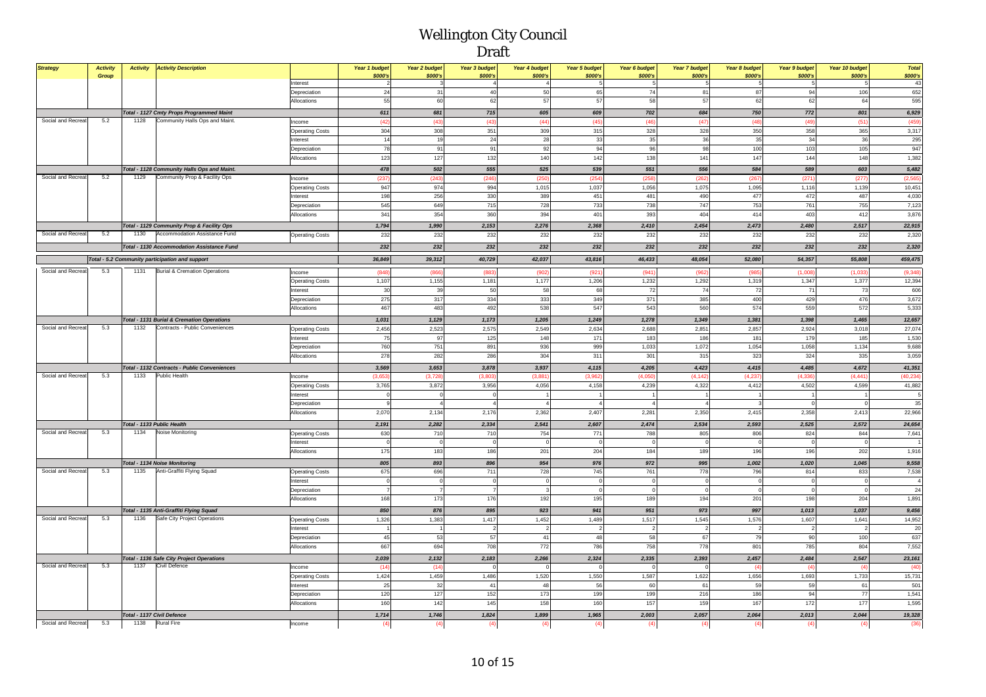| <b>Strategy</b>    | <b>Activity</b><br>Group | <b>Activity</b>            | <b>Activity Description</b>                                             |                                   | Year 1 budget<br>\$000's | Year 2 budget<br>\$000's | Year 3 budget<br>\$000's | Year 4 budget<br>\$000's | <b>Year 5 budget</b><br>\$000's | Year 6 budget<br>\$000's | Year 7 budget<br>\$000's | Year 8 budget<br>\$000's | Year 9 budget<br>\$000's | Year 10 budget<br>\$000's | <b>Total</b><br>\$000's |
|--------------------|--------------------------|----------------------------|-------------------------------------------------------------------------|-----------------------------------|--------------------------|--------------------------|--------------------------|--------------------------|---------------------------------|--------------------------|--------------------------|--------------------------|--------------------------|---------------------------|-------------------------|
|                    |                          |                            |                                                                         | Interest                          | $\mathcal{P}$            | $\mathbf{3}$             | $\mathbf{A}$             | $\overline{4}$           |                                 | 5                        | 5                        | 5                        | 5                        |                           | 43                      |
|                    |                          |                            |                                                                         | Depreciation                      | 24                       | 31                       | 40                       | 50                       | 65                              | 74                       | 81                       | 87                       | 94                       | 106                       | 652                     |
|                    |                          |                            |                                                                         | Allocations                       | 55                       | 60                       | 62                       | 57                       | 57                              | 58                       | 57                       | 62                       | 62                       | 64                        | 595                     |
|                    |                          |                            | <b>Total - 1127 Cmty Props Programmed Maint</b>                         |                                   | 611                      | 681                      | 715                      | 605                      | 609                             | 702                      | 684                      | 750                      | 772                      | 801                       | 6,929                   |
| Social and Recreat | 5.2                      | 1128                       | Community Halls Ops and Maint.                                          | Income                            | (42)                     | (43)                     | (43)                     | (44)                     | (45                             | (46)                     | (47)                     | (48)                     | (49)                     | (51)                      | (459)                   |
|                    |                          |                            |                                                                         | <b>Operating Costs</b>            | 304                      | 308                      | 351                      | 309                      | 315                             | 328                      | 328                      | 350                      | 358                      | 365                       | 3,317                   |
|                    |                          |                            |                                                                         | nterest                           | 14                       | 19                       | 24                       | 28                       | 33                              | 35                       | 36                       | 35                       | 34                       | 36                        | 295                     |
|                    |                          |                            |                                                                         | Depreciation                      | 78                       | 91                       | 91                       | 92                       | 94                              | 96                       | 98                       | 100                      | 103                      | 105                       | 947                     |
|                    |                          |                            |                                                                         | Allocations                       | 123                      | 127                      | 132                      | 140                      | 142                             | 138                      | 141                      | 147                      | 144                      | 148                       | 1,382                   |
|                    |                          |                            | Total - 1128 Community Halls Ops and Maint.                             |                                   | 478                      | 502                      | 555                      | 525                      | 539                             | 551                      | 556                      | 584                      | 589                      | 603                       | 5,482                   |
| Social and Recreat | 5.2                      | 1129                       | Community Prop & Facility Ops                                           | Income                            | (237)                    | (243)                    | (246)                    | (250)                    | (254)                           | (258)                    | (262)                    | (267)                    | (271)                    | (277)                     | (2, 565)                |
|                    |                          |                            |                                                                         | <b>Operating Costs</b>            | 947                      | 974                      | 994                      | 1,015                    | 1,037                           | 1,056                    | 1,075                    | 1,095                    | 1,116                    | 1,139                     | 10,451                  |
|                    |                          |                            |                                                                         | nterest                           | 198                      | 256                      | 330                      | 389                      | 451                             | 481                      | 490                      | 477                      | 472                      | 487                       | 4,030                   |
|                    |                          |                            |                                                                         | Depreciation                      | 545                      | 649                      | 715                      | 728                      | 733                             | 738                      | 747                      | 753                      | 761                      | 755                       | 7,123                   |
|                    |                          |                            |                                                                         | Allocations                       | 341                      | 354                      | 360                      | 394                      | 401                             | 393                      | 404                      | 414                      | 403                      | 412                       | 3,876                   |
|                    |                          |                            | Total - 1129 Community Prop & Facility Ops                              |                                   | 1,794                    | 1,990                    | 2,153                    | 2.276                    | 2.368                           | 2,410                    | 2.454                    | 2,473                    | 2.480                    | 2.517                     | 22,915                  |
| Social and Recreat | 5.2                      | 1130                       | Accommodation Assistance Fund                                           |                                   | 232                      | 232                      | 232                      | 232                      | 232                             | 232                      | 232                      | 232                      | 232                      | 232                       | 2,320                   |
|                    |                          |                            |                                                                         | <b>Operating Costs</b>            |                          |                          |                          |                          |                                 |                          |                          |                          |                          |                           |                         |
|                    |                          |                            | <b>Total - 1130 Accommodation Assistance Fund</b>                       |                                   | 232                      | 232                      | 232                      | 232                      | 232                             | 232                      | 232                      | 232                      | 232                      | 232                       | 2,320                   |
|                    |                          |                            | Total - 5.2 Community participation and support                         |                                   | 36,849                   | 39,312                   | 40,729                   | 42,037                   | 43,816                          | 46,433                   | 48,054                   | 52,080                   | 54,357                   | 55,808                    | 459,475                 |
| Social and Recreat | 5.3                      | 1131                       | <b>Burial &amp; Cremation Operations</b>                                | ncome                             | (848)                    | (866)                    | (883)                    | (902)                    | (921)                           | (941)                    | (962)                    | (985)                    | (1,008)                  | (1,033)                   | (9, 348)                |
|                    |                          |                            |                                                                         | <b>Operating Costs</b>            | 1,107                    | 1,155                    | 1,181                    | 1,177                    | 1,206                           | 1,232                    | 1,292                    | 1,319                    | 1,347                    | 1,377                     | 12,394                  |
|                    |                          |                            |                                                                         | nterest                           | 30                       | 39                       | 50                       | 58                       | 68                              | 72                       | 74                       | 72                       | 71                       | 73                        | 606                     |
|                    |                          |                            |                                                                         | Depreciation                      | 275                      | 317                      | 334                      | 333                      | 349                             | 371                      | 385                      | 400                      | 429                      | 476                       | 3,672                   |
|                    |                          |                            |                                                                         | Allocations                       | 467                      | 483                      | 492                      | 538                      | 547                             | 543                      | 560                      | 574                      | 559                      | 572                       | 5,333                   |
|                    |                          |                            | <b>Total - 1131 Burial &amp; Cremation Operations</b>                   |                                   | 1,031                    | 1,129                    | 1,173                    | 1,205                    | 1,249                           | 1,278                    | 1,349                    | 1,381                    | 1,398                    | 1,465                     | 12,657                  |
| Social and Recreat | 5.3                      | 1132                       | Contracts - Public Conveniences                                         | <b>Operating Costs</b>            | 2,456                    | 2,523                    | 2,575                    | 2,549                    | 2,634                           | 2,688                    | 2,851                    | 2,857                    | 2,924                    | 3,018                     | 27,074                  |
|                    |                          |                            |                                                                         | nterest                           | 75                       | 97                       | 125                      | 148                      | 171                             | 183                      | 186                      | 181                      | 179                      | 185                       | 1,530                   |
|                    |                          |                            |                                                                         | Depreciation                      | 760                      | 751                      | 891                      | 936                      | 999                             | 1,033                    | 1,072                    | 1,054                    | 1,058                    | 1,134                     | 9,688                   |
|                    |                          |                            |                                                                         | Allocations                       | 278                      | 282                      | 286                      | 304                      | 311                             | 301                      | 315                      | 323                      | 324                      | 335                       | 3,059                   |
|                    |                          |                            | Total - 1132 Contracts - Public Conveniences                            |                                   | 3,569                    | 3,653                    | 3,878                    | 3,937                    | 4,115                           | 4,205                    | 4,423                    | 4,415                    | 4,485                    | 4,672                     | 41,351                  |
| Social and Recreat | 5.3                      | 1133                       | <b>Public Health</b>                                                    | Income                            | (3,653)                  | (3,728)                  | (3,803)                  | (3,881)                  | (3,962)                         | (4,050)                  | (4, 142)                 | (4, 237)                 | (4.336)                  | (4, 441)                  | (40, 234)               |
|                    |                          |                            |                                                                         | <b>Operating Costs</b>            | 3,765                    | 3,872                    | 3,956                    | 4,056                    | 4,158                           | 4,239                    | 4,322                    | 4,412                    | 4,502                    | 4,599                     | 41,882                  |
|                    |                          |                            |                                                                         | terest                            |                          | $\Omega$                 | $\overline{0}$           |                          |                                 |                          |                          |                          |                          |                           |                         |
|                    |                          |                            |                                                                         | Depreciation                      |                          | $\Delta$                 | $\Delta$                 |                          |                                 | $\overline{4}$           | $\overline{4}$           | $\mathbf{3}$             | $^{\circ}$               |                           | 35                      |
|                    |                          |                            |                                                                         | Allocations                       | 2,070                    | 2,134                    | 2,176                    | 2.362                    | 2.407                           | 2,281                    | 2,350                    | 2,415                    | 2,358                    | 2,413                     | 22,966                  |
|                    |                          | Total - 1133 Public Health |                                                                         |                                   | 2,191                    | 2,282                    | 2,334                    | 2.541                    | 2,607                           | 2,474                    | 2,534                    | 2,593                    | 2,525                    | 2,572                     | 24,654                  |
| Social and Recreat | 5.3                      | 1134                       | Noise Monitoring                                                        | <b>Operating Costs</b>            | 630                      | 710                      | 710                      | 754                      | 771                             | 788                      | 805                      | 806                      | 824                      | 844                       | 7,641                   |
|                    |                          |                            |                                                                         | nterest                           | $^{\circ}$               | $\overline{0}$           | $\overline{0}$           | $\overline{\mathbf{0}}$  |                                 | $^{\circ}$               | $\overline{0}$           | $\circ$                  | $^{\circ}$               |                           |                         |
|                    |                          |                            |                                                                         | Allocations                       | 175                      | 183                      | 186                      | 201                      | 204                             | 184                      | 189                      | 196                      | 196                      | 202                       | 1,916                   |
|                    |                          |                            |                                                                         |                                   | 805                      | 893                      | 896                      | 954                      | 976                             | 972                      | 995                      | 1,002                    | 1,020                    | 1,045                     | 9,558                   |
| Social and Recreat | 5.3                      | 1135                       | <b>Total - 1134 Noise Monitoring</b><br>Anti-Graffiti Flying Squad      | <b>Operating Costs</b>            | 675                      | 696                      | 711                      | 728                      | 745                             | 761                      | 778                      | 796                      | 814                      | 833                       | 7,538                   |
|                    |                          |                            |                                                                         | nterest                           | $\Omega$                 | $\Omega$                 | $\circ$                  | $\Omega$                 |                                 | $\mathbf{0}$             | $\Omega$                 | $\Omega$                 | $\Omega$                 |                           |                         |
|                    |                          |                            |                                                                         | Depreciation                      |                          | $\overline{7}$           | $\overline{7}$           | 3                        |                                 | $\mathbf 0$              | $\mathbf 0$              | $\mathbf 0$              | $\Omega$                 |                           | 24                      |
|                    |                          |                            |                                                                         | Allocations                       | 168                      | 173                      | 176                      | 192                      | 195                             | 189                      | 194                      | 201                      | 198                      | 204                       | 1,891                   |
|                    |                          |                            |                                                                         |                                   | 850                      |                          |                          | 923                      | 941                             |                          |                          |                          |                          | 1,037                     |                         |
| Social and Recreat | 5.3                      | 1136                       | Total - 1135 Anti-Graffiti Flying Squad<br>Safe City Project Operations |                                   | 1,326                    | 876                      | 895<br>1,417             |                          | 1,489                           | 951<br>1,517             | 973<br>1,545             | 997<br>1,576             | 1,013                    | 1,641                     | 9,456<br>14,952         |
|                    |                          |                            |                                                                         | <b>Operating Costs</b><br>nterest |                          | 1,383                    | $\overline{2}$           | 1,452<br>$\overline{2}$  |                                 | $\overline{2}$           | $\overline{2}$           | $\overline{2}$           | 1,607<br>$\overline{2}$  |                           | 20                      |
|                    |                          |                            |                                                                         | Depreciation                      | 45                       | 53                       | 57                       | 41                       | 48                              | 58                       | 67                       | 79                       | 90                       | 100                       | 637                     |
|                    |                          |                            |                                                                         | Allocations                       | 667                      | 694                      | 708                      | 772                      | 786                             | 758                      | 778                      | 801                      | 785                      | 804                       | 7,552                   |
|                    |                          |                            |                                                                         |                                   |                          |                          |                          |                          |                                 |                          |                          |                          |                          |                           |                         |
| Social and Recreat | 5.3                      | 1137                       | <b>Total - 1136 Safe City Project Operations</b><br>Civil Defence       |                                   | 2,039                    | 2,132                    | 2,183                    | 2,266                    | 2,324                           | 2,335                    | 2,393                    | 2,457                    | 2,484                    | 2,547                     | 23,161                  |
|                    |                          |                            |                                                                         | Income                            | (14)                     | (14)                     | $\Omega$<br>1.486        |                          |                                 | $\Omega$                 | $^{\circ}$               | (4)                      | (4)                      | $\frac{1}{2}$             | (40)                    |
|                    |                          |                            |                                                                         | <b>Operating Costs</b>            | 1,424                    | 1,459                    |                          | 1,520                    | 1,550                           | 1,587                    | 1,622                    | 1,656                    | 1,693                    | 1,733                     | 15,731                  |
|                    |                          |                            |                                                                         | terest                            | 25                       | 32                       | 41                       | 48                       | 56<br>199                       | 60                       | 61<br>216                | 59                       | 59                       | 61                        | 501                     |
|                    |                          |                            |                                                                         | Depreciation<br>Allocations       | 120<br>160               | 127<br>142               | 152<br>145               | 173<br>158               | 160                             | 199<br>157               | 159                      | 186<br>167               | 94<br>172                | 77<br>177                 | 1,541<br>1,595          |
|                    |                          |                            |                                                                         |                                   |                          |                          |                          |                          |                                 |                          |                          |                          |                          |                           |                         |
|                    |                          | Total - 1137 Civil Defence |                                                                         |                                   | 1,714                    | 1,746                    | 1,824                    | 1,899                    | 1,965                           | 2,003                    | 2,057                    | 2,064                    | 2,013                    | 2,044                     | 19,328                  |
| Social and Recreat | 5.3                      | 1138                       | <b>Rural Fire</b>                                                       | Income                            | (4)                      | (4)                      | (4)                      | (4)                      | (4)                             | (4)                      | (4)                      | (4)                      | (4)                      | (4)                       | (36)                    |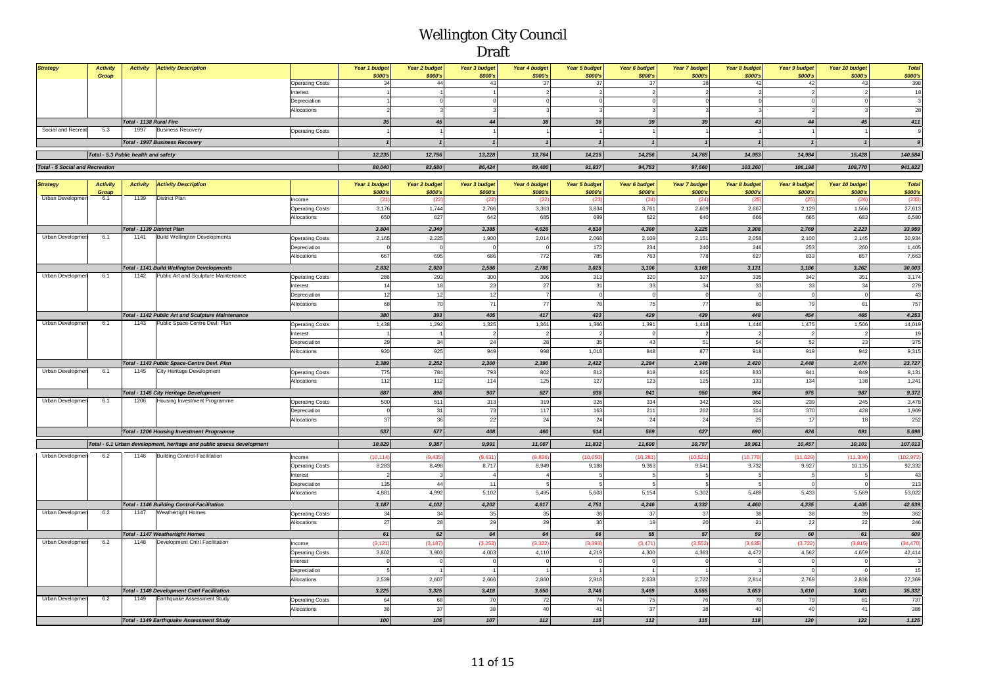| <b>Strategy</b>         | <b>Activity</b>                        | <b>Activity</b>                 | <b>Activity Description</b>                                           |                             | Year 1 budget   | <b>Year 2 budget</b> | <b>Year 3 budget</b>   | <b>Year 4 budget</b> | <b>Year 5 budget</b>    | Year 6 budget             | Year 7 budget              | Year 8 budget   | Year 9 budget        | Year 10 budget  | Total            |
|-------------------------|----------------------------------------|---------------------------------|-----------------------------------------------------------------------|-----------------------------|-----------------|----------------------|------------------------|----------------------|-------------------------|---------------------------|----------------------------|-----------------|----------------------|-----------------|------------------|
|                         | Group                                  |                                 |                                                                       |                             | \$000's         | \$000's              | \$000's                | \$000's              | \$000's                 | \$000's                   | \$000's                    | \$000's         | \$000's              | \$000's         | \$000's          |
|                         |                                        |                                 |                                                                       | <b>Operating Costs</b>      | 34              | 44                   | 43                     | 37                   | 37                      | 37                        | 38                         | 42              | 42                   | 43              | 398              |
|                         |                                        |                                 |                                                                       | Interest                    |                 |                      |                        | $\overline{2}$       | $\overline{2}$          | $\overline{2}$<br>$\circ$ | $\overline{2}$<br>$\Omega$ | $\overline{2}$  |                      | $\overline{a}$  | 18               |
|                         |                                        |                                 |                                                                       | Depreciation<br>Allocations |                 |                      |                        |                      |                         | 3                         |                            |                 |                      | $\mathbf 0$     | 28               |
|                         |                                        |                                 |                                                                       |                             |                 |                      |                        |                      |                         |                           |                            |                 |                      |                 |                  |
| Social and Recreat      | 5.3                                    | Total - 1138 Rural Fire<br>1997 | <b>Business Recovery</b>                                              |                             | 35              | 45                   | 44                     | 38                   | 38                      | 39                        | 39                         | 43              | 44                   | 45              | 411              |
|                         |                                        |                                 |                                                                       | <b>Operating Costs</b>      |                 |                      |                        |                      |                         |                           |                            |                 |                      |                 |                  |
|                         |                                        |                                 | <b>Total - 1997 Business Recovery</b>                                 |                             | $\mathbf{1}$    |                      |                        | $\mathbf{1}$         | $\mathbf{1}$            | $\mathbf{1}$              | $\mathbf{1}$               | $\mathbf{1}$    | $\mathbf{1}$         |                 |                  |
|                         | Total - 5.3 Public health and safety   |                                 |                                                                       |                             | 12,235          | 12,756               | 13,228                 | 13,764               | 14,215                  | 14,256                    | 14,765                     | 14,953          | 14,984               | 15,428          | 140,584          |
|                         | <b>Total - 5 Social and Recreation</b> |                                 |                                                                       |                             |                 | 83,580               | 86,424                 | 89,400               | 91,837                  | 94,753                    | 97,560                     | 103,260         | 106,198              | 108,770         | 941,822          |
|                         |                                        |                                 |                                                                       |                             |                 |                      |                        |                      |                         |                           |                            |                 |                      |                 |                  |
| <b>Strategy</b>         | <b>Activity</b>                        | <b>Activity</b>                 | <b>Activity Description</b>                                           |                             | Year 1 budget   | Year 2 budget        | <b>Year 3 budget</b>   | Year 4 budget        | Year 5 budget           | Year 6 budget             | Year 7 budget              | Year 8 budget   | <b>Year 9 budget</b> | Year 10 budget  | <b>Total</b>     |
| Urban Developmen        | Group<br>6.1                           | 1139                            | District Plan                                                         | Income                      | \$000's<br>(21) | \$000's<br>(22)      | \$000's<br>(22)        | \$000's<br>(22)      | \$000's<br>(23)         | \$000's<br>(24)           | \$000's<br>(24)            | \$000's<br>(25) | \$000's<br>(25       | \$000's<br>(26) | \$000's<br>(233) |
|                         |                                        |                                 |                                                                       | <b>Operating Costs</b>      | 3,176           | 1,744                | 2,766                  | 3,363                | 3,834                   | 3,761                     | 2,609                      | 2,667           | 2,129                | 1,566           | 27,613           |
|                         |                                        |                                 |                                                                       | Allocations                 | 650             | 627                  | 642                    | 685                  | 699                     | 622                       | 640                        | 666             | 665                  | 683             | 6,580            |
|                         |                                        | Total - 1139 District Plan      |                                                                       |                             | 3,804           | 2,349                | 3,385                  | 4,026                | 4,510                   | 4,360                     | 3,225                      | 3,308           | 2,769                | 2,223           | 33,959           |
| Urban Developmen        | 6.1                                    | 1141                            | <b>Build Wellington Developments</b>                                  | Operating Costs             | 2,165           | 2,225                | 1,900                  | 2,014                | 2,068                   | 2,109                     | 2,151                      | 2,058           | 2,100                | 2,145           | 20,934           |
|                         |                                        |                                 |                                                                       | Depreciation                | $\Omega$        |                      | $\Omega$               |                      | 172                     | 234                       | 240                        | 246             | 253                  | 260             | 1,405            |
|                         |                                        |                                 |                                                                       | Allocations                 | 667             | 695                  | 686                    | 772                  | 785                     | 763                       | 778                        | 827             | 833                  | 857             | 7,663            |
|                         |                                        |                                 | <b>Total - 1141 Build Wellington Developments</b>                     |                             | 2,832           | 2,920                | 2,586                  | 2,786                | 3,025                   | 3,106                     | 3,168                      | 3,131           | 3,186                | 3,262           | 30,003           |
| Urban Developmen        | 6.1                                    | 1142                            | Public Art and Sculpture Maintenance                                  | <b>Operating Costs</b>      | 286             | 293                  | 300                    | 306                  | 313                     | 320                       | 327                        | 335             | 342                  | 351             | 3,174            |
|                         |                                        |                                 |                                                                       | hterest                     | 14              | 18                   | 23                     | $27\,$               | 31                      | 33                        | 34                         | 33              | 33                   | 34              | 279              |
|                         |                                        |                                 |                                                                       | Depreciation                | 12              | 12                   | 12                     | $\overline{7}$       | $\overline{0}$          | $\circ$                   | $\circ$                    | $\mathbf{C}$    |                      |                 | 43               |
|                         |                                        |                                 |                                                                       | Allocations                 | 68              | 70                   | 71                     | $77\,$               | 78                      | 75                        | 77                         | 80              | 79                   | 81              | 757              |
|                         |                                        |                                 | Total - 1142 Public Art and Sculpture Maintenance                     |                             | 380             | 393                  | 405                    | 417                  | 423                     | 429                       | 439                        | 448             | 454                  | 465             | 4,253            |
| Urban Developmen        | 6.1                                    | 1143                            | Public Space-Centre Devl. Plan                                        | <b>Operating Costs</b>      | 1,438           | 1,292                | 1,325                  | 1,361                | 1,366                   | 1,391                     | 1,418                      | 1,446           | 1,475                | 1,506           | 14,019           |
|                         |                                        |                                 |                                                                       | nterest                     |                 |                      | $\overline{2}$         | $\overline{2}$       | $\overline{2}$          | $\overline{2}$            | $\overline{2}$             | $\overline{2}$  | $\overline{2}$       | $\overline{a}$  | 19               |
|                         |                                        |                                 |                                                                       | Depreciation                | 29              | 34                   | 24                     | 28                   | 35                      | 43                        | 51                         | 54              | 52                   | 23              | 375              |
|                         |                                        |                                 |                                                                       | Allocations                 | 920             | 925                  | 949                    | 998                  | 1,018                   | 848                       | 877                        | 918             | 919                  | 942             | 9,315            |
|                         |                                        |                                 | Total - 1143 Public Space-Centre Devl. Plan                           |                             | 2,389           | 2,252                | 2,300                  | 2,390                | 2,422                   | 2,284                     | 2,348                      | 2,420           | 2,448                | 2,474           | 23,727           |
| Urban Developmen        | 6.1                                    | 1145                            | City Heritage Development                                             | Operating Costs             | 775             | 784                  | 793                    | 802                  | 812                     | 818                       | 825                        | 833             | 841                  | 849             | 8,131            |
|                         |                                        |                                 |                                                                       | Allocations                 | 112             | 112                  | 114                    | 125                  | 127                     | 123                       | 125                        | 131             | 134                  | 138             | 1,241            |
|                         |                                        |                                 | Total - 1145 City Heritage Development                                |                             | 887             | 896                  | 907                    | 927                  | 938                     | 941                       | 950                        | 964             | 975                  | 987             | 9,372            |
| Urban Developmen        | 6.1                                    | 1206                            | Housing Investment Programme                                          | Operating Costs             | 500             | 511                  | 313                    | 319                  | 326                     | 334                       | 342                        | 350             | 239                  | 245             | 3,478            |
|                         |                                        |                                 |                                                                       | Depreciation                |                 | 31                   | 73                     | 117                  | 163                     | 211                       | 262                        | 314             | 370                  | 428             | 1,969            |
|                         |                                        |                                 |                                                                       | Allocations                 | 37              | 36                   | 22                     | 24                   | 24                      | 24                        | 24                         | 25              | 17                   | 18              | 252              |
|                         |                                        |                                 | Total - 1206 Housing Investment Programme                             |                             | 537             | 577                  | 408                    | 460                  | 514                     | 569                       | 627                        | 690             | 626                  | 691             | 5,698            |
|                         |                                        |                                 | Total - 6.1 Urban development, heritage and public spaces development |                             | 10,829          | 9,387                | 9,991                  | 11,007               | 11,832                  | 11,690                    | 10,757                     | 10,961          | 10,457               | 10,101          | 107,013          |
| <b>Urban Developmen</b> | 6.2                                    | 1146                            | <b>Building Control-Facilitation</b>                                  | Income                      | (10, 114)       | (9, 435)             | (9,631)                | (9,836)              | (10,050)                | (10, 281)                 | (10, 521)                  | (10, 770)       | (11,029)             | (11, 304)       | (102, 972)       |
|                         |                                        |                                 |                                                                       | Operating Costs             | 8,283           | 8,498                | 8,717                  | 8,949                | 9,188                   | 9,363                     | 9,541                      | 9,732           | 9,927                | 10,135          | 92,332           |
|                         |                                        |                                 |                                                                       | Interest                    |                 |                      | $\boldsymbol{\Lambda}$ |                      | 5                       | 5                         | $\overline{5}$             | 5               |                      |                 | $\overline{4}$   |
|                         |                                        |                                 |                                                                       | Depreciation                | 135             | 44                   | 11                     |                      |                         | 5                         | $\overline{5}$             |                 |                      |                 | 213              |
|                         |                                        |                                 |                                                                       | Allocations                 | 4,881           | 4,992                | 5,102                  | 5,495                | 5,603                   | 5,154                     | 5,302                      | 5,489           | 5,433                | 5,569           | 53,022           |
|                         |                                        |                                 | Total - 1146 Building Control-Facilitation                            |                             | 3,187           | 4,102                | 4,202                  | 4,617                | 4,751                   | 4,246                     | 4,332                      | 4,460           | 4,335                | 4,405           | 42,639           |
| Urban Developmen        | 6.2                                    | 1147                            | Weathertight Homes                                                    | <b>Operating Costs</b>      | 34              | 34                   | 35                     | 35                   | 36                      | 37                        | 37                         | 38              | 38                   | 39              | 362              |
|                         |                                        |                                 |                                                                       | Allocations                 | 27              | 28                   | 29                     | 29                   | 30                      | 19                        | 20                         | 21              | 22                   | 22              | 246              |
|                         |                                        |                                 | <b>Total - 1147 Weathertight Homes</b>                                |                             | 61              | 62                   | 64                     | 64                   | 66                      | 55                        | 57                         | 59              | 60                   | 61              | 609              |
| Urban Developmer        | 6.2                                    | 1148                            | Development Cntrl Facilitation                                        | ncome                       | (3, 121)        | (3, 187)             | (3, 253)               | (3.32)               | (3, 393)                | (3, 471)                  | (3, 552)                   | (3.635)         | (3, 722)             | (3, 815)        | (34, 470)        |
|                         |                                        |                                 |                                                                       | <b>Operating Costs</b>      | 3,802           | 3,903                | 4,003                  | 4,110                | 4,219                   | 4,300                     | 4,383                      | 4,472           | 4,562                | 4,659           | 42,414           |
|                         |                                        |                                 |                                                                       | nterest                     | $^{\circ}$      |                      | $\circ$                | $\mathbf 0$          | $\overline{\mathbf{0}}$ | $\circ$                   | $\circ$                    | $\mathbf 0$     | $\mathbf 0$          | $^{\circ}$      |                  |
|                         |                                        |                                 |                                                                       | Depreciation                | $\overline{5}$  |                      |                        |                      |                         |                           |                            |                 |                      |                 | 15               |
|                         |                                        |                                 |                                                                       | Allocations                 | 2,539           | 2,607                | 2,666                  | 2,860                | 2,918                   | 2,638                     | 2,722                      | 2,814           | 2,769                | 2,836           | 27,369           |
|                         |                                        |                                 | <b>Total - 1148 Development Cntrl Facilitation</b>                    |                             | 3,225           | 3,325                | 3,418                  | 3,650                | 3,746                   | 3,469                     | 3,555                      | 3,653           | 3,610                | 3,681           | 35,332           |
| Urban Developmen        | 6.2                                    | 1149                            | Earthquake Assessment Study                                           | <b>Operating Costs</b>      | 64              | 68                   | 70                     | 72                   | 74                      | 75                        | 76                         | 78              | 79                   | 81              | 737              |
|                         |                                        |                                 |                                                                       | Allocations                 | 36              | 37                   | 38                     | 40                   | 41                      | 37                        | 38                         | 40              | 40                   | 41              | 388              |
|                         |                                        |                                 | Total - 1149 Earthquake Assessment Study                              |                             | 100             | 105                  | 107                    | 112                  | 115                     | $112$                     | 115                        | 118             | 120                  | 122             | 1,125            |
|                         |                                        |                                 |                                                                       |                             |                 |                      |                        |                      |                         |                           |                            |                 |                      |                 |                  |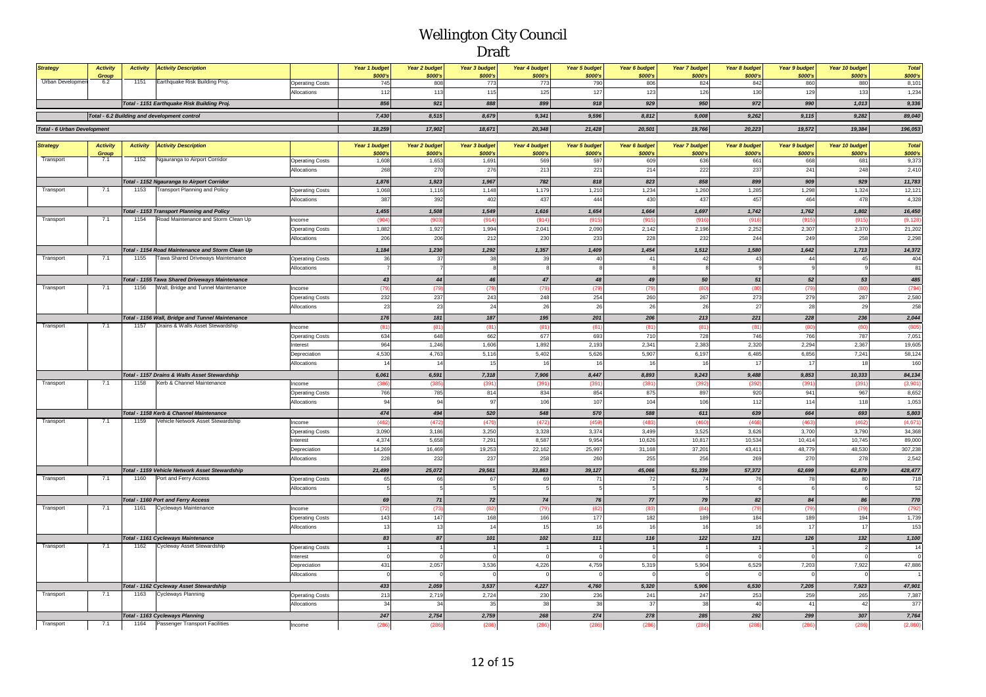| <b>Strategy</b>                    | <b>Activity</b> | <b>Activity</b> | <b>Activity Description</b>                                                              |                                       | Year 1 budget  | Year 2 budget     | Year 3 budget  | Year 4 budget     | <b>Year 5 budget</b> | Year 6 budget     | <b>Year 7 budget</b> | Year 8 budget         | Year 9 budget   | Year 10 budget    | <b>Total</b>       |
|------------------------------------|-----------------|-----------------|------------------------------------------------------------------------------------------|---------------------------------------|----------------|-------------------|----------------|-------------------|----------------------|-------------------|----------------------|-----------------------|-----------------|-------------------|--------------------|
| <b>Urban Developmer</b>            | Group<br>6.2    | 1151            | Earthquake Risk Building Proj.                                                           | <b>Operating Costs</b>                | \$000's<br>745 | \$000's<br>808    | \$000's<br>773 | \$000's<br>773    | \$000's<br>790       | \$000's<br>806    | \$000's<br>824       | \$000's<br>842        | \$000's<br>860  | \$000's<br>880    | \$000's<br>8,101   |
|                                    |                 |                 |                                                                                          | Allocations                           | 112            | 113               | 115            | 125               | 127                  | 123               | 126                  | 130                   | 129             | 133               | 1,234              |
|                                    |                 |                 | Total - 1151 Earthquake Risk Building Proj.                                              |                                       | 856            | 921               | 888            | 899               | 918                  | 929               | 950                  | 972                   | 990             | 1,013             | 9,336              |
|                                    |                 |                 | Total - 6.2 Building and development control                                             |                                       | 7,430          | 8,515             | 8,679          | 9,341             | 9,596                | 8,812             | 9,008                | 9,262                 | 9,115           | 9,282             | 89,040             |
|                                    |                 |                 |                                                                                          |                                       | 18,259         |                   |                |                   |                      |                   |                      |                       |                 |                   |                    |
| <b>Total - 6 Urban Development</b> |                 |                 |                                                                                          |                                       |                | 17,902            | 18,671         | 20,348            | 21,428               | 20,501            | 19,766               | 20,223                | 19,572          | 19,384            | 196,053            |
| <b>Strategy</b>                    | <b>Activity</b> | <b>Activity</b> | <b>Activity Description</b>                                                              |                                       | Year 1 budget  | Year 2 budget     | Year 3 budget  | Year 4 budget     | <b>Year 5 budget</b> | Year 6 budget     | Year 7 budget        | Year 8 budget         | Year 9 budget   | Year 10 budget    | <b>Total</b>       |
|                                    | Group           |                 |                                                                                          |                                       | \$000's        | \$000's           | \$000's        | \$000's           | \$000's              | \$000's           | \$000's              | \$000's               | \$000's         | \$000's           | \$000's            |
| Transport                          | 7.1             | 1152            | Ngauranga to Airport Corridor                                                            | <b>Operating Costs</b><br>Allocations | 1,608<br>268   | 1,653<br>270      | 1,691<br>276   | 569<br>213        | 597<br>221           | 609<br>214        | 636<br>222           | 661<br>237            | 668<br>241      | 681<br>248        | 9,373<br>2,410     |
|                                    |                 |                 |                                                                                          |                                       |                |                   |                |                   |                      |                   |                      |                       |                 |                   |                    |
| Transport                          | 7.1             | 1153            | Total - 1152 Ngauranga to Airport Corridor<br><b>Transport Planning and Policy</b>       |                                       | 1,876<br>1,068 | 1,923<br>1,116    | 1,967<br>1,148 | 782<br>1,179      | 818<br>1,210         | 823<br>1,234      | 858<br>1,260         | 899                   | 909<br>1,298    | 929<br>1,324      | 11,783<br>12,121   |
|                                    |                 |                 |                                                                                          | <b>Operating Costs</b><br>Allocations | 387            | 392               | 402            | 437               | 444                  | 430               | 437                  | 1,285<br>457          | 464             | 478               | 4,328              |
|                                    |                 |                 |                                                                                          |                                       |                |                   |                |                   |                      |                   |                      |                       |                 |                   |                    |
| Transport                          | 7.1             | 1154            | <b>Total - 1153 Transport Planning and Policy</b><br>Road Maintenance and Storm Clean Up | Income                                | 1,455<br>(904) | 1,508<br>(903)    | 1,549<br>(914) | 1,616<br>(914)    | 1,654<br>(915        | 1,664<br>(915     | 1,697<br>(916)       | 1,742<br>(916)        | 1,762<br>(915   | 1,802<br>(915     | 16,450<br>(9, 128) |
|                                    |                 |                 |                                                                                          | <b>Operating Costs</b>                | 1,882          | 1,927             | 1,994          | 2,041             | 2,090                | 2,142             | 2,196                | 2,252                 | 2,307           | 2,370             | 21,202             |
|                                    |                 |                 |                                                                                          | Allocations                           | 206            | 206               | 212            | 230               | 233                  | 228               | 232                  | 244                   | 249             | 258               | 2,298              |
|                                    |                 |                 | Total - 1154 Road Maintenance and Storm Clean Up                                         |                                       | 1,184          | 1,230             | 1,292          | 1,357             | 1,409                | 1,454             | 1,512                | 1,580                 | 1,642           | 1,713             | 14,372             |
| Transport                          | 7.1             | 1155            | Tawa Shared Driveways Maintenance                                                        | <b>Operating Costs</b>                | 36             | 37                | 38             | 39                | 40                   | 41                | 42                   | 43                    | 44              | 45                | 404                |
|                                    |                 |                 |                                                                                          | Allocations                           |                | $\overline{7}$    | $\mathbf{a}$   | 8                 |                      | 8                 | 8                    | $\overline{9}$        |                 | $\alpha$          | 81                 |
|                                    |                 |                 | Total - 1155 Tawa Shared Driveways Maintenance                                           |                                       | 43             | 44                | 46             | 47                | 48                   | 49                | 50                   | 51                    | 52              | 53                | 485                |
| Transport                          | 7.1             | 1156            | Wall, Bridge and Tunnel Maintenance                                                      | Income                                | (79)           | (79)              | (79)           | (79)              | (79)                 | (79)              | (80)                 | (80)                  | (79)            | (80)              | (794)              |
|                                    |                 |                 |                                                                                          | <b>Operating Costs</b>                | 232            | 237               | 243            | 248               | 254                  | 260               | 267                  | 273                   | 279             | 287               | 2,580              |
|                                    |                 |                 |                                                                                          | Allocations                           | 23             | 23                | 24             | 26                | 26                   | 26                | 26                   | 27                    | 28              | 29                | 258                |
|                                    |                 |                 | Total - 1156 Wall, Bridge and Tunnel Maintenance                                         |                                       | 176            | 181               | 187            | 195               | 201                  | 206               | 213                  | 221                   | 228             | 236               | 2,044              |
| Transport                          | 7.1             | 1157            | Drains & Walls Asset Stewardship                                                         | Income                                | (81)           | (81)              | (81)           | (81)              | (81)                 | (81)              | (81)                 | (81)                  | (80)            | (80)              | (805)              |
|                                    |                 |                 |                                                                                          | <b>Operating Costs</b><br>Interest    | 634<br>964     | 648<br>1,246      | 662<br>1,606   | 677<br>1,892      | 693<br>2,193         | 710<br>2,341      | 728<br>2,383         | 746<br>2,320          | 766<br>2,294    | 787<br>2,367      | 7,051<br>19,605    |
|                                    |                 |                 |                                                                                          | Depreciation                          | 4,530          | 4,763             | 5,116          | 5,402             | 5,626                | 5,907             | 6,197                | 6,485                 | 6,856           | 7,241             | 58,124             |
|                                    |                 |                 |                                                                                          | Allocations                           | 14             | 14                | 15             | 16                | 16                   | 16                | 16                   | 17                    | 17              | 18                | 160                |
|                                    |                 |                 | Total - 1157 Drains & Walls Asset Stewardship                                            |                                       | 6,061          | 6,591             | 7,318          | 7,906             | 8,447                | 8,893             | 9,243                | 9,488                 | 9,853           | 10,333            | 84,134             |
| Transport                          | 7.1             | 1158            | Kerb & Channel Maintenance                                                               | Income                                | (386)          | (385)             | (391)          | (391)             | (391)                | (391)             | (392)                | (392)                 | (391)           | (391)             | (3,901)            |
|                                    |                 |                 |                                                                                          | <b>Operating Costs</b>                | 766            | 785               | 814            | 834               | 854                  | 875               | 897                  | 920                   | 941             | 967               | 8,652              |
|                                    |                 |                 |                                                                                          | Allocations                           | 94             | 94                | 97             | 106               | 107                  | 104               | 106                  | 112                   | 114             | 118               | 1,053              |
|                                    |                 |                 | Total - 1158 Kerb & Channel Maintenance                                                  |                                       | 474            | 494               | 520            | 548               | 570                  | 588               | 611                  | 639                   | 664             | 693               | 5,803              |
| Transport                          | 7.1             | 1159            | Vehicle Network Asset Stewardship                                                        | Income                                | (462)          | (472)             | (470)          | (472)             | (459                 | (483)             | (460)                | (468)                 | (463)           | (462)             | (4,671)            |
|                                    |                 |                 |                                                                                          | <b>Operating Costs</b><br>Interest    | 3,090<br>4,374 | 3,186<br>5,658    | 3,250<br>7,291 | 3,328<br>8,587    | 3,374<br>9,954       | 3,499<br>10,626   | 3,525<br>10,817      | 3,626<br>10,534       | 3,700<br>10,414 | 3,790<br>10,745   | 34,368<br>89,000   |
|                                    |                 |                 |                                                                                          | Depreciation                          | 14,269         | 16,469            | 19,253         | 22,162            | 25,997               | 31,168            | 37,201               | 43,411                | 48,779          | 48,530            | 307,238            |
|                                    |                 |                 |                                                                                          | Allocations                           | 228            | 232               | 237            | 258               | 260                  | 255               | 256                  | 269                   | 270             | 278               | 2,542              |
|                                    |                 |                 | Total - 1159 Vehicle Network Asset Stewardship                                           |                                       | 21,499         | 25,072            | 29,561         | 33,863            | 39,127               | 45,066            | 51,339               | 57,372                | 62,699          | 62,879            | 428,477            |
| Transport                          | 7.1             | 1160            | Port and Ferry Access                                                                    | <b>Operating Costs</b>                | 65             | 66                | 67             | 69                | 71                   | $72\,$            | 74                   | 76                    | 78              | 80                | 718                |
|                                    |                 |                 |                                                                                          | Allocations                           |                | 5                 |                | 5                 |                      | 5                 | 5                    | 6                     |                 | 6                 | 52                 |
|                                    |                 |                 | Total - 1160 Port and Ferry Access                                                       |                                       | 69             | 71                | 72             | 74                | 76                   | 77                | 79                   | 82                    | 84              | 86                | 770                |
| Transport                          | 7.1             | 1161            | Cycleways Maintenance                                                                    | Income                                | (72)           | (73)              | (82)           | (79)              | (82)                 | (83)              | (84)                 | (79)                  | (79)            | (79)              | (792)              |
|                                    |                 |                 |                                                                                          | <b>Operating Costs</b>                | 143            | 147               | 168            | 166               | 177                  | 182               | 189                  | 184                   | 189             | 194               | 1,739              |
|                                    |                 |                 |                                                                                          | Allocations                           | 13             | 13                | 14             | 15                | 16                   | 16                | 16                   | 16                    | 17              | 17                | 153                |
|                                    |                 |                 | Total - 1161 Cycleways Maintenance                                                       |                                       | 83             | 87                | 101            | 102               | 111                  | 116               | 122                  | 121                   | 126             | 132               | 1,100              |
| Transport                          | 7.1             | 1162            | Cycleway Asset Stewardship                                                               | <b>Operating Costs</b>                |                | $\overline{1}$    |                | $\overline{1}$    |                      | 1                 | $\overline{1}$       |                       |                 | $\overline{a}$    | 14<br>$\Omega$     |
|                                    |                 |                 |                                                                                          | Interest<br>Depreciation              | 431            | $\Omega$<br>2,057 | 3,536          | $\Omega$<br>4,226 | 4,759                | $\Omega$<br>5,319 | $\Omega$<br>5,904    | $\mathbf{0}$<br>6,529 | 7,203           | $\Omega$<br>7,922 | 47,886             |
|                                    |                 |                 |                                                                                          | Allocations                           |                |                   |                |                   |                      |                   |                      |                       |                 |                   |                    |
|                                    |                 |                 | Total - 1162 Cycleway Asset Stewardship                                                  |                                       | 433            | 2,059             | 3,537          | 4,227             | 4,760                | 5,320             | 5,906                | 6,530                 | 7,205           | 7,923             | 47,901             |
| Transport                          | 7.1             | 1163            | <b>Cycleways Planning</b>                                                                | <b>Operating Costs</b>                | 213            | 2,719             | 2,724          | 230               | 236                  | 241               | 247                  | 253                   | 259             | 265               | 7,387              |
|                                    |                 |                 |                                                                                          | Allocations                           | 34             | 34                | 35             | 38                | 38                   | 37                | 38                   | 40                    | 41              | 42                | 377                |
|                                    |                 |                 | Total - 1163 Cycleways Planning                                                          |                                       | 247            | 2,754             | 2,759          | 268               | 274                  | 278               | 285                  | 292                   | 299             | 307               | 7,764              |
| Transport                          | 7.1             | 1164            | Passenger Transport Facilities                                                           | Income                                | (286)          | (286)             | (286)          | (286)             | (286)                | (286)             | (286)                | 1286                  | (28)            | (286)             | (2,860)            |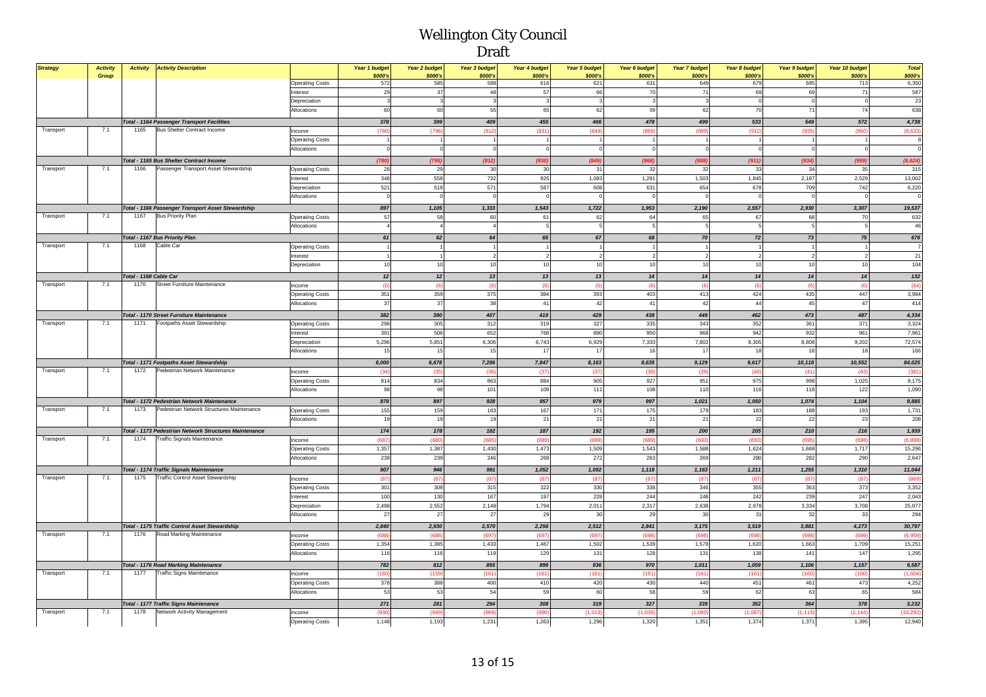| <b>Strategy</b> | <b>Activity</b><br>Group | <b>Activity</b>        | <b>Activity Description</b>                            |                        | Year 1 budget<br>\$000's | Year 2 budget<br>\$000's | <b>Year 3 budget</b><br>\$000's | Year 4 budget<br>\$000's | <b>Year 5 budget</b><br>\$000's | Year 6 budget<br>\$000's | Year 7 budget<br>\$000's | Year 8 budget<br>\$000's | <b>Year 9 budget</b><br>\$000's | Year 10 budget<br>\$000's | <b>Total</b><br>\$000's |
|-----------------|--------------------------|------------------------|--------------------------------------------------------|------------------------|--------------------------|--------------------------|---------------------------------|--------------------------|---------------------------------|--------------------------|--------------------------|--------------------------|---------------------------------|---------------------------|-------------------------|
|                 |                          |                        |                                                        | <b>Operating Costs</b> | 572                      | 585                      | 588                             | 616                      | 621                             | 631                      | 649                      | 679                      | 695                             | 713                       | 6,350                   |
|                 |                          |                        |                                                        | Interest               | 29                       | 37                       | 48                              | 57                       | 66                              | 70                       | 71                       | 69                       | 69                              | 71                        | 587                     |
|                 |                          |                        |                                                        | Depreciation           | 3                        |                          |                                 | $\overline{3}$           |                                 | 3                        | $\overline{3}$           |                          | $\overline{0}$                  | $\mathbf 0$               | 23                      |
|                 |                          |                        |                                                        | Allocations            | 60                       | 60                       | 55                              | 65                       | 62                              | 59                       | 62                       | 70                       | 71                              | 74                        | 638                     |
|                 |                          |                        | <b>Total - 1164 Passenger Transport Facilities</b>     |                        | 378                      | 399                      | 409                             | 455                      | 466                             | 478                      | 499                      | 533                      | 549                             | 572                       | 4,738                   |
| Transport       | 7.1                      | 1165                   | <b>Bus Shelter Contract Income</b>                     | Income                 | (780)                    | (79)                     | (812)                           | (831)                    | (849                            | (86)                     | (889)                    | (912)                    | (935)                           | (960)                     | (8,633)                 |
|                 |                          |                        |                                                        | <b>Operating Costs</b> |                          |                          |                                 |                          |                                 |                          | 1                        |                          |                                 | -1                        | 8                       |
|                 |                          |                        |                                                        | Allocations            | $\mathbf 0$              |                          | $\Omega$                        |                          |                                 |                          | $\mathbf 0$              |                          | $\Omega$                        | $\mathbf 0$               | $\Omega$                |
|                 |                          |                        | Total - 1165 Bus Shelter Contract Income               |                        | (780)                    | (795                     | (812)                           | (830)                    | (849)                           | (868)                    | (888)                    | (911)                    | (934)                           | (959)                     | (8, 624)                |
| Transport       | 7.1                      | 1166                   | Passenger Transport Asset Stewardship                  | <b>Operating Costs</b> | 28                       | 29                       | 30                              | 30                       | 31                              | 32                       | 32                       | 33                       | 34                              | 35                        | 315                     |
|                 |                          |                        |                                                        | Interest               | 348                      | 558                      | 732                             | 925                      | 1,083                           | 1,291                    | 1,503                    | 1,845                    | 2,187                           | 2,529                     | 13,002                  |
|                 |                          |                        |                                                        | Depreciation           | 521                      | 518                      | 571                             | 587                      | 608                             | 631                      | 654                      | 678                      | 709                             | 742                       | 6,220                   |
|                 |                          |                        |                                                        | Allocations            |                          |                          | $\Omega$                        | $\Omega$                 |                                 | $\Omega$                 | $\Omega$                 |                          | $\Omega$                        |                           |                         |
|                 |                          |                        | Total - 1166 Passenger Transport Asset Stewardship     |                        | 897                      | 1,105                    | 1.333                           | 1,543                    | 1,722                           | 1,953                    | 2.190                    | 2,557                    | 2.930                           | 3.307                     | 19.537                  |
| Transport       | 7.1                      | 1167                   | <b>Bus Priority Plan</b>                               | <b>Operating Costs</b> | 57                       | 58                       | 60                              | 61                       | 62                              | 64                       | 65                       | 67                       | 68                              | 70                        | 632                     |
|                 |                          |                        |                                                        | Allocations            | $\overline{4}$           |                          |                                 | 5                        |                                 | 5                        | 5                        |                          | 5                               | 5                         | 46                      |
|                 |                          |                        | Total - 1167 Bus Priority Plan                         |                        | 61                       | 62                       | 64                              | 65                       | 67                              | 68                       | 70                       | 72                       | 73                              | 75                        | 678                     |
| Transport       | 7.1                      | 1168                   | Cable Car                                              | <b>Operating Costs</b> |                          |                          |                                 | $\mathbf{1}$             |                                 | $\overline{1}$           | $\overline{1}$           |                          |                                 | 11                        | $\overline{7}$          |
|                 |                          |                        |                                                        | Interest               |                          |                          | $\mathcal{P}$                   | $\overline{a}$           | $\overline{\phantom{a}}$        | $\overline{2}$           | $\overline{2}$           | $\overline{2}$           | $\overline{2}$                  | 2                         | 21                      |
|                 |                          |                        |                                                        | Depreciation           | 10                       | 10                       | 10                              | 10                       | 10                              | 10                       | 10                       | 10                       | 10                              | 10                        | 104                     |
|                 |                          | Total - 1168 Cable Car |                                                        |                        | 12                       | $12$                     | 13                              | 13                       | 13                              | 14                       | 14                       | 14                       | 14                              | 14                        | 132                     |
| Transport       | 7.1                      | 1170                   | Street Furniture Maintenance                           | Income                 | (6)                      | (6)                      | (6)                             | (6)                      | (6)                             | (6)                      | (6)                      | (6)                      | (6)                             | (6)                       | (64)                    |
|                 |                          |                        |                                                        | <b>Operating Costs</b> | 351                      | 359                      | 375                             | 384                      | 393                             | 403                      | 413                      | 424                      | 435                             | 447                       | 3,984                   |
|                 |                          |                        |                                                        | Allocations            | 37                       | 37                       | 38                              | 41                       | 42                              | 41                       | 42                       | 44                       | 45                              | 47                        | 414                     |
|                 |                          |                        | Total - 1170 Street Furniture Maintenance              |                        | 382                      | 390                      | 407                             | 419                      | 429                             | 438                      | 449                      | 462                      | 473                             | 487                       | 4,334                   |
| Transport       | 7.1                      | 1171                   | Footpaths Asset Stewardship                            | <b>Operating Costs</b> | 298                      | 305                      | 312                             | 319                      | 327                             | 335                      | 343                      | 352                      | 361                             | 371                       | 3,324                   |
|                 |                          |                        |                                                        | Interest               | 391                      | 506                      | 652                             | 768                      | 890                             | 950                      | 968                      | 942                      | 932                             | 961                       | 7,961                   |
|                 |                          |                        |                                                        | Depreciation           | 5,296                    | 5,851                    | 6,306                           | 6,743                    | 6,929                           | 7,333                    | 7,802                    | 8,305                    | 8,808                           | 9,202                     | 72,574                  |
|                 |                          |                        |                                                        | Allocations            | 15                       | 15                       | 15                              | 17                       | 17                              | 16                       | 17                       | 18                       | 18                              | 18                        | 166                     |
|                 |                          |                        | Total - 1171 Footpaths Asset Stewardship               |                        | 6,000                    | 6,678                    | 7,286                           | 7,847                    | 8,163                           | 8,635                    | 9,129                    | 9,617                    | 10,118                          | 10,552                    | 84,025                  |
| Transport       | 7.1                      | 1172                   | Pedestrian Network Maintenance                         | Income                 | (34)                     | (35)                     | (36)                            | (37)                     | (37)                            | (38)                     | (39)                     | (40)                     | (41)                            | (43)                      | (381)                   |
|                 |                          |                        |                                                        | <b>Operating Costs</b> | 814                      | 834                      | 863                             | 884                      | 905                             | 927                      | 951                      | 975                      | 998                             | 1,025                     | 9,175                   |
|                 |                          |                        |                                                        | Allocations            | 98                       | 98                       | 101                             | 109                      | 111                             | 108                      | 110                      | 116                      | 118                             | 122                       | 1,090                   |
|                 |                          |                        | Total - 1172 Pedestrian Network Maintenance            |                        | 878                      | 897                      | 928                             | 957                      | 979                             | 997                      | 1,021                    | 1,050                    | 1,074                           | 1,104                     | 9,885                   |
| Transport       | 7.1                      | 1173                   | Pedestrian Network Structures Maintenance              | <b>Operating Costs</b> | 155                      | 159                      | 163                             | 167                      | 171                             | 175                      | 179                      | 183                      | 188                             | 193                       | 1,73'                   |
|                 |                          |                        |                                                        | Allocations            | 19                       | 19                       | 19                              | 21                       | 21                              | 21                       | 21                       | 22                       | 22                              | 23                        | 208                     |
|                 |                          |                        | Total - 1173 Pedestrian Network Structures Maintenance |                        | 174                      | 178                      | 182                             | 187                      | 192                             | 195                      | 200                      | 205                      | 210                             | 216                       | 1,939                   |
| Transport       | 7.1                      | 1174                   | Traffic Signals Maintenance                            | ncome                  | (687)                    | (68)                     | (685)                           | (689)                    | (689                            | (68)                     | (693)                    | (69)                     | (695)                           | (698                      | (6, 899)                |
|                 |                          |                        |                                                        | <b>Operating Costs</b> | 1,357                    | 1,387                    | 1,430                           | 1,473                    | 1,509                           | 1,543                    | 1,588                    | 1,624                    | 1,668                           | 1,717                     | 15,296                  |
|                 |                          |                        |                                                        | Allocations            | 238                      | 239                      | 246                             | 268                      | 272                             | 263                      | 269                      | 280                      | 282                             | 290                       | 2,647                   |
|                 |                          |                        | Total - 1174 Traffic Signals Maintenance               |                        | 907                      | 946                      | 991                             | 1,052                    | 1,092                           | 1,118                    | 1,163                    | 1,211                    | 1,255                           | 1,310                     | 11,044                  |
| Transport       | 7.1                      | 1175                   | Traffic Control Asset Stewardship                      | Income                 | (87)                     | (87)                     | (87)                            | (87)                     | (87)                            | (87)                     | (87)                     | (87)                     | (87)                            | (87)                      | (869                    |
|                 |                          |                        |                                                        | <b>Operating Costs</b> | 301                      | 308                      | 315                             | 322                      | 330                             | 338                      | 346                      | 355                      | 363                             | 373                       | 3,352                   |
|                 |                          |                        |                                                        | Interest               | 100                      | 130                      | 167                             | 197                      | 228                             | 244                      | 248                      | 242                      | 239                             | 247                       | 2,043                   |
|                 |                          |                        |                                                        | Depreciation           | 2,498                    | 2,552                    | 2,148                           | 1,794                    | 2,011                           | 2,317                    | 2,638                    | 2,978                    | 3,334                           | 3,708                     | 25,977                  |
|                 |                          |                        |                                                        | Allocations            | 27                       | 27                       | 27                              | 29                       | 30                              | 29                       | 30                       | 31                       | 32                              | 33                        | 294                     |
|                 |                          |                        | Total - 1175 Traffic Control Asset Stewardship         |                        | 2,840                    | 2,930                    | 2,570                           | 2,256                    | 2,512                           | 2,841                    | 3,175                    | 3,519                    | 3,881                           | 4,273                     | 30,797                  |
| Transport       | 7.1                      | 1176                   | Road Marking Maintenance                               | Income                 | (688)                    | (68)                     | (697)                           | (697)                    | (697                            | (698)                    | (698)                    | (698)                    | (698)                           | (699)                     | (6,959)                 |
|                 |                          |                        |                                                        | <b>Operating Costs</b> | 1,354                    | 1,385                    | 1,433                           | 1,467                    | 1,502                           | 1,539                    | 1,578                    | 1,620                    | 1,663                           | 1,709                     | 15,25'                  |
|                 |                          |                        |                                                        | Allocations            | 116                      | 116                      | 119                             | 129                      | 131                             | 128                      | 131                      | 138                      | 141                             | 147                       | 1,295                   |
|                 |                          |                        | <b>Total - 1176 Road Marking Maintenance</b>           |                        | 782                      | 812                      | 855                             | 899                      | 936                             | 970                      | 1,011                    | 1,059                    | 1,106                           | 1,157                     | 9,587                   |
| Transport       | 7.1                      | 1177                   | <b>Traffic Signs Maintenance</b>                       | Income                 | (160)                    | (159)                    | (161)                           | (161)                    | (161)                           | (161)                    | (161)                    | (161)                    | (160)                           | (160)                     | (1,604)                 |
|                 |                          |                        |                                                        | <b>Operating Costs</b> | 378                      | 388                      | 400                             | 410                      | 420                             | 430                      | 440                      | 451                      | 461                             | 473                       | 4,252                   |
|                 |                          |                        |                                                        | Allocations            | 53                       | 53                       | 54                              | 59                       | 60                              | 58                       | 59                       | 62                       | 63                              | 65                        | 584                     |
|                 |                          |                        | Total - 1177 Traffic Signs Maintenance                 |                        | 271                      | 281                      | 294                             | 308                      | 319                             | 327                      | 339                      | 352                      | 364                             | 378                       | 3,232                   |
| Transport       | 7.1                      | 1178                   | Network Activity Management                            | Income                 | (930                     | (949                     | (96)                            | (990                     | (1,013)                         | (1.036)                  | (1,060)                  | (1.08)                   | (1.115                          | 1.144                     | (10.29)                 |
|                 |                          |                        |                                                        | <b>Operating Costs</b> | 1,148                    | 1,193                    | 1,231                           | 1,263                    | 1,296                           | 1,320                    | 1,351                    | 1,374                    | 1,371                           | 1,395                     | 12,940                  |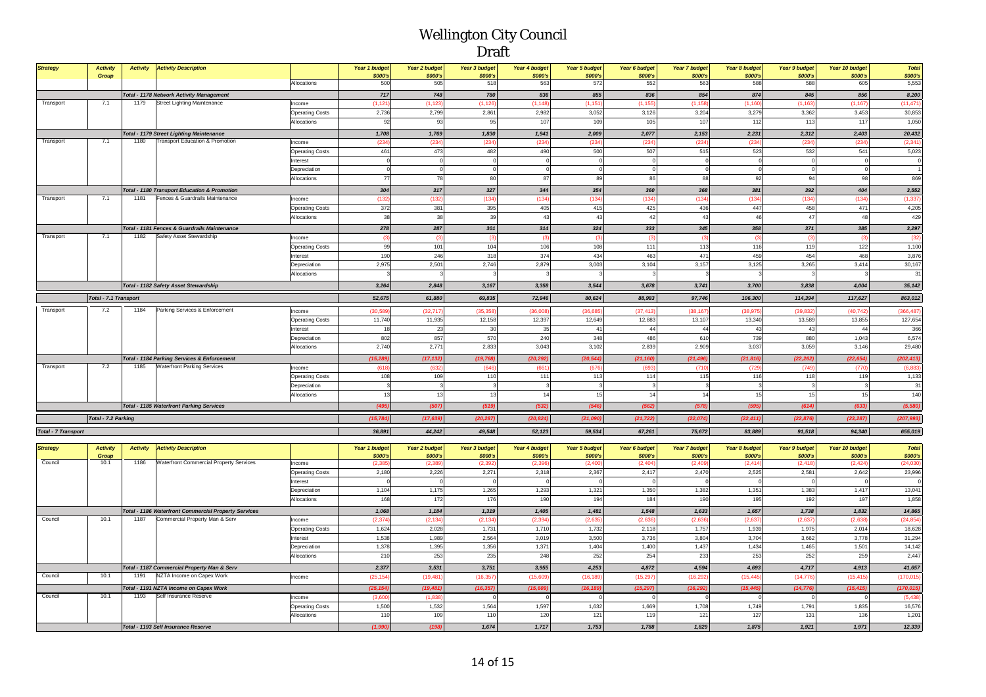| <b>Strategy</b>            | <b>Activity</b><br><b>Activity</b><br><b>Activity Description</b> |                        | Year 1 budget | <b>Year 2 budget</b> | <b>Year 3 budget</b> | Year 4 budget    | <b>Year 5 budget</b> | Year 6 budget | <b>Year 7 budget</b> | Year 8 budget | <b>Year 9 budget</b> | Year 10 budget | <b>Total</b> |
|----------------------------|-------------------------------------------------------------------|------------------------|---------------|----------------------|----------------------|------------------|----------------------|---------------|----------------------|---------------|----------------------|----------------|--------------|
|                            | Group                                                             |                        | \$000's       | \$000's              | \$000's              | \$000's          | \$000's              | \$000's       | \$000's              | \$000's       | \$000's              | \$000's        | \$000's      |
|                            |                                                                   | Allocations            | 500           | 505                  | 518                  | 563              | 572                  | 552           | 563                  | 588           | 588                  | 605            | 5,553        |
|                            | <b>Total - 1178 Network Activity Management</b>                   |                        | 717           | 748                  | 780                  | 836              | 855                  | 836           | 854                  | 874           | 845                  | 856            | 8,200        |
| Transport                  | 1179<br><b>Street Lighting Maintenance</b><br>7.1                 | Income                 | (1, 121)      | (1, 123)             | (1, 126)             | (1, 148)         | (1, 151)             | (1, 155)      | (1, 158)             | (1, 160)      | (1, 163)             | (1, 167)       | (11, 471)    |
|                            |                                                                   | <b>Operating Costs</b> | 2,736         | 2,799                | 2,861                | 2,982            | 3,052                | 3,126         | 3,204                | 3,279         | 3,362                | 3,453          | 30,853       |
|                            |                                                                   | Allocations            | 92            | 93                   | 95                   | 107              | 109                  | 105           | 107                  | 112           | 113                  | 117            | 1,050        |
|                            | <b>Total - 1179 Street Lighting Maintenance</b>                   |                        | 1,708         | 1,769                | 1,830                | 1,941            | 2,009                | 2,077         | 2,153                | 2,231         | 2,312                | 2,403          | 20,432       |
| Transport                  | <b>Transport Education &amp; Promotion</b><br>7.1<br>1180         | Income                 | (234)         | (234)                | (234)                | (234)            | (234)                | (234)         | (234)                | (234)         | (234)                | (234)          | (2, 341)     |
|                            |                                                                   | <b>Operating Costs</b> | 461           | 473                  | 482                  | 490              | 500                  | 507           | 515                  | 523           | 532                  | 541            | 5,023        |
|                            |                                                                   | interest               |               |                      |                      |                  |                      | $\Omega$      |                      |               |                      |                |              |
|                            |                                                                   | Depreciation           | $\Omega$      |                      | $\Omega$             |                  |                      | $\mathbf 0$   |                      |               |                      | $\Omega$       |              |
|                            |                                                                   | Allocations            | 77            | 78                   | 80                   | 87               | 89                   | 86            | 88                   | 92            | 94                   | 98             | 869          |
|                            | <b>Total - 1180 Transport Education &amp; Promotion</b>           |                        | 304           | 317                  | 327                  | 344              | 354                  | 360           | 368                  | 381           | 392                  | 404            | 3,552        |
| Transport                  | Fences & Guardrails Maintenance<br>7.1<br>1181                    | Income                 | (132)         | (132)                | (134)                | (134)            | (134)                | (134)         | (134)                | (134)         | (134)                | (134)          | (1, 337)     |
|                            |                                                                   | <b>Operating Costs</b> | 372           | 381                  | 395                  | 405              | 415                  | 425           | 436                  | 447           | 458                  | 471            | 4,205        |
|                            |                                                                   | Allocations            | 38            | 38                   | 39                   | 43               | 43                   | 42            | 43                   | 46            | 47                   | 48             | 429          |
|                            | Total - 1181 Fences & Guardrails Maintenance                      |                        | 278           | 287                  | 301                  | 314              | 324                  | 333           | 345                  | 358           | 371                  | 385            | 3,297        |
| Transport                  | 7.1<br>1182<br>Safety Asset Stewardship                           | Income                 | (3)           | (3)                  | (3)                  | $\left(3\right)$ | (3)                  | (3)           | (3)                  | (3)           | (3)                  | (3)            | (32)         |
|                            |                                                                   | <b>Operating Costs</b> | 99            | 101                  | 104                  | 106              | 108                  | 111           | 113                  | 116           | 119                  | 122            | 1,100        |
|                            |                                                                   | Interest               | 190           | 246                  | 318                  | 374              | 434                  | 463           | 471                  | 459           | 454                  | 468            | 3,876        |
|                            |                                                                   | Depreciation           | 2,975         | 2,501                | 2,746                | 2,879            | 3,003                | 3,104         | 3,157                | 3,125         | 3,265                | 3,414          | 30,167       |
|                            |                                                                   | Allocations            |               |                      |                      |                  |                      |               |                      |               |                      |                | 31           |
|                            | <b>Total - 1182 Safety Asset Stewardship</b>                      |                        | 3,264         | 2,848                | 3,167                | 3,358            | 3,544                | 3,678         | 3,741                | 3,700         | 3.838                | 4,004          | 35, 142      |
|                            | Total - 7.1 Transport                                             |                        | 52,675        | 61,880               | 69,835               | 72,946           | 80,624               | 88,983        | 97,746               | 106,300       | 114,394              | 117,627        | 863,012      |
| Transport                  | 7.2<br>1184<br>Parking Services & Enforcement                     | Income                 | (30, 589)     | (32, 717)            | (35, 358)            | (36,008)         | (36,685              | (37, 413)     | (38, 167)            | (38, 975)     | (39, 832)            | (40, 742)      | (366, 487)   |
|                            |                                                                   | <b>Operating Costs</b> | 11,740        | 11,935               | 12,158               | 12,397           | 12,649               | 12,883        | 13,107               | 13,340        | 13,589               | 13,855         | 127,654      |
|                            |                                                                   | nterest                | 18            | 23                   | 30                   | 35               | 41                   | 44            | 44                   | 43            | 43                   | 44             | 366          |
|                            |                                                                   | Depreciation           | 802           | 857                  | 570                  | 240              | 348                  | 486           | 610                  | 739           | 880                  | 1,043          | 6,574        |
|                            |                                                                   | Allocations            | 2,740         | 2,771                | 2,833                | 3,043            | 3,102                | 2,839         | 2,909                | 3,037         | 3,059                | 3,146          | 29,480       |
|                            | <b>Total - 1184 Parking Services &amp; Enforcement</b>            |                        | (15, 289)     | (17, 132)            | (19, 768)            | (20, 292)        | (20, 544)            | (21, 160)     | (21, 496)            | (21, 816)     | (22, 262)            | (22, 654)      | (202, 413)   |
| Transport                  | 7.2<br><b>Waterfront Parking Services</b><br>1185                 | Income                 | (618)         | (632)                | (646)                | (661)            | (676)                | (693)         | (710)                | (729)         | (749                 | (770)          | (6,883)      |
|                            |                                                                   | <b>Operating Costs</b> | 108           | 109                  | 110                  | 111              | 113                  | 114           | 115                  | 116           | 118                  | 119            | 1,133        |
|                            |                                                                   | Depreciation           | $\mathbf{z}$  |                      |                      |                  |                      | $\mathbf{3}$  |                      |               |                      |                | 31           |
|                            |                                                                   | Allocations            | 13            | 13                   | 13                   | 14               | 15                   | 14            | 14                   | 15            | 15                   | 15             | 140          |
|                            | <b>Total - 1185 Waterfront Parking Services</b>                   |                        | (495)         | (507)                | (519)                | (532)            | (546)                | (562)         | (578)                | (595)         | (614)                | (633)          | (5,580)      |
|                            | Total - 7.2 Parking                                               | (15, 784)              | (17, 639)     | (20, 287)            | (20, 824)            | (21,090)         | (21, 722)            | (22, 074)     | (22, 411)            | (22, 876)     | (23, 287)            | (207, 993)     |              |
| <b>Total - 7 Transport</b> |                                                                   | 36,891                 | 44,242        | 49,548               | 52,123               | 59,534           | 67,261               | 75,672        | 83,889               | 91,518        | 94,340               | 655,019        |              |
|                            |                                                                   |                        |               |                      |                      |                  |                      |               |                      |               |                      |                |              |
| <b>Strategy</b>            | <b>Activity</b><br><b>Activity</b><br><b>Activity Description</b> |                        | Year 1 budget | <b>Year 2 budget</b> | Year 3 budget        | Year 4 budget    | Year 5 budget        | Year 6 budget | <b>Year 7 budget</b> | Year 8 budget | <b>Year 9 budget</b> | Year 10 budget | <b>Total</b> |
|                            | Group                                                             |                        | \$000's       | \$000's              | \$000's              | \$000's          | <b>\$000's</b>       | \$000's       | \$000's              | \$000's       | \$000's              | \$000's        | \$000's      |
| Council                    | 10.1<br>1186<br>Waterfront Commercial Property Services           | Income                 | (2.385)       | 12.389               | (2, 392)             | 12.396           | (2.400)              | (2.404)       | 12,400               | (2.414)       | 12,418               | (2.424)        | (24.030)     |

|         | Group                                                   |                        | \$000's   | <b>\$000's</b> | <b>\$000's</b> | \$000's   | <b>\$000's</b> | \$000's   | \$000's   | <b>\$000's</b> | <b>\$000's</b> | <b>\$000's</b> | \$000's    |
|---------|---------------------------------------------------------|------------------------|-----------|----------------|----------------|-----------|----------------|-----------|-----------|----------------|----------------|----------------|------------|
| Council | Waterfront Commercial Property Services<br>1186<br>10.1 | Income                 | (2.385)   | (2, 389)       | (2, 392)       | (2, 396)  | (2, 400)       | (2,404)   | (2, 409)  | (2, 414)       | (2.418)        | (2, 424)       | (24, 030)  |
|         |                                                         | <b>Operating Costs</b> | 2,180     | 2.226          | 2,271          | 2,318     | 2.367          | 2.417     | 2.470     | 2,525          | 2.581          | 2.642          | 23,996     |
|         |                                                         | Interest               |           |                |                |           |                |           |           |                |                |                |            |
|         |                                                         | Depreciation           | 1,104     | 1.175          | 1,265          | 1,293     | 1,321          | 1,350     | 1,382     | 1,351          | 1.383          | 1.417          | 13,041     |
|         |                                                         | Allocations            | 168       | 1721           | 176            | 190       | 194            | 184       | 190       | 195            | 192            | 197            | 1,858      |
|         | Total - 1186 Waterfront Commercial Property Services    |                        | 1,068     | 1,184          | 1,319          | 1,405     | 1,481          | 1.548     | 1,633     | 1,657          | 1.738          | 1,832          | 14,865     |
| Council | Commercial Property Man & Serv<br>10.1<br>1187          | Income                 | (2.374)   | (2, 134)       | (2, 134)       | (2, 394)  | (2,635)        | (2,636)   | (2,636)   | (2,637)        | (2,637)        | (2,638)        | (24, 854)  |
|         |                                                         | <b>Operating Costs</b> | 1,624     | 2,028          | 1,731          | 1.710     | 1.732          | 2,118     | 1,757     | 1,939          | 1.975          | 2,014          | 18,628     |
|         |                                                         | Interest               | 1.538     | 1,989          | 2,564          | 3,019     | 3.500          | 3,736     | 3,804     | 3,704          | 3.662          | 3.778          | 31,294     |
|         |                                                         | Depreciation           | 1,378     | 1,395          | 1,356          | 1.371     | 1.404          | 1,400     | 1,437     | 1.434          | 1.465          | 1.501          | 14,142     |
|         |                                                         | Allocations            | 210       | 253            | 235            | 248       | 252            | 254       | 233       | 253            | 252            | 259            | 2,447      |
|         | Total - 1187 Commercial Property Man & Serv             |                        | 2,377     | 3,531          | 3,751          | 3,955     | 4,253          | 4,872     | 4,594     | 4,693          | 4.717          | 4,913          | 41,657     |
| Council | NZTA Income on Capex Work<br>1191<br>10.1               | Income                 | (25, 154) | (19, 481)      | (16, 357)      | (15,609)  | (16, 189)      | (15, 297) | (16, 292) | (15, 445)      | (14, 77)       | (15, 415)      | (170, 015) |
|         | Total - 1191 NZTA Income on Capex Work                  |                        | (25, 154) | (19, 481)      | (16, 357)      | (15, 609) | (16, 189)      | (15, 297) | (16, 292) | (15, 445)      | (14, 776)      | (15, 415)      | (170, 015) |
| Council | Self Insurance Reserve<br>1193<br>10.1                  | Income                 | (3,600)   | (1,838)        |                |           |                |           |           |                |                |                | (5, 438)   |
|         |                                                         | <b>Operating Costs</b> | 1,500     | 1,532          | 1,564          | 1,597     | 1.632          | 1,669     | 1,708     | 1.749          | 1.791          | 1.835          | 16,576     |
|         |                                                         | Allocations            | 110       | 109            | 110            | 120       | 121            | 119       | 121       | 127            | 131            | 136            | 1,201      |
|         | Total - 1193 Self Insurance Reserve                     | (1,990)                | (198)     | 1,674          | 1,717          | 1,753     | 1,788          | 1,829     | 1,875     | 1,921          | 1,971          | 12,339         |            |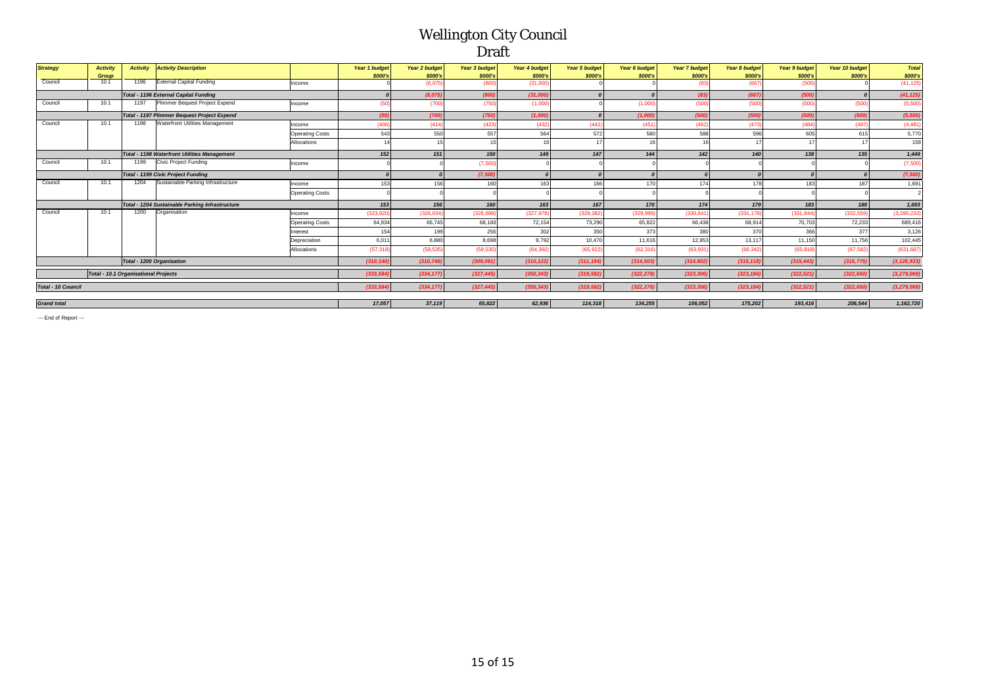| <b>Strategy</b>                                   | <b>Activity</b>                                     | <b>Activity</b> | <b>Activity Description</b>                     |                        | Year 1 budget | Year 2 budget | <b>Year 3 budget</b> | Year 4 budget | <b>Year 5 budget</b> | Year 6 budget  | Year 7 budget | Year 8 budget | <b>Year 9 budget</b> | Year 10 budget | <b>Total</b>  |
|---------------------------------------------------|-----------------------------------------------------|-----------------|-------------------------------------------------|------------------------|---------------|---------------|----------------------|---------------|----------------------|----------------|---------------|---------------|----------------------|----------------|---------------|
|                                                   | Group                                               |                 |                                                 |                        | \$000's       | \$000's       | \$000's              | \$000's       | \$000's              | <b>\$000's</b> | \$000's       | \$000's       | <b>\$000's</b>       | \$000's        | \$000's       |
| Council                                           | 10.1                                                | 1196            | External Capital Funding                        | Income                 |               | (8.075)       | (800)                | (31,000)      |                      |                |               | (667)         | (500)                |                | (41, 125)     |
|                                                   |                                                     |                 | Total - 1196 External Capital Funding           |                        |               | (8,075)       | (800)                | (31,000)      | $\Omega$             | $\Omega$       | (83)          | (667)         | (500)                |                | (41, 125)     |
| Council                                           | 10.1                                                | 1197            | Plimmer Bequest Project Expend                  | Income                 | (50)          | (700)         | (750)                | (1,000)       |                      | (1,000)        | (500)         | (500)         | (500)                | (500)          | (5,500)       |
|                                                   |                                                     |                 | Total - 1197 Plimmer Bequest Project Expend     |                        | (50)          | (700)         | (750)                | (1,000)       | $\boldsymbol{0}$     | (1,000)        | (500)         | (500)         | (500)                | (500)          | (5,500)       |
| Council                                           | 10.1                                                | 1198            | Waterfront Utilities Management                 | Income                 | (406)         | (414)         | (423)                | (432)         | (441)                | (451)          | (462)         | (473)         | (484)                | (497)          | (4, 481)      |
|                                                   |                                                     |                 |                                                 | <b>Operating Costs</b> | 543           | 550           | 557                  | 564           | 572                  | 580            | 588           | 596           | 605                  | 615            | 5,770         |
|                                                   |                                                     |                 |                                                 | Allocations            |               | 15            | 15                   |               | 17                   |                |               |               |                      |                | 159           |
|                                                   | <b>Total - 1198 Waterfront Utilities Management</b> |                 |                                                 |                        | 152           | 151           | 150                  | 149           | 147                  | 144            | 142           | 140           | 138                  | 135            | 1,449         |
| Council                                           | 10.1                                                | 1199            | <b>Civic Project Funding</b>                    | Income                 |               |               | (7,500)              |               |                      |                |               |               |                      |                | (7,500)       |
|                                                   | <b>Total - 1199 Civic Project Funding</b>           |                 |                                                 |                        |               | $\sqrt{ }$    | (7,500)              |               | $\boldsymbol{0}$     | $\Omega$       |               |               |                      |                | (7,500)       |
| Council                                           | 10.1                                                | 1204            | Sustainable Parking Infrastructure              | Income                 | 153           | 156           | 160                  | 163           | 166                  | 170            | 174           | 178           | 183                  | 187            | 1,691         |
|                                                   |                                                     |                 |                                                 | <b>Operating Costs</b> |               |               |                      |               |                      |                |               |               |                      |                |               |
|                                                   |                                                     |                 | Total - 1204 Sustainable Parking Infrastructure |                        | 153           | 156           | 160                  | 163           | 167                  | 170            | 174           | 179           | 183                  | 188            | 1,693         |
| Council                                           | 10.1                                                | 1200            | Organisation                                    | Income                 | (323.920)     | (326, 034)    | (326, 698)           | (327, 978)    | (329.382)            | (329, 999)     | (330, 641)    | (331, 178)    | (331, 844)           | (332, 559)     | (3, 290, 233) |
|                                                   |                                                     |                 |                                                 | <b>Operating Costs</b> | 64,934        | 66,745        | 68,183               | 72,154        | 73,290               | 65,822         | 66,438        | 68,914        | 70,703               | 72,233         | 689,416       |
|                                                   |                                                     |                 |                                                 | Interest               | 154           | 199           | 256                  | 302           | 350                  | 373            | 380           | 370           | 366                  | 377            | 3,126         |
|                                                   |                                                     |                 |                                                 | Depreciation           | 6.011         | 6,880         | 8,698                | 9.792         | 10.470               | 11.616         | 12,953        | 13,117        | 11.150               | 11.756         | 102,445       |
|                                                   |                                                     |                 |                                                 | Allocations            | (57, 318)     | (58, 535)     | (59, 530)            | (64, 392)     | (65, 922)            | (62, 316)      | (63, 93)      | (66, 342)     | (65, 818)            | (67, 582)      | (631,687      |
|                                                   |                                                     |                 | Total - 1200 Organisation                       |                        | (310, 140)    | (310, 746)    | (309, 091)           | (310, 122)    | (311, 194)           | (314, 503)     | (314, 802)    | (315, 118)    | (315, 443)           | (315, 775)     | (3, 126, 933) |
| Total - 10.1 Organisational Projects<br>(333.584) |                                                     |                 |                                                 |                        |               | (334, 177)    | (327, 445)           | (350, 343)    | (319, 582)           | (322, 278)     | (323.306      | (323, 184)    | (322, 521)           | (322.650)      | (3, 279, 069) |
|                                                   | <b>Total - 10 Council</b><br>(333, 584)             |                 |                                                 |                        |               | (334, 177)    | (327, 445)           | (350, 343)    | (319, 582)           | (322, 278)     | (323, 306)    | (323, 184)    | (322, 521)           | (322.650)      | (3, 279, 069) |
| 17.057<br><b>Grand</b> total                      |                                                     |                 |                                                 |                        |               | 37,119        | 65,822               | 62.936        | 114,318              | 134.255        | 156.052       | 175,202       | 193,416              | 206.544        | 1,162,720     |

--- End of Report ---